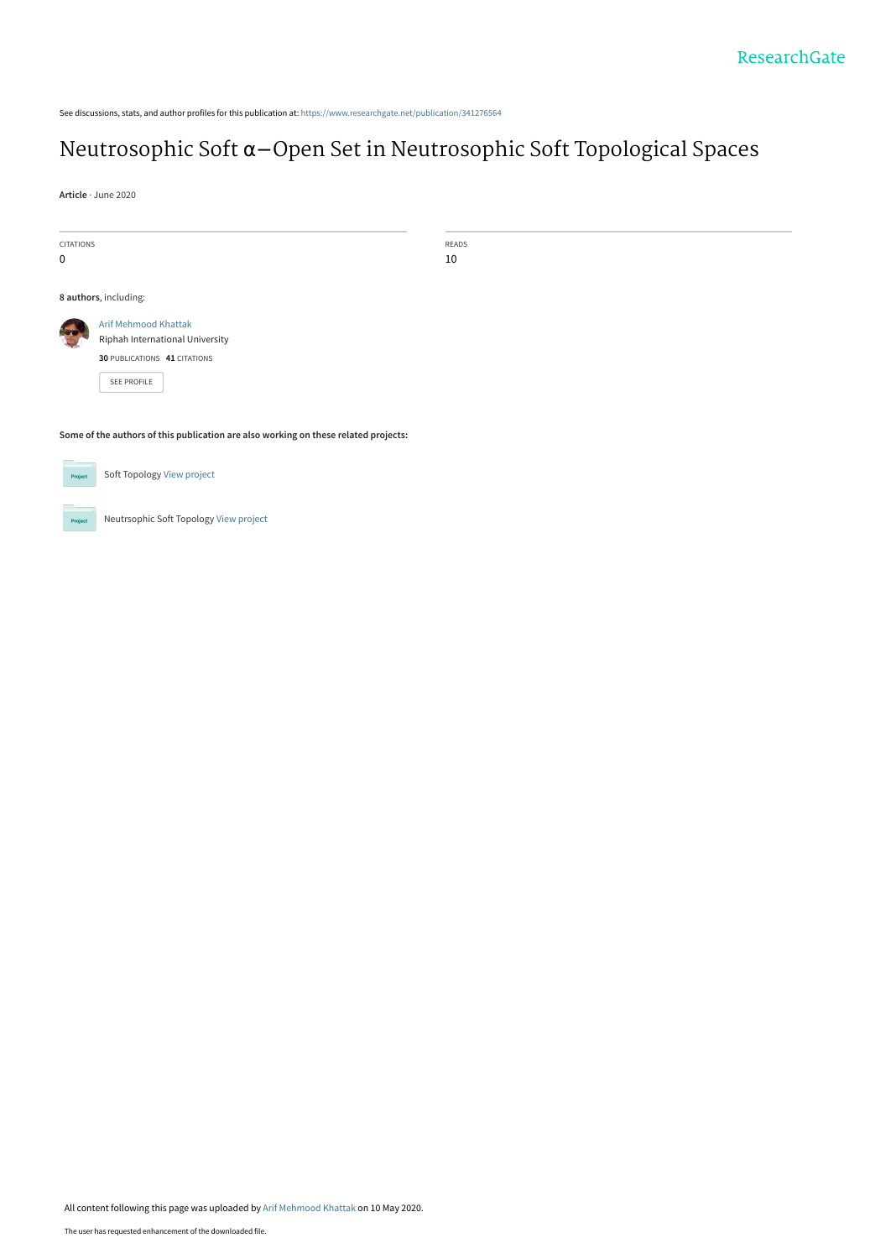See discussions, stats, and author profiles for this publication at: [https://www.researchgate.net/publication/341276564](https://www.researchgate.net/publication/341276564_Neutrosophic_Soft_a-Open_Set_in_Neutrosophic_Soft_Topological_Spaces?enrichId=rgreq-cbdae24ee987cbb04f28015d28beb82d-XXX&enrichSource=Y292ZXJQYWdlOzM0MTI3NjU2NDtBUzo4ODk1MTIxNTQ2NDAzODRAMTU4OTA4NzYzMjAxMw%3D%3D&el=1_x_2&_esc=publicationCoverPdf)

## Neutrosophic Soft α−[Open Set in Neutrosophic Soft Topological Spaces](https://www.researchgate.net/publication/341276564_Neutrosophic_Soft_a-Open_Set_in_Neutrosophic_Soft_Topological_Spaces?enrichId=rgreq-cbdae24ee987cbb04f28015d28beb82d-XXX&enrichSource=Y292ZXJQYWdlOzM0MTI3NjU2NDtBUzo4ODk1MTIxNTQ2NDAzODRAMTU4OTA4NzYzMjAxMw%3D%3D&el=1_x_3&_esc=publicationCoverPdf)

**Article** · June 2020

.<br>Proj

| <b>CITATIONS</b>                                                                    |                                 | READS |
|-------------------------------------------------------------------------------------|---------------------------------|-------|
| $\mathbf 0$                                                                         |                                 | 10    |
|                                                                                     |                                 |       |
| 8 authors, including:                                                               |                                 |       |
|                                                                                     | <b>Arif Mehmood Khattak</b>     |       |
|                                                                                     | Riphah International University |       |
|                                                                                     | 30 PUBLICATIONS 41 CITATIONS    |       |
|                                                                                     | SEE PROFILE                     |       |
|                                                                                     |                                 |       |
| Some of the authors of this publication are also working on these related projects: |                                 |       |
| Project                                                                             | Soft Topology View project      |       |

Neutrsophic Soft Topology [View project](https://www.researchgate.net/project/Neutrsophic-Soft-Topology?enrichId=rgreq-cbdae24ee987cbb04f28015d28beb82d-XXX&enrichSource=Y292ZXJQYWdlOzM0MTI3NjU2NDtBUzo4ODk1MTIxNTQ2NDAzODRAMTU4OTA4NzYzMjAxMw%3D%3D&el=1_x_9&_esc=publicationCoverPdf)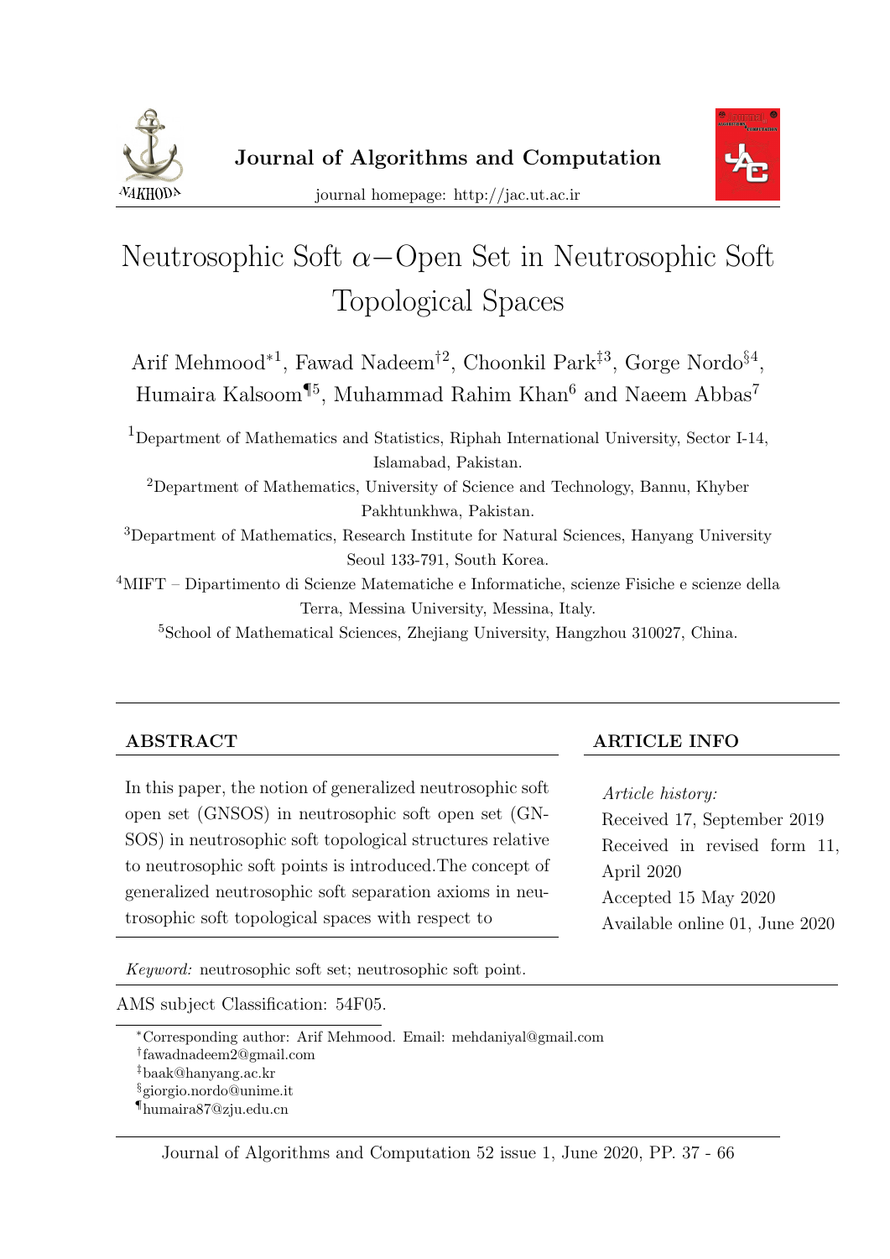



# Neutrosophic Soft  $\alpha$ −Open Set in Neutrosophic Soft Topological Spaces

Arif Mehmood<sup>\*1</sup>, Fawad Nadeem<sup>†2</sup>, Choonkil Park<sup>‡3</sup>, Gorge Nordo<sup>§4</sup>, Humaira Kalsoom<sup>¶5</sup>, Muhammad Rahim Khan<sup>6</sup> and Naeem Abbas<sup>7</sup>

<sup>1</sup>Department of Mathematics and Statistics, Riphah International University, Sector I-14, Islamabad, Pakistan. <sup>2</sup>Department of Mathematics, University of Science and Technology, Bannu, Khyber Pakhtunkhwa, Pakistan. <sup>3</sup>Department of Mathematics, Research Institute for Natural Sciences, Hanyang University Seoul 133-791, South Korea.

<sup>4</sup>MIFT – Dipartimento di Scienze Matematiche e Informatiche, scienze Fisiche e scienze della Terra, Messina University, Messina, Italy.

<sup>5</sup>School of Mathematical Sciences, Zhejiang University, Hangzhou 310027, China.

In this paper, the notion of generalized neutrosophic soft open set (GNSOS) in neutrosophic soft open set (GN-SOS) in neutrosophic soft topological structures relative to neutrosophic soft points is introduced.The concept of generalized neutrosophic soft separation axioms in neutrosophic soft topological spaces with respect to

ABSTRACT ARTICLE INFO

Article history: Received 17, September 2019 Received in revised form 11, April 2020 Accepted 15 May 2020 Available online 01, June 2020

Keyword: neutrosophic soft set; neutrosophic soft point.

AMS subject Classification: 54F05.

<sup>∗</sup>Corresponding author: Arif Mehmood. Email: mehdaniyal@gmail.com

<sup>†</sup> fawadnadeem2@gmail.com

<sup>‡</sup>baak@hanyang.ac.kr

<sup>§</sup>giorgio.nordo@unime.it

<sup>¶</sup>humaira87@zju.edu.cn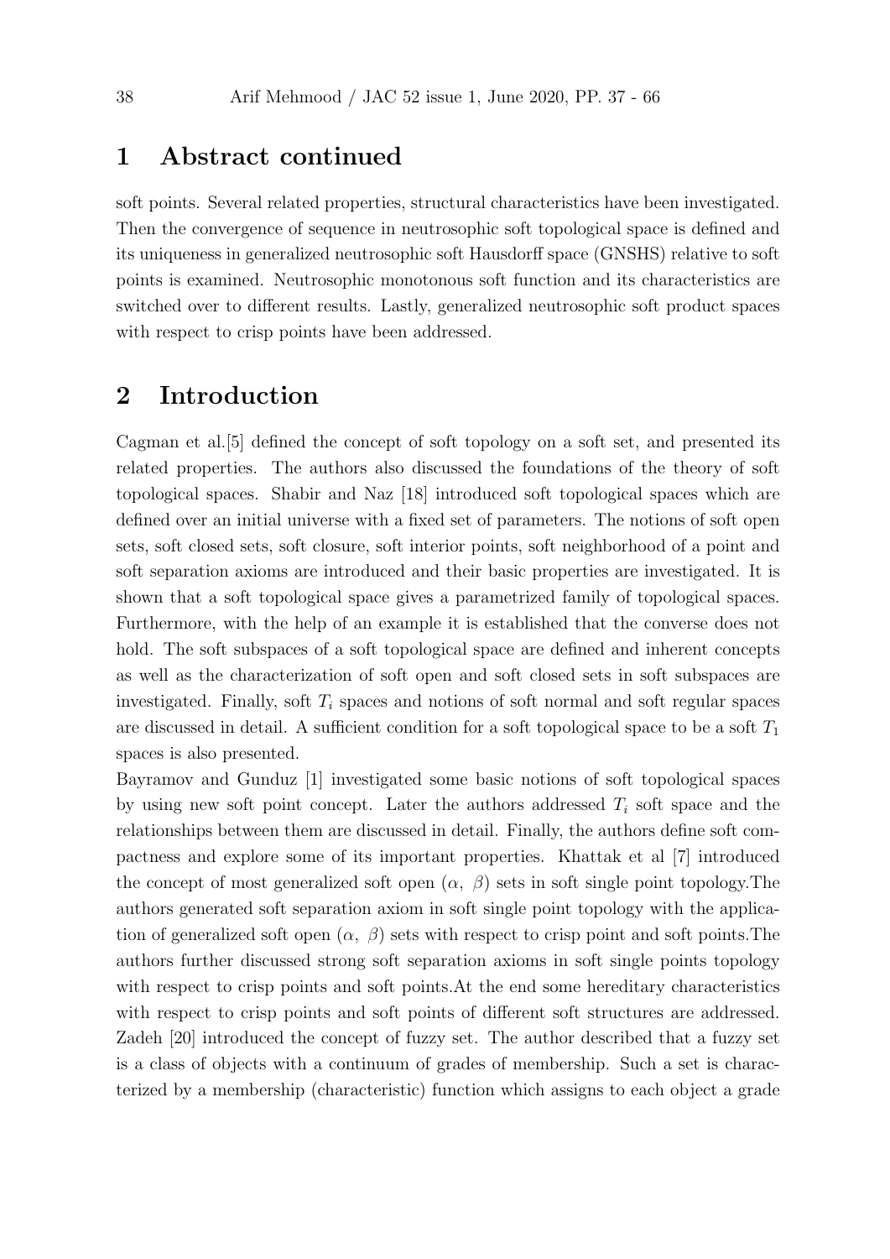#### 1 Abstract continued

soft points. Several related properties, structural characteristics have been investigated. Then the convergence of sequence in neutrosophic soft topological space is defined and its uniqueness in generalized neutrosophic soft Hausdorff space (GNSHS) relative to soft points is examined. Neutrosophic monotonous soft function and its characteristics are switched over to different results. Lastly, generalized neutrosophic soft product spaces with respect to crisp points have been addressed.

#### 2 Introduction

Cagman et al.[5] defined the concept of soft topology on a soft set, and presented its related properties. The authors also discussed the foundations of the theory of soft topological spaces. Shabir and Naz [18] introduced soft topological spaces which are defined over an initial universe with a fixed set of parameters. The notions of soft open sets, soft closed sets, soft closure, soft interior points, soft neighborhood of a point and soft separation axioms are introduced and their basic properties are investigated. It is shown that a soft topological space gives a parametrized family of topological spaces. Furthermore, with the help of an example it is established that the converse does not hold. The soft subspaces of a soft topological space are defined and inherent concepts as well as the characterization of soft open and soft closed sets in soft subspaces are investigated. Finally, soft  $T_i$  spaces and notions of soft normal and soft regular spaces are discussed in detail. A sufficient condition for a soft topological space to be a soft  $T_1$ spaces is also presented.

Bayramov and Gunduz [1] investigated some basic notions of soft topological spaces by using new soft point concept. Later the authors addressed  $T_i$  soft space and the relationships between them are discussed in detail. Finally, the authors define soft compactness and explore some of its important properties. Khattak et al [7] introduced the concept of most generalized soft open  $(\alpha, \beta)$  sets in soft single point topology. The authors generated soft separation axiom in soft single point topology with the application of generalized soft open  $(\alpha, \beta)$  sets with respect to crisp point and soft points. The authors further discussed strong soft separation axioms in soft single points topology with respect to crisp points and soft points.At the end some hereditary characteristics with respect to crisp points and soft points of different soft structures are addressed. Zadeh [20] introduced the concept of fuzzy set. The author described that a fuzzy set is a class of objects with a continuum of grades of membership. Such a set is characterized by a membership (characteristic) function which assigns to each object a grade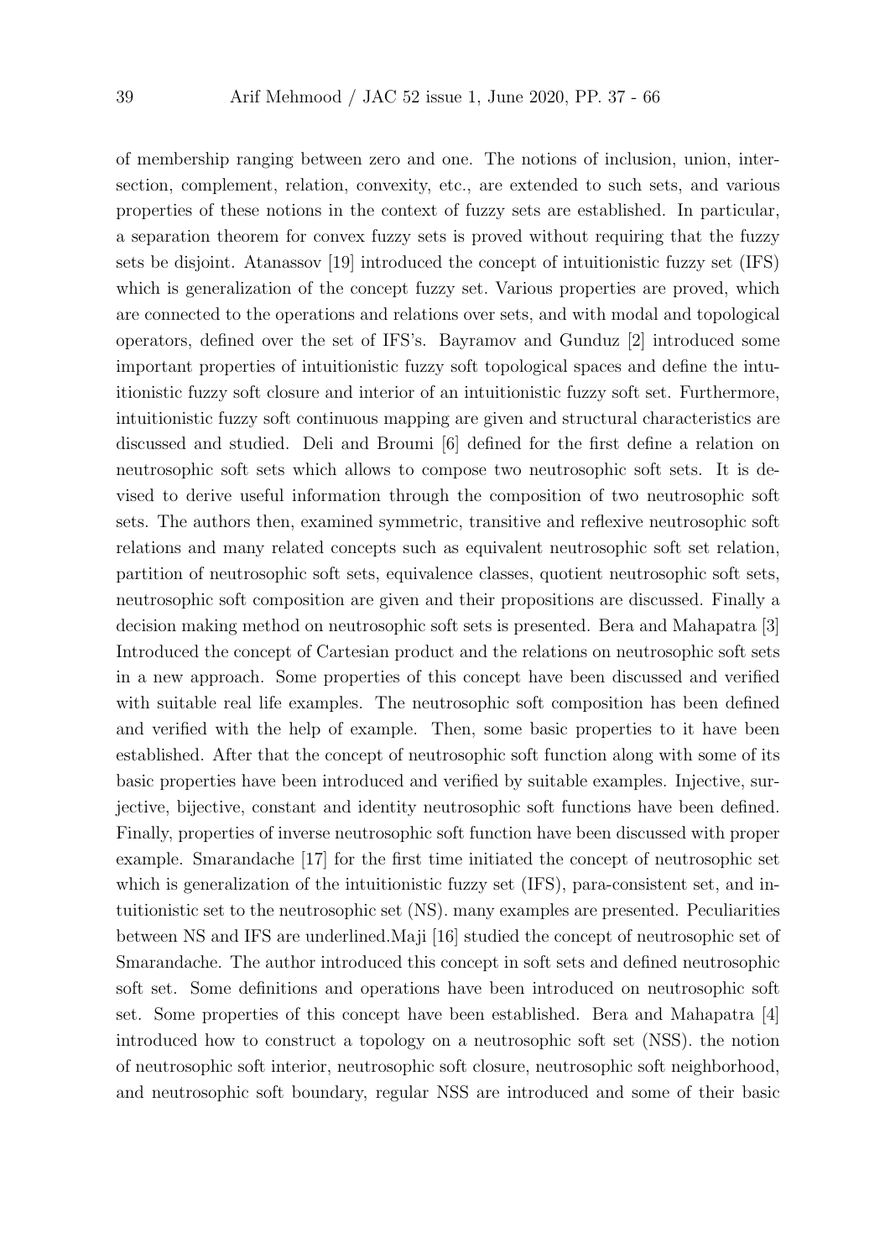of membership ranging between zero and one. The notions of inclusion, union, intersection, complement, relation, convexity, etc., are extended to such sets, and various properties of these notions in the context of fuzzy sets are established. In particular, a separation theorem for convex fuzzy sets is proved without requiring that the fuzzy sets be disjoint. Atanassov [19] introduced the concept of intuitionistic fuzzy set (IFS) which is generalization of the concept fuzzy set. Various properties are proved, which are connected to the operations and relations over sets, and with modal and topological operators, defined over the set of IFS's. Bayramov and Gunduz [2] introduced some important properties of intuitionistic fuzzy soft topological spaces and define the intuitionistic fuzzy soft closure and interior of an intuitionistic fuzzy soft set. Furthermore, intuitionistic fuzzy soft continuous mapping are given and structural characteristics are discussed and studied. Deli and Broumi [6] defined for the first define a relation on neutrosophic soft sets which allows to compose two neutrosophic soft sets. It is devised to derive useful information through the composition of two neutrosophic soft sets. The authors then, examined symmetric, transitive and reflexive neutrosophic soft relations and many related concepts such as equivalent neutrosophic soft set relation, partition of neutrosophic soft sets, equivalence classes, quotient neutrosophic soft sets, neutrosophic soft composition are given and their propositions are discussed. Finally a decision making method on neutrosophic soft sets is presented. Bera and Mahapatra [3] Introduced the concept of Cartesian product and the relations on neutrosophic soft sets in a new approach. Some properties of this concept have been discussed and verified with suitable real life examples. The neutrosophic soft composition has been defined and verified with the help of example. Then, some basic properties to it have been established. After that the concept of neutrosophic soft function along with some of its basic properties have been introduced and verified by suitable examples. Injective, surjective, bijective, constant and identity neutrosophic soft functions have been defined. Finally, properties of inverse neutrosophic soft function have been discussed with proper example. Smarandache [17] for the first time initiated the concept of neutrosophic set which is generalization of the intuitionistic fuzzy set *(IFS)*, para-consistent set, and intuitionistic set to the neutrosophic set (NS). many examples are presented. Peculiarities between NS and IFS are underlined.Maji [16] studied the concept of neutrosophic set of Smarandache. The author introduced this concept in soft sets and defined neutrosophic soft set. Some definitions and operations have been introduced on neutrosophic soft set. Some properties of this concept have been established. Bera and Mahapatra [4] introduced how to construct a topology on a neutrosophic soft set (NSS). the notion of neutrosophic soft interior, neutrosophic soft closure, neutrosophic soft neighborhood, and neutrosophic soft boundary, regular NSS are introduced and some of their basic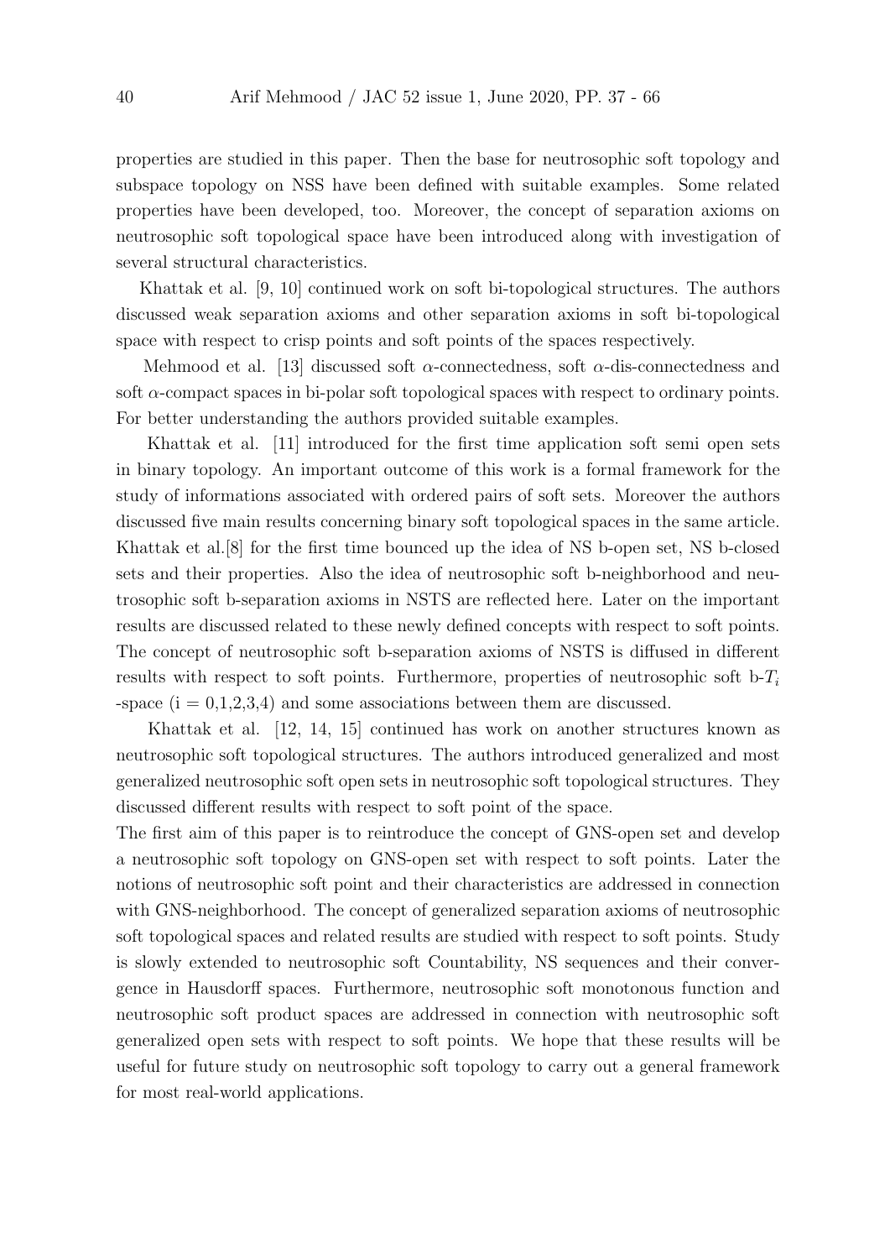properties are studied in this paper. Then the base for neutrosophic soft topology and subspace topology on NSS have been defined with suitable examples. Some related properties have been developed, too. Moreover, the concept of separation axioms on neutrosophic soft topological space have been introduced along with investigation of several structural characteristics.

Khattak et al. [9, 10] continued work on soft bi-topological structures. The authors discussed weak separation axioms and other separation axioms in soft bi-topological space with respect to crisp points and soft points of the spaces respectively.

Mehmood et al. [13] discussed soft  $\alpha$ -connectedness, soft  $\alpha$ -dis-connectedness and soft  $\alpha$ -compact spaces in bi-polar soft topological spaces with respect to ordinary points. For better understanding the authors provided suitable examples.

Khattak et al. [11] introduced for the first time application soft semi open sets in binary topology. An important outcome of this work is a formal framework for the study of informations associated with ordered pairs of soft sets. Moreover the authors discussed five main results concerning binary soft topological spaces in the same article. Khattak et al.[8] for the first time bounced up the idea of NS b-open set, NS b-closed sets and their properties. Also the idea of neutrosophic soft b-neighborhood and neutrosophic soft b-separation axioms in NSTS are reflected here. Later on the important results are discussed related to these newly defined concepts with respect to soft points. The concept of neutrosophic soft b-separation axioms of NSTS is diffused in different results with respect to soft points. Furthermore, properties of neutrosophic soft b- $T_i$ -space  $(i = 0,1,2,3,4)$  and some associations between them are discussed.

Khattak et al. [12, 14, 15] continued has work on another structures known as neutrosophic soft topological structures. The authors introduced generalized and most generalized neutrosophic soft open sets in neutrosophic soft topological structures. They discussed different results with respect to soft point of the space.

The first aim of this paper is to reintroduce the concept of GNS-open set and develop a neutrosophic soft topology on GNS-open set with respect to soft points. Later the notions of neutrosophic soft point and their characteristics are addressed in connection with GNS-neighborhood. The concept of generalized separation axioms of neutrosophic soft topological spaces and related results are studied with respect to soft points. Study is slowly extended to neutrosophic soft Countability, NS sequences and their convergence in Hausdorff spaces. Furthermore, neutrosophic soft monotonous function and neutrosophic soft product spaces are addressed in connection with neutrosophic soft generalized open sets with respect to soft points. We hope that these results will be useful for future study on neutrosophic soft topology to carry out a general framework for most real-world applications.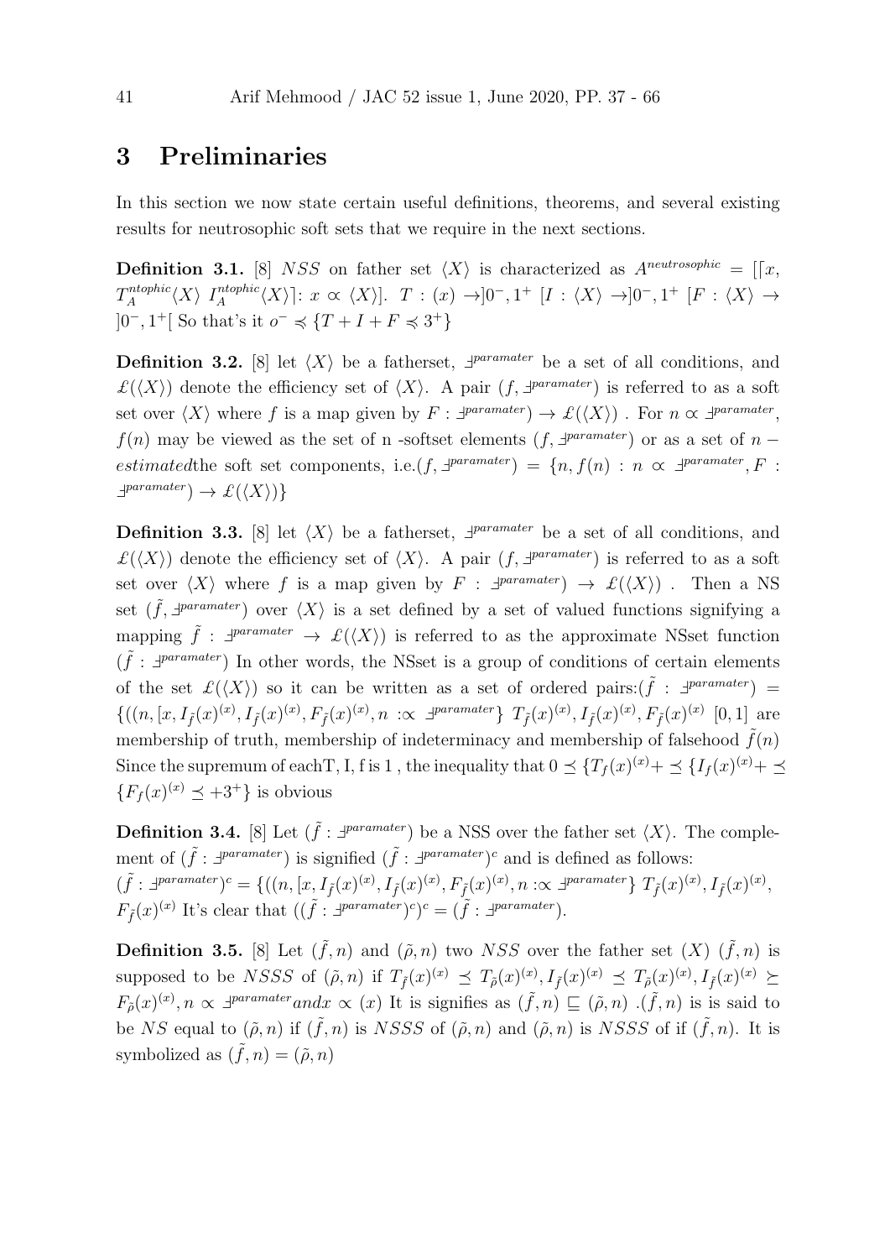#### 3 Preliminaries

In this section we now state certain useful definitions, theorems, and several existing results for neutrosophic soft sets that we require in the next sections.

**Definition 3.1.** [8] NSS on father set  $\langle X \rangle$  is characterized as  $A^{neutronophic} = [[x,$  $T_A^{ntophic}$  $\mathcal{L}_A^{ntophic}\langle X\rangle$   $\mathcal{I}_A^{ntophic}$  $A^{ntophic}(X)$ :  $x \propto \langle X \rangle$ .  $T : (x) \rightarrow] 0^{-}, 1^{+} [I : \langle X \rangle \rightarrow] 0^{-}, 1^{+} [F : \langle X \rangle \rightarrow] 0^{-}$  $]0^-, 1^+[$  So that's it  $o^- \preccurlyeq \{T + I + F \preccurlyeq 3^+\}$ 

**Definition 3.2.** [8] let  $\langle X \rangle$  be a fatherset,  $\exists^{paramater}$  be a set of all conditions, and  $\mathcal{L}(\langle X \rangle)$  denote the efficiency set of  $\langle X \rangle$ . A pair  $(f, \exists^{paramater})$  is referred to as a soft set over  $\langle X \rangle$  where f is a map given by  $F : \exists^{paramater}$   $\rightarrow \mathcal{L}(\langle X \rangle)$ . For  $n \propto \exists^{paramater}$ ,  $f(n)$  may be viewed as the set of n -softset elements  $(f, \exists^{paramater})$  or as a set of  $n$ estimated the soft set components, i.e.  $(f, \exists^{paramater}) = \{n, f(n) : n \propto \exists^{paramater}, F :$  $\exists$ <sup>paramater</sup> $) \rightarrow \mathcal{L}(\langle X \rangle)$ 

**Definition 3.3.** [8] let  $\langle X \rangle$  be a fatherset,  $\exists^{paramater}$  be a set of all conditions, and  $\mathcal{L}(\langle X \rangle)$  denote the efficiency set of  $\langle X \rangle$ . A pair  $(f, \exists^{paramater})$  is referred to as a soft set over  $\langle X \rangle$  where f is a map given by  $F : \exists^{paramater}$   $\rightarrow \mathcal{L}(\langle X \rangle)$ . Then a NS set  $(\tilde{f}, \exists^{parameter})$  over  $\langle X \rangle$  is a set defined by a set of valued functions signifying a mapping  $\tilde{f}$  :  $\exists^{parameter} \rightarrow \mathcal{L}(\langle X \rangle)$  is referred to as the approximate NSset function  $(\tilde{f} : \exists^{parameter})$  In other words, the NSset is a group of conditions of certain elements of the set  $\mathcal{L}(\langle X \rangle)$  so it can be written as a set of ordered pairs: $(\tilde{f} : \exists^{paramater})$  $\{((n,[x,I_{\tilde{f}}(x)^{(x)},I_{\tilde{f}}(x)^{(x)},F_{\tilde{f}}(x)^{(x)},n\;:\propto\; \exists^{parameter}\} \; T_{\tilde{f}}(x)^{(x)},I_{\tilde{f}}(x)^{(x)},F_{\tilde{f}}(x)^{(x)}\;[0,1] \; \text{are}$ membership of truth, membership of indeterminacy and membership of falsehood  $\hat{f}(n)$ Since the supremum of each T, I, f is 1, the inequality that  $0 \preceq \{T_f(x)^{(x)} + \preceq \{I_f(x)^{(x)} + \preceq \}$  $\{F_f(x)^{(x)} \preceq +3^+\}$  is obvious

**Definition 3.4.** [8] Let  $(\tilde{f} : \exists^{paramater})$  be a NSS over the father set  $\langle X \rangle$ . The complement of  $(\tilde{f} : \exists^{paramater})$  is signified  $(\tilde{f} : \exists^{paramater})^c$  and is defined as follows:  $(\tilde{f} : \exists^{parameter})^c = \{((n, [x, I_{\tilde{f}}(x)^{(x)}, I_{\tilde{f}}(x)^{(x)}, F_{\tilde{f}}(x)^{(x)}, n : \alpha \exists^{parameter}\} \ T_{\tilde{f}}(x)^{(x)}, I_{\tilde{f}}(x)^{(x)},$  $F_{\tilde{f}}(x)^{(x)}$  It's clear that  $((\tilde{f} : \exists^{paramater})^c)^c = (\tilde{f} : \exists^{paramater}).$ 

**Definition 3.5.** [8] Let  $(\tilde{f}, n)$  and  $(\tilde{\rho}, n)$  two NSS over the father set  $(X)$   $(\tilde{f}, n)$  is supposed to be NSSS of  $(\tilde{\rho}, n)$  if  $T_{\tilde{f}}(x)^{(x)} \preceq T_{\tilde{\rho}}(x)^{(x)}$ ,  $I_{\tilde{f}}(x)^{(x)} \preceq T_{\tilde{\rho}}(x)^{(x)}$ ,  $I_{\tilde{f}}(x)^{(x)} \succeq$  $F_{\tilde{\rho}}(x)^{(x)}, n \propto \pm^{parameter} and x \propto (x)$  It is signifies as  $(\tilde{f}, n) \sqsubseteq (\tilde{\rho}, n)$ .  $(\tilde{f}, n)$  is is said to be NS equal to  $(\tilde{\rho}, n)$  if  $(\tilde{f}, n)$  is NSSS of  $(\tilde{\rho}, n)$  and  $(\tilde{\rho}, n)$  is NSSS of if  $(\tilde{f}, n)$ . It is symbolized as  $(\tilde{f}, n) = (\tilde{\rho}, n)$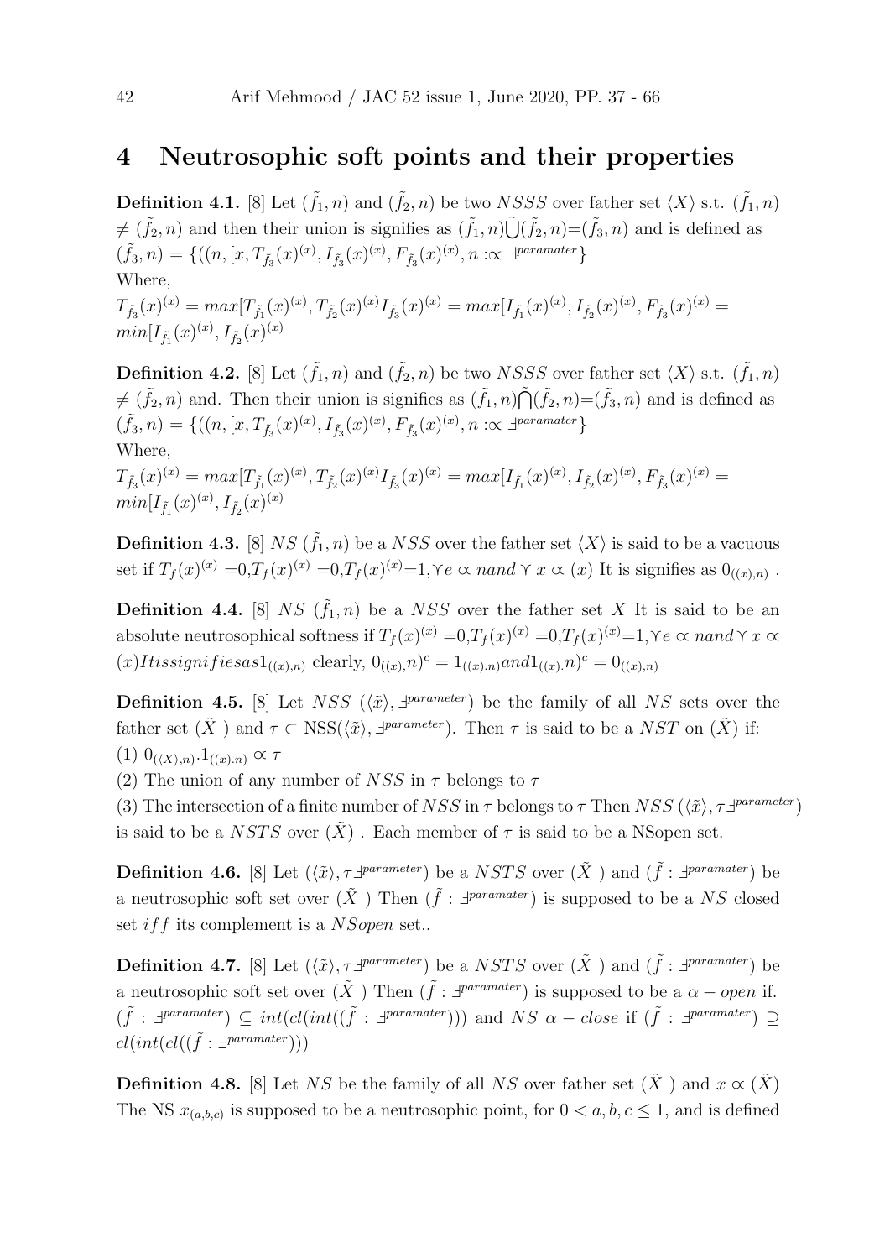#### 4 Neutrosophic soft points and their properties

**Definition 4.1.** [8] Let  $(\tilde{f}_1, n)$  and  $(\tilde{f}_2, n)$  be two NSSS over father set  $\langle X \rangle$  s.t.  $(\tilde{f}_1, n)$  $\neq (\tilde{f}_2, n)$  and then their union is signifies as  $(\tilde{f}_1, n)\tilde{\bigcup}(\tilde{f}_2, n) = (\tilde{f}_3, n)$  and is defined as  $(\tilde{f}_3, n) = \{ ((n, [x, T_{\tilde{f}_3}(x)^{(x)}, I_{\tilde{f}_3}(x)^{(x)}, F_{\tilde{f}_3}(x)^{(x)}, n : \propto \exists^{parameter}\}$ Where,  $T_{\tilde{f}_3}(x)^{(x)} = max[T_{\tilde{f}_1}(x)^{(x)}, T_{\tilde{f}_2}(x)^{(x)} I_{\tilde{f}_3}(x)^{(x)} = max[I_{\tilde{f}_1}(x)^{(x)}, I_{\tilde{f}_2}(x)^{(x)}, F_{\tilde{f}_3}(x)^{(x)} =$  $min[I_{\tilde{f}_1}(x)^{(x)},I_{\tilde{f}_2}(x)^{(x)}]$ 

**Definition 4.2.** [8] Let  $(\tilde{f}_1, n)$  and  $(\tilde{f}_2, n)$  be two NSSS over father set  $\langle X \rangle$  s.t.  $(\tilde{f}_1, n)$  $\neq (\tilde{f}_2, n)$  and. Then their union is signifies as  $(\tilde{f}_1, n) \tilde{\bigcap} (\tilde{f}_2, n) = (\tilde{f}_3, n)$  and is defined as  $(\tilde{f}_3, n) = \{ ((n, [x, T_{\tilde{f}_3}(x)^{(x)}, I_{\tilde{f}_3}(x)^{(x)}, F_{\tilde{f}_3}(x)^{(x)}, n : \propto \exists^{parameter}\}$ Where,

 $T_{\tilde{f}_3}(x)^{(x)} = max[T_{\tilde{f}_1}(x)^{(x)}, T_{\tilde{f}_2}(x)^{(x)} I_{\tilde{f}_3}(x)^{(x)} = max[I_{\tilde{f}_1}(x)^{(x)}, I_{\tilde{f}_2}(x)^{(x)}, F_{\tilde{f}_3}(x)^{(x)} =$  $min[I_{\tilde{f}_1}(x)^{(x)},I_{\tilde{f}_2}(x)^{(x)}]$ 

**Definition 4.3.** [8] NS  $(\tilde{f}_1, n)$  be a NSS over the father set  $\langle X \rangle$  is said to be a vacuous set if  $T_f(x)^{(x)} = 0, T_f(x)^{(x)} = 0, T_f(x)^{(x)} = 1, \forall e \propto n \text{ and } \forall x \propto (x)$  It is signifies as  $0_{((x),n)}$ .

**Definition 4.4.** [8] NS  $(\tilde{f}_1, n)$  be a NSS over the father set X It is said to be an absolute neutrosophical softness if  $T_f(x)^{(x)} = 0, T_f(x)^{(x)} = 0, T_f(x)^{(x)} = 1, \forall e \propto n$  and  $\forall x \propto$  $(x) It is significant if is a s1_{((x),n)}$  clearly,  $0_{((x),n)}c = 1_{((x),n)}and 1_{((x),n)}c = 0_{((x),n)}$ 

**Definition 4.5.** [8] Let  $NSS$  ( $\langle \tilde{x} \rangle$ ,  $\exists^{parameter}$ ) be the family of all NS sets over the father set  $(\tilde{X})$  and  $\tau \subset \text{NSS}(\langle \tilde{x} \rangle, \exists^{parameter})$ . Then  $\tau$  is said to be a NST on  $(\tilde{X})$  if:  $(1)$   $0_{(\langle X \rangle,n)}$ ,  $1_{((x).n)} \propto \tau$ 

(2) The union of any number of NSS in  $\tau$  belongs to  $\tau$ 

(3) The intersection of a finite number of NSS in  $\tau$  belongs to  $\tau$  Then NSS ( $\langle \tilde{x} \rangle$ ,  $\tau \exists^{parameter}$ ) is said to be a NSTS over  $(X)$ . Each member of  $\tau$  is said to be a NSopen set.

**Definition 4.6.** [8] Let  $(\langle \tilde{x} \rangle, \tau \exists^{parameter})$  be a NSTS over  $(\tilde{X})$  and  $(\tilde{f} : \exists^{parameter})$  be a neutrosophic soft set over  $(\tilde{X})$  Then  $(\tilde{f} : \exists^{paramater})$  is supposed to be a NS closed set if f its complement is a  $NSopen$  set..

**Definition 4.7.** [8] Let  $(\langle \tilde{x} \rangle, \tau \exists^{parameter})$  be a NSTS over  $(\tilde{X})$  and  $(\tilde{f} : \exists^{parameter})$  be a neutrosophic soft set over  $(\tilde{X})$  Then  $(\tilde{f} : \exists^{paramater})$  is supposed to be a  $\alpha$  – open if.  $(\tilde{f} : \exists^{parameter}) \subseteq int(cl(int((\tilde{f} : \exists^{parameter})))$  and  $NS \alpha - close$  if  $(\tilde{f} : \exists^{parameter}) \supseteq$  $cl(int(cl((\tilde{f} : \exists^{parameter})))$ 

**Definition 4.8.** [8] Let NS be the family of all NS over father set  $(\tilde{X})$  and  $x \propto (\tilde{X})$ The NS  $x_{(a,b,c)}$  is supposed to be a neutrosophic point, for  $0 < a, b, c \leq 1$ , and is defined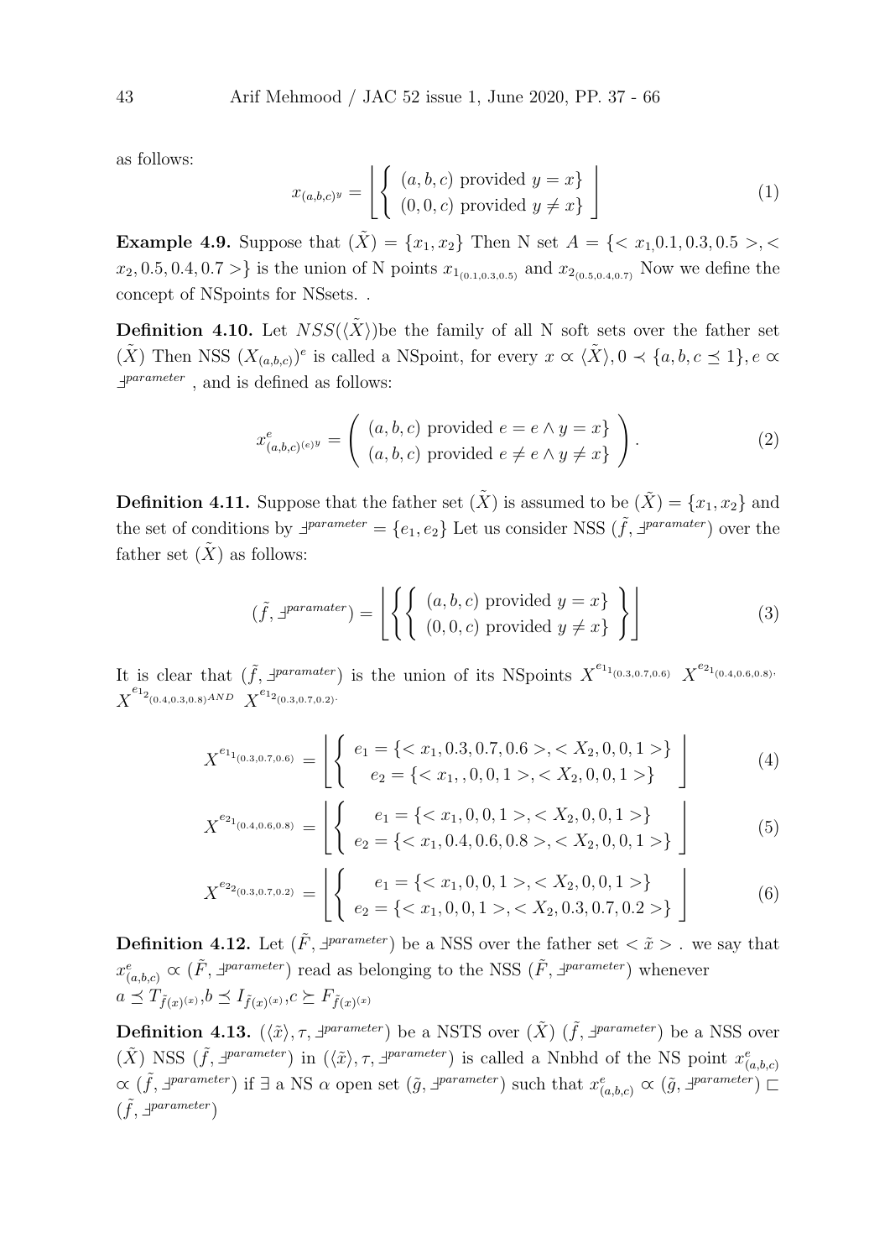as follows:

$$
x_{(a,b,c)^y} = \left[ \left\{ \begin{array}{l} (a,b,c) \text{ provided } y = x \} \\ (0,0,c) \text{ provided } y \neq x \} \end{array} \right] \right]
$$
 (1)

Example 4.9. Suppose that (X˜) = {x1, x2} Then N set A = {< x1,0.1, 0.3, 0.5 >, <  $x_2, 0.5, 0.4, 0.7 >$  is the union of N points  $x_{1_{(0.1,0.3,0.5)}}$  and  $x_{2_{(0.5,0.4,0.7)}}$  Now we define the concept of NSpoints for NSsets. .

**Definition 4.10.** Let  $NSS(\langle X \rangle)$  be the family of all N soft sets over the father set  $(X)$  Then NSS  $(X_{(a,b,c)})^e$  is called a NSpoint, for every  $x \propto \langle X \rangle, 0 \prec \{a, b, c \preceq 1\}, e \propto \langle X \rangle$  $\exists^{parameter}$ , and is defined as follows:

$$
x_{(a,b,c)^{(e)y}}^e = \left( \begin{array}{c} (a,b,c) \text{ provided } e = e \wedge y = x \\ (a,b,c) \text{ provided } e \neq e \wedge y \neq x \end{array} \right). \tag{2}
$$

**Definition 4.11.** Suppose that the father set  $(\tilde{X})$  is assumed to be  $(\tilde{X}) = \{x_1, x_2\}$  and the set of conditions by  $\exists^{parameter} = \{e_1, e_2\}$  Let us consider NSS  $(\tilde{f}, \exists^{parameter})$  over the father set  $(X)$  as follows:

$$
(\tilde{f}, \exists^{parameter}) = \left[ \left\{ \left\{ \begin{array}{l} (a, b, c) \text{ provided } y = x \} \\ (0, 0, c) \text{ provided } y \neq x \} \end{array} \right\} \right] \tag{3}
$$

It is clear that  $(\tilde{f}, \exists^{parameter})$  is the union of its NSpoints  $X^{e_{1}}^{(0.3,0.7,0.6)}$   $X^{e_{2}}^{(0.4,0.6,0.8)}$  $\overline{X}^{e_{1_{2_{(0.4,0.3,0.8)}^{AND}}}} \overline{X}^{e_{1_{2_{(0.3,0.7,0.2)}}.}}$ 

$$
X^{e_{1_{(0.3,0.7,0.6)}}} = \left[ \left\{ \begin{array}{l} e_{1} = \{ ,  \} \\ e_{2} = \{ ,  \} \end{array} \right\} \right]
$$
(4)

$$
X^{e_{2_{1_{(0.4,0.6,0.8)}}}} = \left[ \left\{ \begin{array}{c} e_{1} = \{ ,  \} \\ e_{2} = \{ ,  \} \end{array} \right\} \right]
$$
(5)

$$
X^{e_{2_{2(0.3,0.7,0.2)}}} = \left[ \left\{ \begin{array}{c} e_1 = \{ < x_1, 0, 0, 1 > < X_2, 0, 0, 1 > \} \\ e_2 = \{ < x_1, 0, 0, 1 > < X_2, 0.3, 0.7, 0.2 > \} \end{array} \right] \right]
$$
(6)

**Definition 4.12.** Let  $(\tilde{F}, \exists^{parameter})$  be a NSS over the father set  $\langle \tilde{x} \rangle$ . we say that  $x_{(a,b,c)}^e \propto (\tilde{F}, \exists^{parameter})$  read as belonging to the NSS  $(\tilde{F}, \exists^{parameter})$  whenever  $a \preceq T_{\tilde{f}(x)^{(x)}}, b \preceq I_{\tilde{f}(x)^{(x)}}, c \succeq F_{\tilde{f}(x)^{(x)}}$ 

**Definition 4.13.**  $(\langle \tilde{x} \rangle, \tau, \exists^{parameter})$  be a NSTS over  $(\tilde{X})$   $(\tilde{f}, \exists^{parameter})$  be a NSS over  $(\tilde{X})$  NSS  $(\tilde{f}, \exists^{parameter})$  in  $(\langle \tilde{x} \rangle, \tau, \exists^{parameter})$  is called a Nnbhd of the NS point  $x^e_{(a,b,c)}$  $\alpha$  ( $\tilde{f}$ ,  $\exists^{parameter}$ ) if  $\exists$  a NS  $\alpha$  open set ( $\tilde{g}$ ,  $\exists^{parameter}$ ) such that  $x^e_{(a,b,c)} \propto (\tilde{g}, \exists^{parameter})$  $(\tilde{f}, \exists^{parameter})$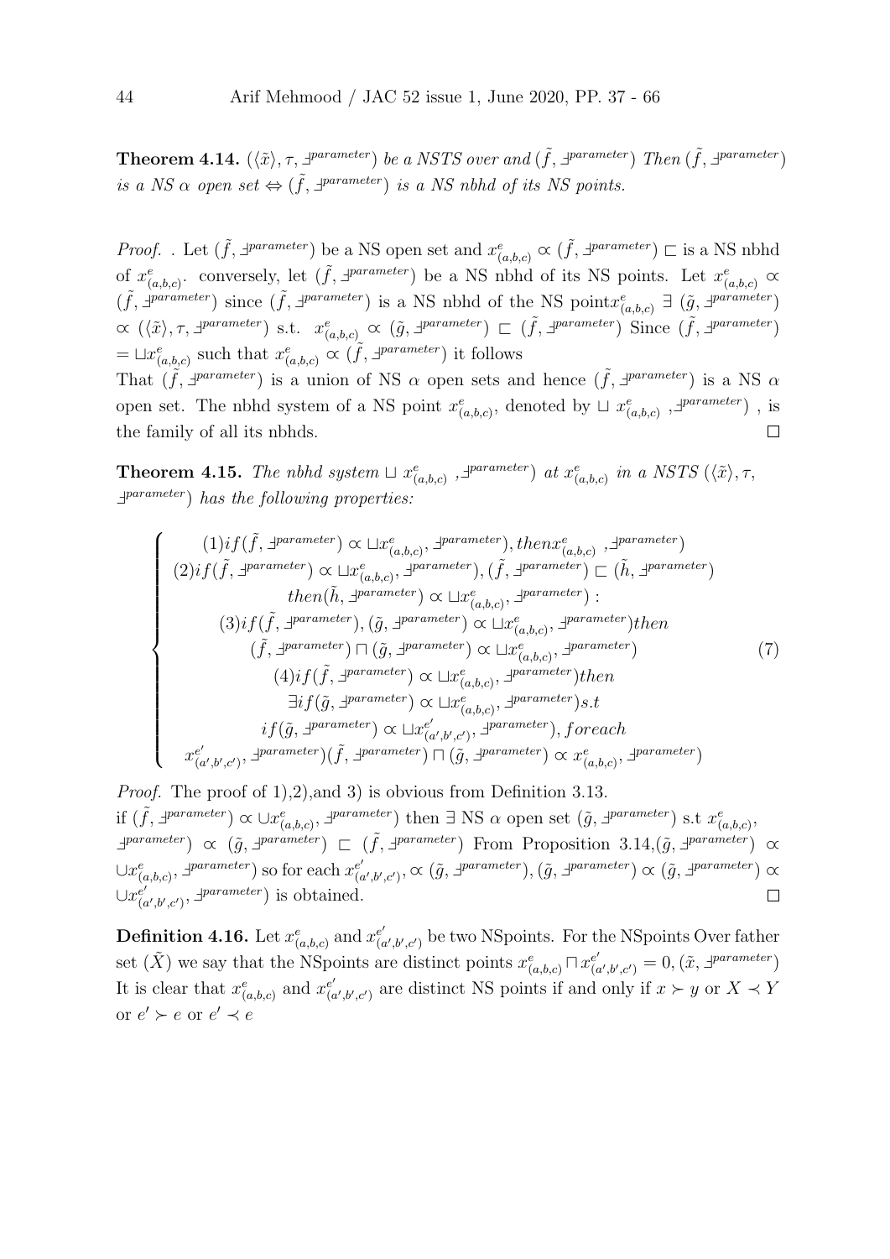**Theorem 4.14.**  $(\langle \tilde{x} \rangle, \tau, \exists^{parameter})$  be a NSTS over and  $(\tilde{f}, \exists^{parameter})$  Then  $(\tilde{f}, \exists^{parameter})$ is a NS  $\alpha$  open set  $\Leftrightarrow (\tilde{f}, \exists^{parameter})$  is a NS nbhd of its NS points.

*Proof.* . Let  $(\tilde{f}, \exists^{parameter})$  be a NS open set and  $x_{(a,b,c)}^e \propto (\tilde{f}, \exists^{parameter}) \sqsubset$  is a NS nbhd of  $x_{(a,b,c)}^e$ . conversely, let  $(\tilde{f}, \exists^{parameter})$  be a NS nbhd of its NS points. Let  $x_{(a,b,c)}^e \propto$  $(\tilde{f}, \exists^{parameter})$  since  $(\tilde{f}, \exists^{parameter})$  is a NS nbhd of the NS point $x_{(a,b,c)}^e \exists (\tilde{g}, \exists^{parameter})$  $\alpha \ (\langle \tilde{x} \rangle, \tau, \exists^{parameter}) \text{ s.t. } x_{(a,b,c)}^e \alpha \ (\tilde{g}, \exists^{parameter}) \sqsubset (\tilde{f}, \exists^{parameter}) \text{ Since } (\tilde{f}, \exists^{parameter})$  $=\sqcup x_{(a,b,c)}^e$  such that  $x_{(a,b,c)}^e \propto (\tilde{f}, \exists^{parameter})$  it follows That  $(\tilde{f}, \exists^{parameter})$  is a union of NS  $\alpha$  open sets and hence  $(\tilde{f}, \exists^{parameter})$  is a NS  $\alpha$ open set. The nbhd system of a NS point  $x^e_{(a,b,c)}$ , denoted by  $\sqcup x^e_{(a,b,c)}$ ,  $\exists^{parameter}$ ), is

 $\Box$ 

the family of all its nbhds.

**Theorem 4.15.** The nbhd system  $\sqcup x_{(a,b,c)}^e$ ,  $\exists^{parameter}$  at  $x_{(a,b,c)}^e$  in a NSTS  $(\langle \tilde{x} \rangle, \tau, \rangle)$  $\exists^{parameter}$ ) has the following properties:

$$
\begin{cases}\n(1) if (\tilde{f}, \exists \textit{parameter}) \propto \sqcup x_{(a,b,c)}^{e}, \exists \textit{parameter}), then x_{(a,b,c)}^{e}, \exists \textit{parameter}) \\
(2) if (\tilde{f}, \exists \textit{parameter}) \propto \sqcup x_{(a,b,c)}^{e}, \exists \textit{parameter}), (\tilde{f}, \exists \textit{parameter}) \sqsubset (\tilde{h}, \exists \textit{parameter}) \\
then (\tilde{h}, \exists \textit{parameter}) \propto \sqcup x_{(a,b,c)}^{e}, \exists \textit{parameter}) : \\
(3) if (\tilde{f}, \exists \textit{parameter}), (\tilde{g}, \exists \textit{parameter}) \propto \sqcup x_{(a,b,c)}^{e}, \exists \textit{parameter}) then \\
(\tilde{f}, \exists \textit{parameter}) \sqcap (\tilde{g}, \exists \textit{parameter}) \propto \sqcup x_{(a,b,c)}^{e}, \exists \textit{parameter}) then \\
(4) if (\tilde{f}, \exists \textit{parameter}) \propto \sqcup x_{(a,b,c)}^{e}, \exists \textit{parameter}) then \\
\exists if (\tilde{g}, \exists \textit{parameter}) \propto \sqcup x_{(a,b,c)}^{e}, \exists \textit{parameter}) s.t \\
if (\tilde{g}, \exists \textit{parameter}) \propto \sqcup x_{(a',b',c')}^{e}, \exists \textit{parameter}), for each \\
x_{(a',b',c')}^{e}, \exists \textit{parameter}) (\tilde{f}, \exists \textit{parameter}) \sqcap (\tilde{g}, \exists \textit{parameter}) \propto x_{(a,b,c)}^{e}, \exists \textit{parameter})\n\end{cases}
$$

Proof. The proof of 1),2),and 3) is obvious from Definition 3.13. if  $(\tilde{f}, \exists \text{parameter}) \propto \cup x_{(a,b,c)}^e, \exists \text{parameter})$  then  $\exists$  NS  $\alpha$  open set  $(\tilde{g}, \exists \text{parameter})$  s.t  $x_{(a,b,c)}^e$ ,  $\exists$ parameter)  $\alpha$  ( $\tilde{g}$ ,  $\exists$ parameter)  $\Box$  ( $\tilde{f}$ ,  $\exists$ parameter) From Proposition 3.14,( $\tilde{g}$ ,  $\exists$ parameter)  $\alpha$  $\cup x^e_{(a,b,c)}, \exists^{parameter}$ ) so for each  $x^{e'}_{(c)}$  $(e'_{(a',b',c')}, \propto (\tilde{g}, \exists^{parameter}), (\tilde{g}, \exists^{parameter}) \propto (\tilde{g}, \exists^{parameter}) \propto$  $\cup x_{\alpha}^{e'}$  $e'_{(a',b',c')}$ ,  $\exists^{parameter}$ ) is obtained.  $\Box$ 

**Definition 4.16.** Let  $x^e_{(a,b,c)}$  and  $x^{e'}_{(c)}$  $e'_{(a',b',c')}$  be two NSpoints. For the NSpoints Over father set  $(\tilde{X})$  we say that the NSpoints are distinct points  $x_{(a,b,c)}^e \sqcap x_{(c)}^{e'}$  $\begin{pmatrix} e'\\(a',b',c') \end{pmatrix} = 0,(\tilde{x},\exists^{parameter})$ It is clear that  $x^e_{(a,b,c)}$  and  $x^{e'}_{(c)}$  $e'_{(a',b',c')}$  are distinct NS points if and only if  $x \succ y$  or  $X \prec Y$ or  $e' \succ e$  or  $e' \prec e$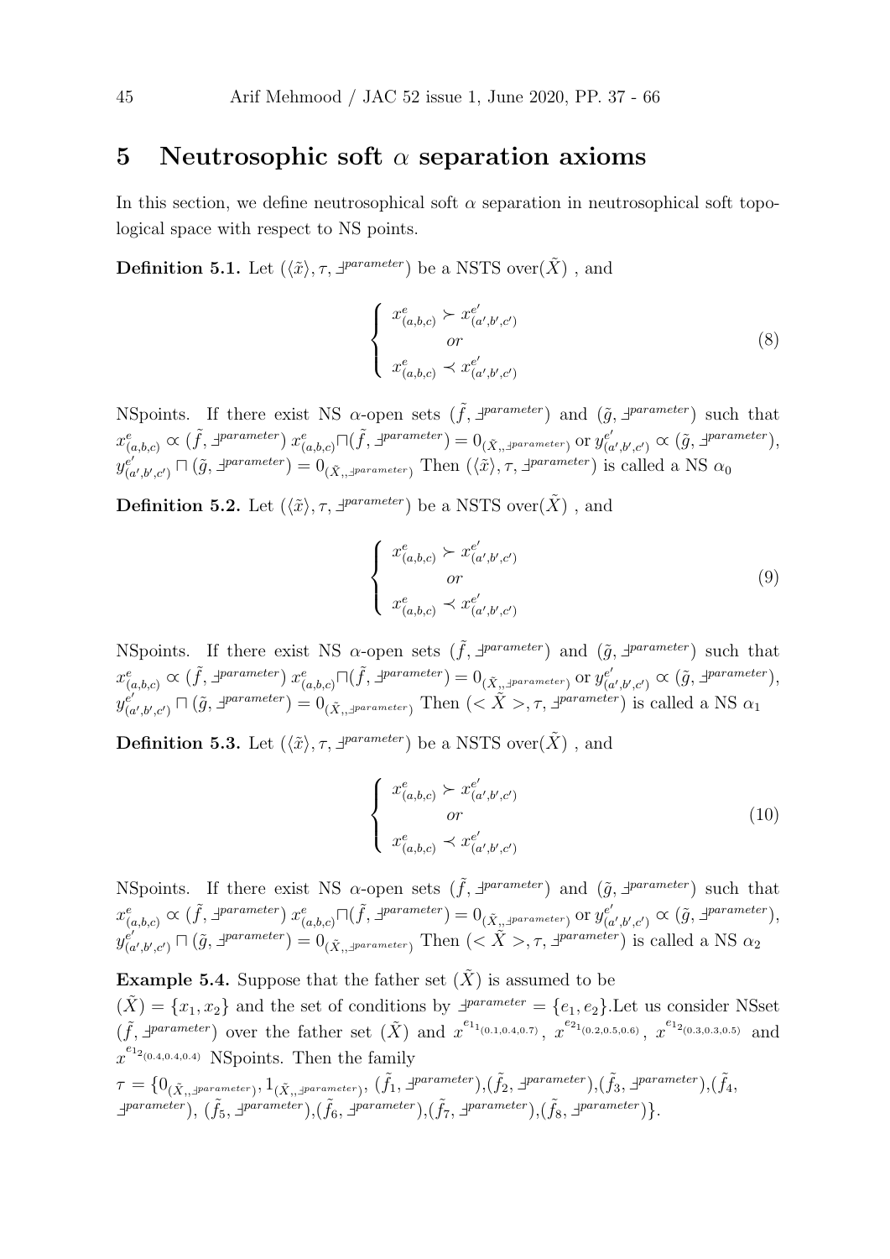#### 5 Neutrosophic soft  $\alpha$  separation axioms

In this section, we define neutrosophical soft  $\alpha$  separation in neutrosophical soft topological space with respect to NS points.

**Definition 5.1.** Let  $(\langle \tilde{x} \rangle, \tau, \exists^{parameter})$  be a NSTS over $(\tilde{X})$ , and

$$
\begin{cases}\n x_{(a,b,c)}^e \succ x_{(a',b',c')}^{e'} \\
 or \\
 x_{(a,b,c)}^e \prec x_{(a',b',c')}^{e'}\n\end{cases}
$$
\n(8)

NSpoints. If there exist NS  $\alpha$ -open sets  $(\tilde{f}, \exists^{parameter})$  and  $(\tilde{g}, \exists^{parameter})$  such that  $x^e_{(a,b,c)} \propto (\tilde{f}, \exists^{parameter}) x^e_{(a,b,c)} \Box(\tilde{f}, \exists^{parameter}) = 0_{(\tilde{X}, \exists^{parameter})}$  or  $y^{e'}_{(a,b,c)}$  $e'_{(a',b',c')} \propto (\tilde{g}, \exists^{parameter}),$  $y_{\ell_0}^{e'}$  $(e'_{(a',b',c')}\sqcap(\tilde{g},\exists^{parameter})=0_{(\tilde{X},\exists^{parameter})}$  Then  $(\langle \tilde{x}\rangle,\tau,\exists^{parameter})$  is called a NS  $\alpha_0$ 

**Definition 5.2.** Let  $(\langle \tilde{x} \rangle, \tau, \exists^{parameter})$  be a NSTS over $(\tilde{X})$ , and

$$
\begin{cases}\n x_{(a,b,c)}^e \succ x_{(a',b',c')}^{e'} & \text{or} \\
 x_{(a,b,c)}^e \prec x_{(a',b',c')}^{e'} & \n\end{cases}
$$
\n(9)

NSpoints. If there exist NS  $\alpha$ -open sets  $(\tilde{f}, \exists^{parameter})$  and  $(\tilde{g}, \exists^{parameter})$  such that  $x^e_{(a,b,c)} \propto (\tilde{f}, \exists^{parameter}) x^e_{(a,b,c)} \Box(\tilde{f}, \exists^{parameter}) = 0_{(\tilde{X}, \exists^{parameter})}$  or  $y^{e'}_{(a,b,c)}$  $e'_{(a',b',c')} \propto (\tilde{g}, \exists^{parameter}),$  $y_{\ell}^{e'}$  $(e')_{(a',b',c')} \sqcap (\tilde{g},\exists^{parameter}) = 0_{(\tilde{X},\exists^{parameter})}$  Then  $(<\tilde{X}>, \tau, \exists^{parameter})$  is called a NS  $\alpha_1$ 

**Definition 5.3.** Let  $(\langle \tilde{x} \rangle, \tau, \exists^{parameter})$  be a NSTS over $(\tilde{X})$ , and

$$
\begin{cases}\n x_{(a,b,c)}^e \succ x_{(a',b',c')}^{e'} & \text{or} \\
 x_{(a,b,c)}^e \prec x_{(a',b',c')}^{e'} & \n\end{cases}
$$
\n(10)

NSpoints. If there exist NS  $\alpha$ -open sets  $(\tilde{f}, \exists^{parameter})$  and  $(\tilde{g}, \exists^{parameter})$  such that  $x^e_{(a,b,c)} \propto (\tilde{f}, \exists^{parameter}) x^e_{(a,b,c)} \Box(\tilde{f}, \exists^{parameter}) = 0_{(\tilde{X}, \exists^{parameter})}$  or  $y^{e'}_{(a,b,c)}$  $e'_{(a',b',c')} \propto (\tilde{g}, \exists^{parameter}),$  $y_{\ell_0}^{e'}$  $\mathcal{L}(\mathcal{L}^{(c)},\mathcal{L}') \cap (\tilde{g},\exists^{parameter}) = 0_{(\tilde{X},\mathcal{L})^{parameter}}$  Then  $(<\tilde{X}>, \tau, \exists^{parameter})$  is called a NS  $\alpha_2$ 

**Example 5.4.** Suppose that the father set  $(\tilde{X})$  is assumed to be  $(\tilde{X}) = \{x_1, x_2\}$  and the set of conditions by  $\exists^{parameter} = \{e_1, e_2\}$ . Let us consider NSset  $(\tilde{f}, \exists^{parameter})$  over the father set  $(\tilde{X})$  and  $x^{e_{1}}(0.1,0.4,0.7)}, x^{e_{2}}(0.2,0.5,0.6)}, x^{e_{1}}(0.3,0.3,0.5)}$  and  $x^{e_{1_{2(0.4,0.4,0.4)}}}$  NSpoints. Then the family

$$
\tau = \{0_{(\tilde{X}_1, \exists parameter)}, 1_{(\tilde{X}_1, \exists parameter)}, (\tilde{f}_1, \exists parameter), (\tilde{f}_2, \exists parameter), (\tilde{f}_3, \exists parameter), (\tilde{f}_4, \exists parameter), (\tilde{f}_5, \exists parameter), (\tilde{f}_6, \exists parameter), (\tilde{f}_7, \exists parameter), (\tilde{f}_8, \exists parameter)\}.
$$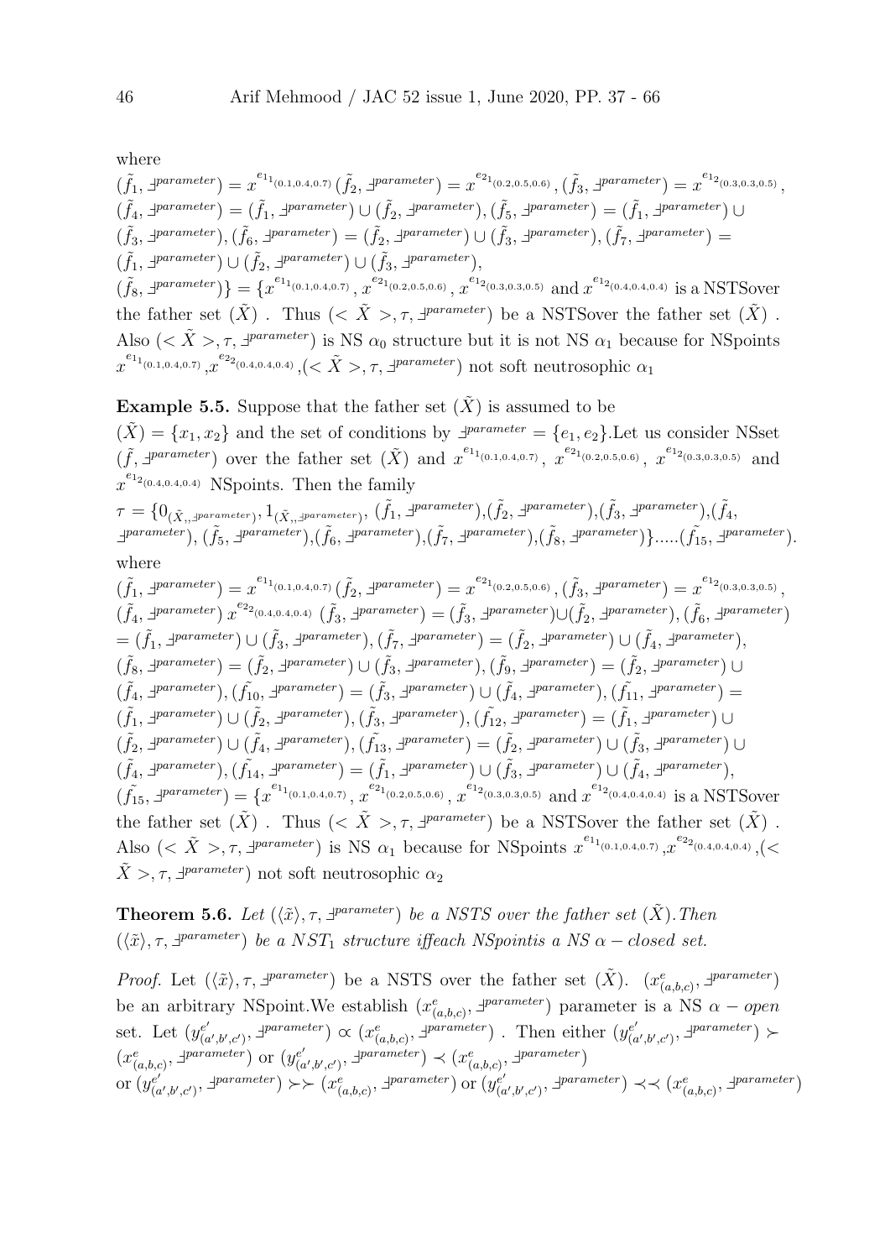where

$$
(\tilde{f}_1, \exists \text{parameter}) = x^{e_{1_{(0.1,0.4,0.7)}}}(\tilde{f}_2, \exists \text{parameter}) = x^{e_{2_{(0.2,0.5,0.6)}}}, (\tilde{f}_3, \exists \text{parameter}) = x^{e_{1_{(0.3,0.3,0.5)}}},
$$
  
\n
$$
(\tilde{f}_4, \exists \text{parameter}) = (\tilde{f}_1, \exists \text{parameter}) \cup (\tilde{f}_2, \exists \text{parameter}), (\tilde{f}_5, \exists \text{parameter}) = (\tilde{f}_1, \exists \text{parameter}) \cup
$$
  
\n
$$
(\tilde{f}_3, \exists \text{parameter}), (\tilde{f}_6, \exists \text{parameter}) = (\tilde{f}_2, \exists \text{parameter}) \cup (\tilde{f}_3, \exists \text{parameter}), (\tilde{f}_7, \exists \text{parameter}) =
$$
  
\n
$$
(\tilde{f}_1, \exists \text{parameter}) \cup (\tilde{f}_2, \exists \text{parameter}) \cup (\tilde{f}_3, \exists \text{parameter}),
$$
  
\n
$$
(\tilde{f}_8, \exists \text{parameter}) \cup (\tilde{f}_2, \exists \text{parameter}) \cup (\tilde{f}_3, \exists \text{parameter}),
$$
  
\n
$$
(\tilde{f}_8, \exists \text{parameter}) \cup (\tilde{f}_2, \exists \text{parameter}) \cup (\tilde{f}_3, \exists \text{parameter}),
$$
  
\n
$$
(\tilde{f}_8, \exists \text{parameter}) \cup (\tilde{f}_2, \exists \text{parameter}) \cup (\tilde{f}_3, \exists \text{parameter})
$$
  
\n
$$
(\tilde{f}_4, \exists \text{parameter}) \cup (\tilde{f}_4, \exists \text{parameter}) \cup (\tilde{f}_5, \exists \text{parameter})
$$
  
\n
$$
(\tilde{f}_5, \exists \text{parameter}) \cup (\tilde{f}_6, \exists \text{parameter}) \cup (\tilde{f}_7, \exists \text{parameter})
$$
  
\n
$$
(\tilde{f}_8, \exists \text{parameter}) \cup (\tilde{f}_9, \exists \text{parameter}) \cup (\tilde{f}_9, \exists \text{parameter})
$$
  
\n
$$
(\tilde{f}_9, \exists \text{parameter}) \cup (\tilde{f}_9, \exists \
$$

**Example 5.5.** Suppose that the father set  $(X)$  is assumed to be  $(\tilde{X}) = \{x_1, x_2\}$  and the set of conditions by  $\exists^{parameter} = \{e_1, e_2\}$ . Let us consider NSset  $(\tilde{f}, \exists^{parameter})$  over the father set  $(\tilde{X})$  and  $x^{e_{1}}(0.1,0.4,0.7)}, x^{e_{2}}(0.2,0.5,0.6)}, x^{e_{1}}(0.3,0.3,0.5)}$  and  $x^{e_{1_{2(0.4,0.4,0.4)}}}$  NSpoints. Then the family  $\tau = \{0_{(\tilde{X}_i, \exists \textit{parameter})}, 1_{(\tilde{X}_i, \exists)}\}$  $_{parameter}),\,(\tilde{f}_{1},\exists^{parameter}),(\tilde{f}_{2},\exists^{parameter}),(\tilde{f}_{3},\exists^{parameter}),(\tilde{f}_{4},% \tilde{f}_{5},\exists^{parameter})$ 

$$
f = \left(\begin{matrix} 0(X_{1,1})\text{parameter} \\ 0(X_{2,1})\text{parameter} \end{matrix}\right), \left(\tilde{f}_5, 1\text{parameter}\right), \left(\tilde{f}_6, 1\text{parameter}\right), \left(\tilde{f}_7, 1\text{parameter}\right), \left(\tilde{f}_8, 1\text{parameter}\right), \left(\tilde{f}_8, 1\text{parameter}\right), \dots, \left(\tilde{f}_{15,1}\text{parameter}\right).
$$
\nwhere

$$
(\tilde{f}_1, \exists \text{parameter}) = x^{e_{1_{(0.1,0.4,0.7)}}(\tilde{f}_2, \exists \text{parameter}) = x^{e_{2_{(0.2,0.5,0.6)}}(\tilde{f}_3, \exists \text{parameter}) = x^{e_{1_{(0.3,0.3,0.5)}}},
$$
  
\n
$$
(\tilde{f}_4, \exists \text{parameter}) x^{e_{2_{(0.4,0.4,0.4)}}(\tilde{f}_3, \exists \text{parameter}) = (\tilde{f}_3, \exists \text{parameter}) \cup (\tilde{f}_2, \exists \text{parameter}), (\tilde{f}_6, \exists \text{parameter})
$$
  
\n
$$
= (\tilde{f}_1, \exists \text{parameter}) \cup (\tilde{f}_3, \exists \text{parameter}) (\tilde{f}_7, \exists \text{parameter}) = (\tilde{f}_2, \exists \text{parameter}) \cup (\tilde{f}_4, \exists \text{parameter}),
$$
  
\n
$$
(\tilde{f}_8, \exists \text{parameter}) = (\tilde{f}_2, \exists \text{parameter}) \cup (\tilde{f}_3, \exists \text{parameter}) (\tilde{f}_4, \exists \text{parameter}) = (\tilde{f}_2, \exists \text{parameter}) \cup
$$
  
\n
$$
(\tilde{f}_4, \exists \text{parameter}) (\tilde{f}_1, \exists \text{parameter}) = (\tilde{f}_3, \exists \text{parameter}) \cup (\tilde{f}_4, \exists \text{parameter}) = (\tilde{f}_2, \exists \text{parameter}) \cup
$$
  
\n
$$
(\tilde{f}_1, \exists \text{parameter}) \cup (\tilde{f}_2, \exists \text{parameter}), (\tilde{f}_3, \exists \text{parameter}) (\tilde{f}_4, \exists \text{parameter}) = (\tilde{f}_1, \exists \text{parameter}) \cup
$$
  
\n
$$
(\tilde{f}_2, \exists \text{parameter}) \cup (\tilde{f}_4, \exists \text{parameter}) (\tilde{f}_1, \exists \text{parameter}) = (\tilde{f}_1, \exists \text{parameter}) \cup (\tilde{f}_4, \exists \text{parameter}) \cup (\tilde{f}_4, \exists \text{parameter})
$$
  
\n
$$
(\tilde{f}_4, \exists \text{parameter}) \cup (\tilde{f}_4, \exists \text{parameter}) = (\tilde{f}_1, \exists \text{parameter}) \cup (\til
$$

**Theorem 5.6.** Let  $(\langle \tilde{x} \rangle, \tau, \exists^{parameter})$  be a NSTS over the father set  $(\tilde{X})$ . Then  $(\langle \tilde{x} \rangle, \tau, \exists^{parameter})$  be a NST<sub>1</sub> structure iffeach NSpointis a NS  $\alpha$  – closed set.

*Proof.* Let  $(\langle \tilde{x} \rangle, \tau, \exists^{parameter})$  be a NSTS over the father set  $(\tilde{X})$ .  $(x_{(a,b,c)}^e, \exists^{parameter})$ be an arbitrary NSpoint. We establish  $(x_{(a,b,c)}^e, \exists^{parameter})$  parameter is a NS  $\alpha - open$ set. Let  $(y_{\alpha}^{e'}$  $(a',b',c')$ ,  $\exists$  parameter)  $\alpha$   $(x_{(a,b,c)}^e, \exists$  parameter). Then either  $(y_{(a',b',c')}^{e'}),$  $\big( a',b',c'\big), \exists *parameter* \big) >$  $(x_{(a,b,c)}^e, \exists^{parameter})$  or  $(y_{(a)}^{e'})$  $(e'_{(a',b',c')}, \exists \text{parameter}) \prec (x_{(a,b,c)}^e, \exists \text{parameter})$ or  $(y_{\alpha}^{e^{\prime}})$  $(e'_{(a',b',c')}, \exists \text{parameter}) \succ \succ (x_{(a,b,c)}^e, \exists \text{parameter}) \text{ or } (y_{(a',b',c')^e, \bot})$  $(e'_{(a',b',c')}, \exists \text{parameter}) \prec \prec (x_{(a,b,c)}^e, \exists \text{parameter})$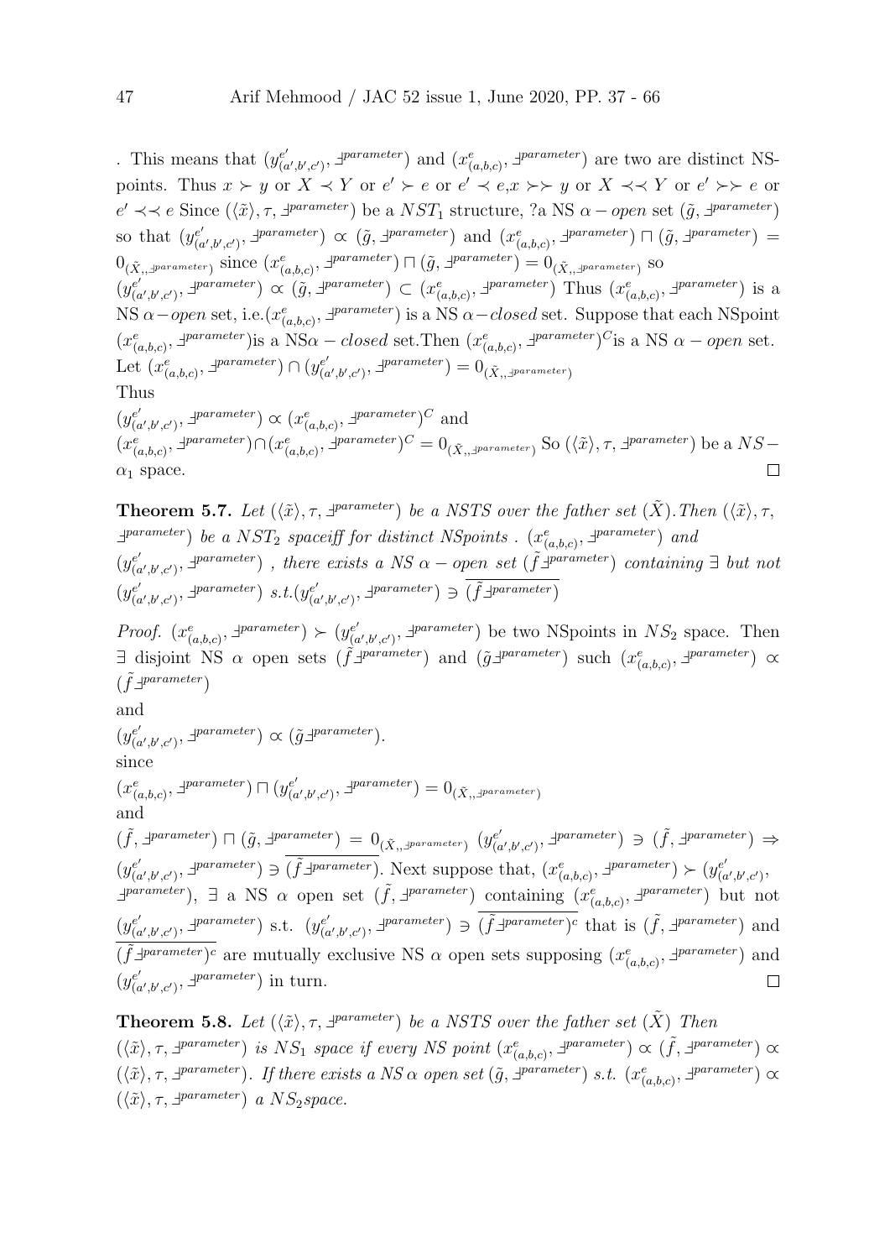. This means that  $(y_{0}^{e'}$  $(e'_{(a',b',c')}, \exists^{parameter})$  and  $(x_{(a,b,c)}^e, \exists^{parameter})$  are two are distinct NSpoints. Thus  $x \succ y$  or  $X \prec Y$  or  $e' \succ e$  or  $e' \prec e, x \succ \succ y$  or  $X \prec \prec Y$  or  $e' \succ \succ e$  or  $e' \prec\prec e$  Since  $(\langle \tilde{x} \rangle, \tau, \exists^{parameter})$  be a  $NST_1$  structure, ?a NS  $\alpha$  – open set  $(\tilde{g}, \exists^{parameter})$ so that  $(y_{\alpha}^{e^{\prime}})$  $(e'_{(a',b',c')}, \exists \text{parameter}) \propto (\tilde{g}, \exists \text{parameter}) \text{ and } (x^e_{(a,b,c)}, \exists \text{parameter}) \sqcap (\tilde{g}, \exists \text{parameter}) =$  $0_{(\tilde{X},\mathcal{I}^{parameter})}$  since  $(x_{(a,b,c)}^e, \mathcal{I}^{parameter}) \sqcap (\tilde{g}, \mathcal{I}^{parameter}) = 0_{(\tilde{X},\mathcal{I}^{parameter})}$  so  $(y_{\alpha}^{e^{\prime}})$  $(e', b', c')$ ,  $\exists$  parameter)  $\alpha$  ( $\tilde{g}$ ,  $\exists$  parameter)  $\subset (x_{(a,b,c)}^e, \exists^{parameter})$  Thus  $(x_{(a,b,c)}^e, \exists^{parameter})$  is a NS  $\alpha$  – open set, i.e.  $(x_{(a,b,c)}^e, \exists^{parameter})$  is a NS  $\alpha$  – closed set. Suppose that each NSpoint  $(x_{(a,b,c)}^e, \exists^{parameter})$  is a NS $\alpha$  – closed set. Then  $(x_{(a,b,c)}^e, \exists^{parameter})^C$  is a NS  $\alpha$  – open set. Let  $(x_{(a,b,c)}^e, \exists^{parameter}) \cap (y_{(c}^{e'})$  $\binom{e'}{(a',b',c')}$ ,  $\exists^{parameter}$  =  $0_{(\tilde{X},, \exists^{parameter})}$ Thus  $(y_{\ell}^{e'})$  $(a',b',c')$ ,  $\exists$  parameter)  $\alpha$   $(x_{(a,b,c)}^e, \exists$  parameter)<sup>*C*</sup> and

 $(x_{(a,b,c)}^e, \exists^{parameter}) \cap (x_{(a,b,c)}^e, \exists^{parameter})^C = 0_{(\tilde{X}, \exists^{parameter})}$  So  $(\langle \tilde{x} \rangle, \tau, \exists^{parameter})$  be a  $NS \Box$  $\alpha_1$  space.

**Theorem 5.7.** Let  $(\langle \tilde{x} \rangle, \tau, \exists^{parameter})$  be a NSTS over the father set  $(\tilde{X})$ . Then  $(\langle \tilde{x} \rangle, \tau, \tau)$  $\exists^{parameter}$ ) be a NST<sub>2</sub> spaceiff for distinct NSpoints .  $(x_{(a,b,c)}^e, \exists^{parameter})$  and  $(y_{\alpha}^{e^{\prime}})$  $(e'_{(a',b',c')}, \exists^{parameter})$ , there exists a NS  $\alpha$  – open set ( $\tilde{f}$  $\exists^{parameter}$ ) containing  $\exists$  but not  $(y_{\ell}^{e'})$  $(e'_{(a',b',c')}, \exists \textit{parameter}) \ s.t. (y_{(a)}^{e'})$  $(e'_{(a',b',c')}, \exists \text{parameter}) \ni (\tilde{f} \exists \text{parameter})$ 

Proof.  $(x_{(a,b,c)}^e, \exists^{parameter}) \succ (y_{(a,b,c)}^{e'})$  $(e'_{(a',b',c')}, \mathcal{I}^{parameter})$  be two NSpoints in  $NS_2$  space. Then  $\exists$  disjoint NS  $\alpha$  open sets  $(\tilde{f} \exists^{parameter})$  and  $(\tilde{g} \exists^{parameter})$  such  $(x^e_{(a,b,c)}, \exists^{parameter}) \propto$  $(\tilde{f} \exists^{parameter})$ 

and

 $(y_{\ell}^{e'})$  $_{(a',b',c')}^{e'}$ ,  $\exists^{parameter}$ )  $\propto$   $(\tilde{g} \exists^{parameter})$ . since

$$
(x^e_{(a,b,c)},\exists^{parameter})\sqcap(y^{e'}_{(a',b',c')},\exists^{parameter})=0_{(\tilde{X}_i,\exists^{parameter})}
$$
 and

 $(\tilde{f}, \exists \textit{parameter}) \sqcap (\tilde{g}, \exists \textit{parameter}) = 0_{(\tilde{X}, \exists \textit{parameter})} (y_{(g)})$  $(e'_{(a',b',c')}, \exists \text{parameter}) \ni (\tilde{f}, \exists \text{parameter}) \Rightarrow$  $(e'_{(a',b',c')}, \exists^{\text{parameter}}) \ni (\tilde{f} \exists^{\text{parameter}}).$  Next suppose that,  $(x_{(a,b,c)}^e, \exists^{\text{parameter}}) \succ (y_{(a',b',c')}, \exists^{\text{parameter}})$  $(y_{\alpha}^{e^{\prime}})$  $\bigl( \begin{smallmatrix} e' \cr a',b',c' \end{smallmatrix} \bigr),$  $\exists$  parameter),  $\exists$  a NS  $\alpha$  open set  $(\tilde{f}, \exists^{parameter})$  containing  $(x_{(a,b,c)}^e, \exists^{parameter})$  but not  $(e'_{(a',b',c')}, \exists \textit{parameter}) \ni (\tilde{f} \exists \textit{parameter})^c$  that is  $(\tilde{f}, \exists \textit{parameter})$  and  $(y_{\ell}^{e'})$  $(e'_{(a',b',c')}, \exists^{parameter})$  s.t.  $(y_{(a)}^{e'})$  $(\tilde{f})^{\text{parameter}}$  are mutually exclusive NS  $\alpha$  open sets supposing  $(x_{(a,b,c)}^e, \exists^{parameter})$  and  $(y_{\ell}^{e'})$  $(e'_{(a',b',c')}, \exists *parameter*)$  in turn.  $\Box$ 

**Theorem 5.8.** Let  $(\langle \tilde{x} \rangle, \tau, \exists^{parameter})$  be a NSTS over the father set  $(\tilde{X})$  Then  $(\langle \tilde{x} \rangle, \tau, \exists^{parameter})$  is  $NS_1$  space if every NS point  $(x_{(a,b,c)}^e, \exists^{parameter}) \propto (\tilde{f}, \exists^{parameter}) \propto$  $(\langle \tilde{x} \rangle, \tau, \exists^{parameter})$ . If there exists a NS  $\alpha$  open set  $(\tilde{g}, \exists^{parameter})$  s.t.  $(x_{(a,b,c)}^e, \exists^{parameter}) \propto$  $(\langle \tilde{x} \rangle, \tau, \exists^{parameter})$  a  $NS_2 space$ .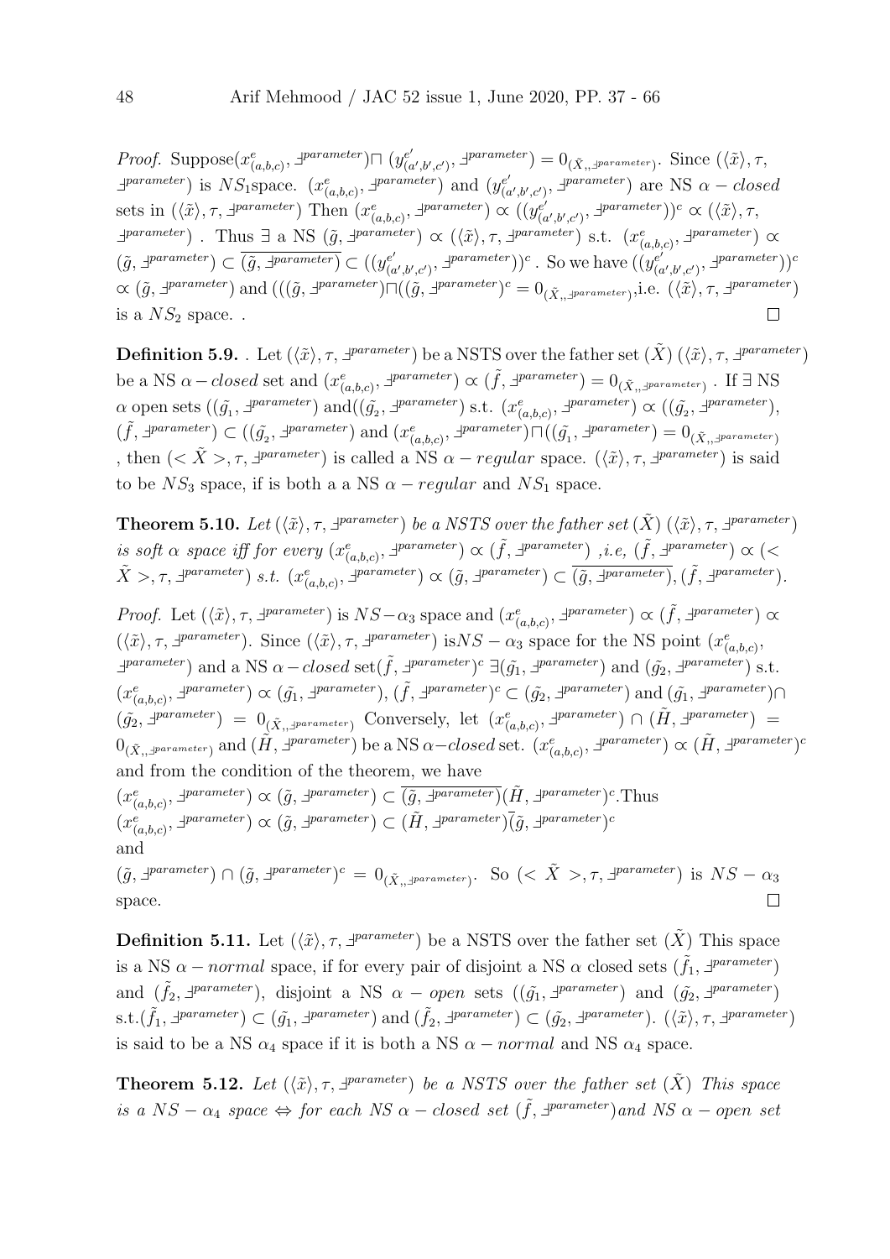*Proof.* Suppose $(x_{(a,b,c)}^e, \exists^{parameter}) \sqcap (y_{(a,b,c)}^{e'})$  $(e'_{(a',b',c')}, \exists^{parameter}) = 0_{(\tilde{X},, \exists^{parameter})}.$  Since  $(\langle \tilde{x} \rangle, \tau, \rangle)$  $\exists^{parameter}$  is NS<sub>1</sub>space.  $(x_{(a,b,c)}^e, \exists^{parameter})$  and  $(y_{(c)}^{e'})$  $\binom{e'}{(a',b',c')}$ ,  $\exists^{parameter}$  are NS  $\alpha - closed$ sets in  $(\langle \tilde{x} \rangle, \tau, \exists^{parameter})$  Then  $(x_{(a,b,c)}^e, \exists^{parameter}) \propto ((y_{(c)}^{e'})$  $(e'_{(a',b',c')}, \exists^{parameter})^c \propto (\langle \tilde{x} \rangle, \tau,$  $\exists$  parameter) . Thus  $\exists$  a NS  $(\tilde{g}, \exists^{parameter}) \propto (\langle \tilde{x} \rangle, \tau, \exists^{parameter})$  s.t.  $(x_{(a,b,c)}^e, \exists^{parameter}) \propto$  $(\tilde{g}, \exists^{parameter}) \subset (\tilde{g}, \exists^{parameter}) \subset ((y_{0}^{e'})$  $(\alpha',\beta',c')$ ,  $\exists^{parameter})$ )<sup>c</sup>. So we have  $((y_{(c)}^{e'})$  $\binom{e'}{(a',b',c')}$ ,  $\exists^{parameter})$ )  $\alpha$  ( $\tilde{g}$ ,  $\exists^{parameter}$ ) and  $(((\tilde{g}, \exists^{parameter}) \sqcap ((\tilde{g}, \exists^{parameter})^c = 0_{(\tilde{X}, \exists^{parameter})}, i.e. ((\tilde{x}), \tau, \exists^{parameter})$ is a  $NS_2$  space...  $\Box$ 

**Definition 5.9.** Let  $(\langle \tilde{x} \rangle, \tau, \exists^{parameter})$  be a NSTS over the father set  $(\tilde{X}) (\langle \tilde{x} \rangle, \tau, \exists^{parameter})$ be a NS  $\alpha$  – closed set and  $(x_{(a,b,c)}^e, \exists^{parameter}) \propto (\tilde{f}, \exists^{parameter}) = 0_{(\tilde{X}, \exists^{parameter})}$ . If  $\exists$  NS  $\alpha$  open sets  $((\tilde{g}_1, \exists^{parameter}) \text{ and } ((\tilde{g}_2, \exists^{parameter}) \text{ s.t. } (x_{(a,b,c)}^e, \exists^{parameter}) \propto ((\tilde{g}_2, \exists^{parameter}),$  $(\tilde{f}, \exists \textit{parameter}) \subset ((\tilde{g}_2, \exists \textit{parameter}) \text{ and } (x^e_{(a,b,c)}, \exists \textit{parameter}) \cap ((\tilde{g}_1, \exists \textit{parameter}) = 0_{(\tilde{X}, \exists \textit{parameter})})$ , then  $( $\tilde{X} > 0.7$ ,  $\exists$  *parameter*) is called a NS  $\alpha - regular$  space.  $(\langle \tilde{x} \rangle, \tau, \exists$  *parameter*) is said$ to be  $NS_3$  space, if is both a a NS  $\alpha$  – regular and  $NS_1$  space.

**Theorem 5.10.** Let  $(\langle \tilde{x} \rangle, \tau, \exists^{parameter})$  be a NSTS over the father set  $(\tilde{X})$   $(\langle \tilde{x} \rangle, \tau, \exists^{parameter})$ is soft  $\alpha$  space iff for every  $(x_{(a,b,c)}^e, \exists^{parameter}) \propto (\tilde{f}, \exists^{parameter})$ , i.e,  $(\tilde{f}, \exists^{parameter}) \propto (\leq$  $\tilde{X} > \tau, \exists^{parameter} \text{ } s.t. \text{ } (x_{(a,b,c)}^e, \exists^{parameter}) \propto (\tilde{g}, \exists^{parameter}) \subset (\tilde{g}, \exists^{parameter}), (\tilde{f}, \exists^{parameter}).$ 

Proof. Let  $(\langle \tilde{x} \rangle, \tau, \exists^{parameter})$  is  $NS-\alpha_3$  space and  $(x_{(a,b,c)}^e, \exists^{parameter}) \propto (\tilde{f}, \exists^{parameter}) \propto$  $(\langle \tilde{x} \rangle, \tau, \exists^{parameter})$ . Since  $(\langle \tilde{x} \rangle, \tau, \exists^{parameter})$  is $NS - \alpha_3$  space for the NS point  $(x_{(a,b,c)}^e, \tau)$  $\exists$ parameter) and a NS  $\alpha$  – closed set( $\tilde{f}$ ,  $\exists$ <sup>parameter</sup>)<sup>c</sup>  $\exists$ ( $\tilde{g}_1$ ,  $\exists$ parameter) and ( $\tilde{g}_2$ ,  $\exists$ parameter) s.t.  $(x^e_{(a,b,c)}, \exists^{parameter}) \propto (\tilde{g_1}, \exists^{parameter}), (\tilde{f}, \exists^{parameter})^c \subset (\tilde{g_2}, \exists^{parameter})$  and  $(\tilde{g_1}, \exists^{parameter}) \cap$  $(\tilde{g}_2, \exists^{parameter}) = 0_{(\tilde{X}_1, \exists^{parameter})}$  Conversely, let  $(x_{(a,b,c)}^e, \exists^{parameter}) \cap (\tilde{H}, \exists^{parameter}) =$  $0_{(\tilde{X},\mathcal{I}^{parameter})}$  and  $(\tilde{H},\mathcal{I}^{parameter})$  be a NS  $\alpha$ -closed set.  $(x_{(a,b,c)}^e, \mathcal{I}^{parameter}) \propto (\tilde{H},\mathcal{I}^{parameter})^c$ and from the condition of the theorem, we have  $(x_{(a,b,c)}^e, \exists^{parameter}) \propto (\tilde{g}, \exists^{parameter}) \subset (\tilde{g}, \exists^{parameter}) (\tilde{H}, \exists^{parameter})^c$ .Thus  $(x_{(a,b,c)}^e, \exists^{parameter}) \propto (\tilde{g}, \exists^{parameter}) \subset (\tilde{H}, \exists^{parameter}) \overline{(\tilde{g}, \exists^{parameter})^c})$ and  $(\tilde{g}, \exists^{parameter}) \cap (\tilde{g}, \exists^{parameter})^c = 0_{(\tilde{X}, \exists^{parameter})}.$  So  $(<\tilde{X}>, \tau, \exists^{parameter})$  is  $NS - \alpha_3$ 

space.

**Definition 5.11.** Let  $(\langle \tilde{x} \rangle, \tau, \exists^{parameter})$  be a NSTS over the father set  $(\tilde{X})$  This space is a NS  $\alpha$  – normal space, if for every pair of disjoint a NS  $\alpha$  closed sets  $(\tilde{f}_1, \exists^{parameter})$ and  $(\tilde{f}_2, \exists^{parameter})$ , disjoint a NS  $\alpha - open$  sets  $((\tilde{g}_1, \exists^{parameter})$  and  $(\tilde{g}_2, \exists^{parameter})$ s.t. $(\tilde{f}_1, \exists^{parameter}) \subset (\tilde{g}_1, \exists^{parameter}) \text{ and } (\tilde{f}_2, \exists^{parameter}) \subset (\tilde{g}_2, \exists^{parameter})$ .  $(\langle \tilde{x} \rangle, \tau, \exists^{parameter})$ is said to be a NS  $\alpha_4$  space if it is both a NS  $\alpha$  – normal and NS  $\alpha_4$  space.

 $\Box$ 

**Theorem 5.12.** Let  $(\langle \tilde{x} \rangle, \tau, \exists^{parameter})$  be a NSTS over the father set  $(\tilde{X})$  This space is a  $NS - \alpha_4$  space  $\Leftrightarrow$  for each  $NS \alpha - closed$  set  $(\tilde{f}, \exists^{parameter})$  and  $NS \alpha - open$  set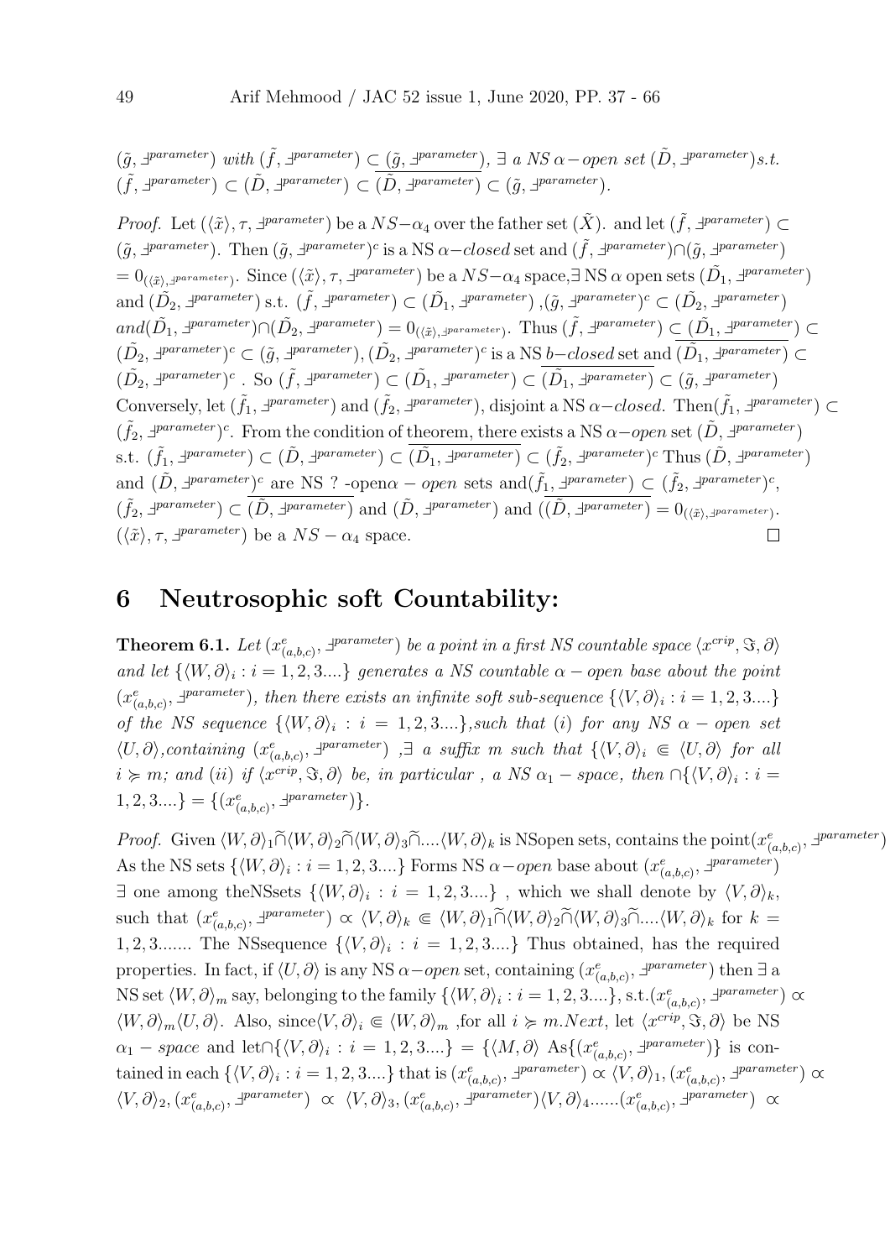$$
(\tilde{g}, \exists^{parameter}) \ with \ (\tilde{f}, \exists^{parameter}) \subset (\tilde{g}, \exists^{parameter}), \exists \ a \ NS \alpha-open \ set \ (\tilde{D}, \exists^{parameter}) s.t.
$$

$$
(\tilde{f}, \exists^{parameter}) \subset (\tilde{D}, \exists^{parameter}) \subset (\tilde{D}, \exists^{parameter}) \subset (\tilde{g}, \exists^{parameter}).
$$

*Proof.* Let  $(\langle \tilde{x} \rangle, \tau, \exists^{parameter})$  be a  $NS-\alpha_4$  over the father set  $(\tilde{X})$ . and let  $(\tilde{f}, \exists^{parameter}) \subset$  $(\tilde{g}, \exists^{parameter})$ . Then  $(\tilde{g}, \exists^{parameter})^c$  is a NS  $\alpha$  -closed set and  $(\tilde{f}, \exists^{parameter}) \cap (\tilde{g}, \exists^{parameter})$  $= 0_{(\langle \tilde{x} \rangle, \exists \textit{parameter})}.$  Since  $(\langle \tilde{x} \rangle, \tau, \exists \textit{parameter})$  be a  $NS-\alpha_4$  space, $\exists$  NS  $\alpha$  open sets  $(\tilde{D}_1, \exists \textit{parameter})$ and  $(\tilde{D_2}, \exists^{parameter})$  s.t.  $(\tilde{f}, \exists^{parameter}) \subset (\tilde{D_1}, \exists^{parameter})$ ,  $(\tilde{g}, \exists^{parameter})^c \subset (\tilde{D_2}, \exists^{parameter})$  $and (\tilde{D_1}, \exists^{parameter}) \cap (\tilde{D_2}, \exists^{parameter}) = \theta_{(\langle \tilde{x} \rangle, \exists^{parameter})}. \text{ Thus } (\tilde{f}, \exists^{parameter}) \subset (\tilde{D_1}, \exists^{parameter}) \subset$  $(\tilde{D}_2, \exists^{parameter})^c$  ⊂  $(\tilde{g}, \exists^{parameter}), (\tilde{D}_2, \exists^{parameter})^c$  is a NS *b*−closed set and  $(\tilde{D}_1, \exists^{parameter})$  ⊂  $(\tilde{D_2}, \exists^{parameter})^c$ . So  $(\tilde{f}, \exists^{parameter}) \subset (\tilde{D_1}, \exists^{parameter}) \subset (\tilde{D_1}, \exists^{parameter}) \subset (\tilde{g}, \exists^{parameter})$ Conversely, let  $(\tilde{f}_1, \exists^{parameter})$  and  $(\tilde{f}_2, \exists^{parameter})$ , disjoint a NS  $\alpha$ -closed. Then $(\tilde{f}_1, \exists^{parameter})$  $(\tilde{f}_2, \exists^{parameter})^c$ . From the condition of theorem, there exists a NS  $\alpha$ -open set  $(\tilde{D}, \exists^{parameter})$ s.t.  $(\tilde{f}_1, \exists^{parameter}) \subset (\tilde{D}, \exists^{parameter}) \subset (\tilde{D}_1, \exists^{parameter}) \subset (\tilde{f}_2, \exists^{parameter})^c \text{ Thus } (\tilde{D}, \exists^{parameter})$ and  $(\tilde{D}, \exists^{parameter})^c$  are NS ? -open $\alpha - open$  sets and $(\tilde{f}_1, \exists^{parameter}) \subset (\tilde{f}_2, \exists^{parameter})^c$ ,  $(\tilde{f}_2, \exists^{parameter}) \subset \overline{(\tilde{D}, \exists^{parameter})}$  and  $(\tilde{D}, \exists^{parameter})$  and  $(\overline{(\tilde{D}, \exists^{parameter})} = 0_{(\langle \tilde{x} \rangle, \exists^{parameter})})$ .  $(\langle \tilde{x} \rangle, \tau, \exists^{parameter})$  be a  $NS - \alpha_4$  space.  $\Box$ 

#### 6 Neutrosophic soft Countability:

**Theorem 6.1.** Let  $(x_{(a,b,c)}^e, \exists^{parameter})$  be a point in a first NS countable space  $\langle x^{crip}, \Im, \partial \rangle$ and let  $\{ \langle W, \partial \rangle_i : i = 1, 2, 3.... \}$  generates a NS countable  $\alpha$  – open base about the point  $(x_{(a,b,c)}^e, \exists^{parameter})$ , then there exists an infinite soft sub-sequence  $\{\langle V, \partial \rangle_i : i = 1, 2, 3....\}$ of the NS sequence  $\{ \langle W, \partial \rangle_i : i = 1, 2, 3,... \},$  such that (i) for any NS  $\alpha$  – open set  $\langle U, \partial \rangle$ , containing  $(x_{(a,b,c)}^e, \exists^{parameter})$ ,  $\exists$  a suffix m such that  $\{\langle V, \partial \rangle_i \in \langle U, \partial \rangle \}$  for all  $i \succcurlyeq m$ ; and (ii) if  $\langle x^{crip}, \Im, \partial \rangle$  be, in particular, a NS  $\alpha_1$  – space, then  $\bigcap \{ \langle V, \partial \rangle_i : i =$  $1, 2, 3...$ } = { $(x_{(a,b,c)}^e, \exists^{parameter})$  }.

*Proof.* Given  $\langle W, \partial \rangle_1 \widetilde{\cap} \langle W, \partial \rangle_2 \widetilde{\cap} \langle W, \partial \rangle_3 \widetilde{\cap} \dots \langle W, \partial \rangle_k$  is NSopen sets, contains the point $(x_{(a,b,c)}^e, \exists^{parameter})$ As the NS sets  $\{ \langle W, \partial \rangle_i : i = 1, 2, 3... \}$  Forms NS  $\alpha$  – open base about  $(x_{(a,b,c)}^e, \exists^{parameter})$ ∃ one among the NSsets  $\{ \langle W, \partial \rangle_i : i = 1, 2, 3,... \}$ , which we shall denote by  $\langle V, \partial \rangle_k$ , such that  $(x_{(a,b,c)}^e, \exists^{parameter}) \propto \langle V, \partial \rangle_k \in \langle W, \partial \rangle_1 \widetilde{\cap} \langle W, \partial \rangle_2 \widetilde{\cap} \langle W, \partial \rangle_3 \widetilde{\cap} \dots \langle W, \partial \rangle_k$  for  $k =$ 1, 2, 3....... The NSsequence  $\{\langle V, \partial \rangle_i : i = 1, 2, 3,...\}$  Thus obtained, has the required properties. In fact, if  $\langle U, \partial \rangle$  is any NS  $\alpha$ -open set, containing  $(x_{(a,b,c)}^e, \exists^{parameter})$  then  $\exists$  a NS set  $\langle W, \partial \rangle_m$  say, belonging to the family  $\{\langle W, \partial \rangle_i : i = 1, 2, 3,...\}, \text{s.t.}(x_{(a,b,c)}^e, \exists^{parameter}) \propto$  $\langle W, \partial \rangle_m \langle U, \partial \rangle$ . Also, since $\langle V, \partial \rangle_i \in \langle W, \partial \rangle_m$ , for all  $i \succcurlyeq m.Next$ , let  $\langle x^{crip}, \Im, \partial \rangle$  be NS  $\alpha_1$  – space and let  $\bigcap \{\langle V,\partial \rangle_i : i = 1,2,3....\} = \{\langle M,\partial \rangle \text{ As} \{\langle x^e_{(a,b,c)},\exists^{parameter} \rangle\} \text{ is continuous.} \}$ tained in each  $\{ \langle V, \partial \rangle_i : i = 1, 2, 3,... \}$  that is  $(x_{(a,b,c)}^e, \exists^{parameter}) \propto \langle V, \partial \rangle_1, (x_{(a,b,c)}^e, \exists^{parameter}) \propto \rangle$  $\langle V, \partial \rangle_2, (x^e_{(a,b,c)}, \exists^{parameter}) \propto \langle V, \partial \rangle_3, (x^e_{(a,b,c)}, \exists^{parameter}) \langle V, \partial \rangle_4, .... (x^e_{(a,b,c)}, \exists^{parameter}) \propto$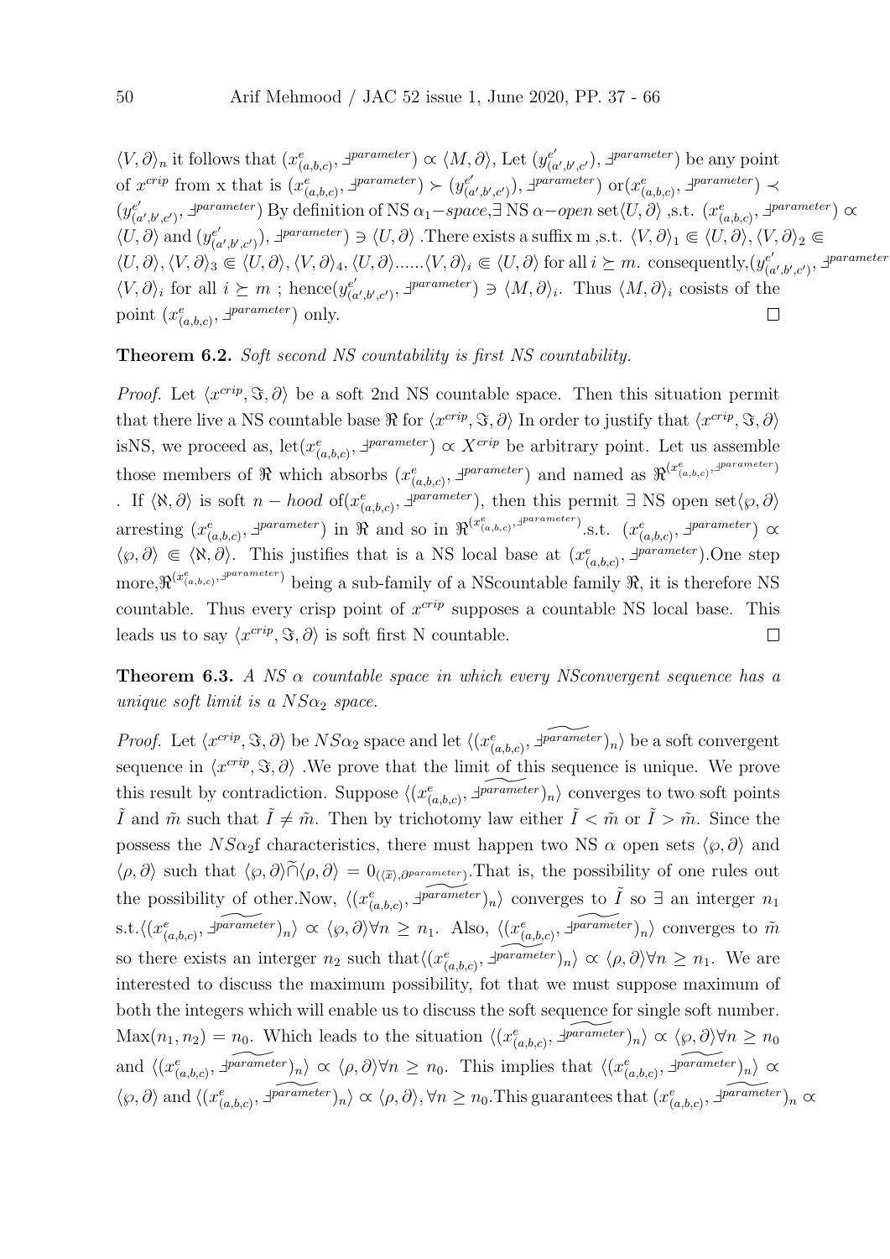$\langle V, \partial \rangle_n$  it follows that  $(x_{(a,b,c)}^e, \exists^{parameter}) \propto \langle M, \partial \rangle$ , Let  $(y_{(c)}^{e'})$  $(\alpha', \beta', c')$ ,  $\exists^{parameter}$ ) be any point of  $x^{crip}$  from x that is  $(x_{(a,b,c)}^e, \exists^{parameter}) \succ (y_{(a,b,c)}^{e'})$  $(\alpha',\beta',c')$ ,  $\exists^{parameter}$ ) or $(x^e_{(a,b,c)}, \exists^{parameter})$   $\prec$  $(y_{\ell}^{e'})$  $(e', b', c')$ ,  $\exists \text{parameter}$ ) By definition of NS  $\alpha_1 - space$ ,  $\exists$  NS  $\alpha$ -open set $\langle U, \partial \rangle$ , s.t.  $(x_{(a,b,c)}^e, \exists \text{parameter}) \propto$  $\langle U, \partial \rangle$  and  $(y_{\alpha}^{e'}$  $(e'_{(a',b',c')})$ ,  $\exists^{parameter} \in \langle U, \partial \rangle$ . There exists a suffix m,s.t.  $\langle V, \partial \rangle_1 \subseteq \langle U, \partial \rangle$ ,  $\langle V, \partial \rangle_2 \subseteq$  $\langle U, \partial \rangle, \langle V, \partial \rangle_3 \subseteq \langle U, \partial \rangle, \langle V, \partial \rangle_4, \langle U, \partial \rangle \dots \langle V, \partial \rangle_i \subseteq \langle U, \partial \rangle$  for all  $i \succeq m$ . consequently, $(y_{\alpha}^{e^i})$  $\mathcal{L}_{(a',b',c')}^{e'}$ ,  $\exists^{parameter}$  $\langle V, \partial \rangle_i$  for all  $i \succeq m$ ; hence $(y_{\alpha}^{e^i})$  $(e'_{(a',b',c')}, \exists^{parameter}) \ni \langle M, \partial \rangle_i$ . Thus  $\langle M, \partial \rangle_i$  cosists of the point  $(x_{(a,b,c)}^e, \exists^{parameter})$  only.  $\Box$ 

#### Theorem 6.2. Soft second NS countability is first NS countability.

*Proof.* Let  $\langle x^{crip}, \Im, \partial \rangle$  be a soft 2nd NS countable space. Then this situation permit that there live a NS countable base  $\Re$  for  $\langle x^{crip}, \Im, \partial \rangle$  In order to justify that  $\langle x^{crip}, \Im, \partial \rangle$ isNS, we proceed as,  $\text{let}(x_{(a,b,c)}^e, \exists^{parameter}) \propto X^{crip}$  be arbitrary point. Let us assemble those members of  $\Re$  which absorbs  $(x_{(a,b,c)}^e, \exists^{parameter})$  and named as  $\Re^{(x_{(a,b,c)}^e, \exists^{parameter})}$ . If  $\langle \aleph, \partial \rangle$  is soft *n* − *hood* of( $x^e_{(a,b,c)}$ ,  $\exists^{parameter}$ ), then this permit  $\exists$  NS open set $\langle \wp, \partial \rangle$ arresting  $(x_{(a,b,c)}^e, \exists^{parameter})$  in  $\Re$  and so in  $\Re^{(x_{(a,b,c)}^e, \exists^{parameter})}$ .s.t.  $(x_{(a,b,c)}^e, \exists^{parameter}) \propto$  $\langle \varphi, \partial \rangle \in \langle \aleph, \partial \rangle$ . This justifies that is a NS local base at  $(x_{(a,b,c)}^e, \exists^{parameter})$ . One step more,  $\Re^{(x_{(a,b,c)},p^{\text{parameter}})}$  being a sub-family of a NScountable family  $\Re$ , it is therefore NS countable. Thus every crisp point of  $x^{crip}$  supposes a countable NS local base. This leads us to say  $\langle x^{crip}, \Im, \partial \rangle$  is soft first N countable.  $\Box$ 

**Theorem 6.3.** A NS  $\alpha$  countable space in which every NSconvergent sequence has a unique soft limit is a  $NS\alpha_2$  space.

*Proof.* Let  $\langle x^{crip}, \Im, \partial \rangle$  be  $NS\alpha_2$  space and let  $\langle (x_{(a,b,c)}^e, \exists \widetilde{\rho} \widetilde{\phi} \widetilde{\phi} \widetilde{\phi} \rangle_n \rangle$  be a soft convergent sequence in  $\langle x^{crip}, \Im, \partial \rangle$ . We prove that the limit of this sequence is unique. We prove this result by contradiction. Suppose  $\langle (x_{(a,b,c)}^e, \overline{z_{\text{parameter}}})_n \rangle$  converges to two soft points I and  $\tilde{m}$  such that  $I \neq \tilde{m}$ . Then by trichotomy law either  $I < \tilde{m}$  or  $I > \tilde{m}$ . Since the possess the NS $\alpha_2$ f characteristics, there must happen two NS  $\alpha$  open sets  $\langle \varphi, \partial \rangle$  and  $\langle \rho, \partial \rangle$  such that  $\langle \varphi, \partial \rangle \tilde{\cap} \langle \rho, \partial \rangle = 0_{(\langle \tilde{x} \rangle, \partial^{parameter})}$ . That is, the possibility of one rules out the possibility of other. Now,  $\langle (x_{(a,b,c)}^e, \overline{\exists^{parameter}})_n \rangle$  converges to  $\tilde{I}$  so  $\exists$  an interger  $n_1$ s.t. $\langle (x_{(a,b,c)}^e, \exists \overline{\text{parameter}})_n \rangle \propto \langle \wp, \partial \rangle \forall n \geq n_1$ . Also,  $\langle (x_{(a,b,c)}^e, \exists \overline{\text{parameter}})_n \rangle$  converges to  $\tilde{m}$ so there exists an interger  $n_2$  such that  $\langle (x_{(a,b,c)}^e, \overline{\psi} \overline{\omega a \overline{a} \overline{b} \overline{c} \overline{c} \overline{c} \overline{c} \overline{c} \rangle_n} \rangle \propto \langle \rho, \partial \rangle \forall n \geq n_1$ . We are interested to discuss the maximum possibility, fot that we must suppose maximum of both the integers which will enable us to discuss the soft sequence for single soft number.  $\text{Max}(n_1, n_2) = n_0$ . Which leads to the situation  $\langle (x_{(a,b,c)}^e, \overline{\text{varimeter}})_n \rangle \propto \langle \wp, \partial \rangle \forall n \ge n_0$ and  $\langle (x_{(a,b,c)}^e, \overline{\mathcal{F}^{\text{parameter}}} )_n \rangle \propto \langle \rho, \partial \rangle \forall n \geq n_0$ . This implies that  $\langle (x_{(a,b,c)}^e, \overline{\mathcal{F}^{\text{parameter}}} )_n \rangle \propto$  $\langle \varphi, \partial \rangle$  and  $\langle (x_{(a,b,c)}^e, \overline{\exists \varphi \text{arame} \text{ter}})_n \rangle \propto \langle \rho, \partial \rangle$ ,  $\forall n \geq n_0$ . This guarantees that  $(x_{(a,b,c)}^e, \overline{\exists \varphi \text{arame} \text{ter}})_n \propto$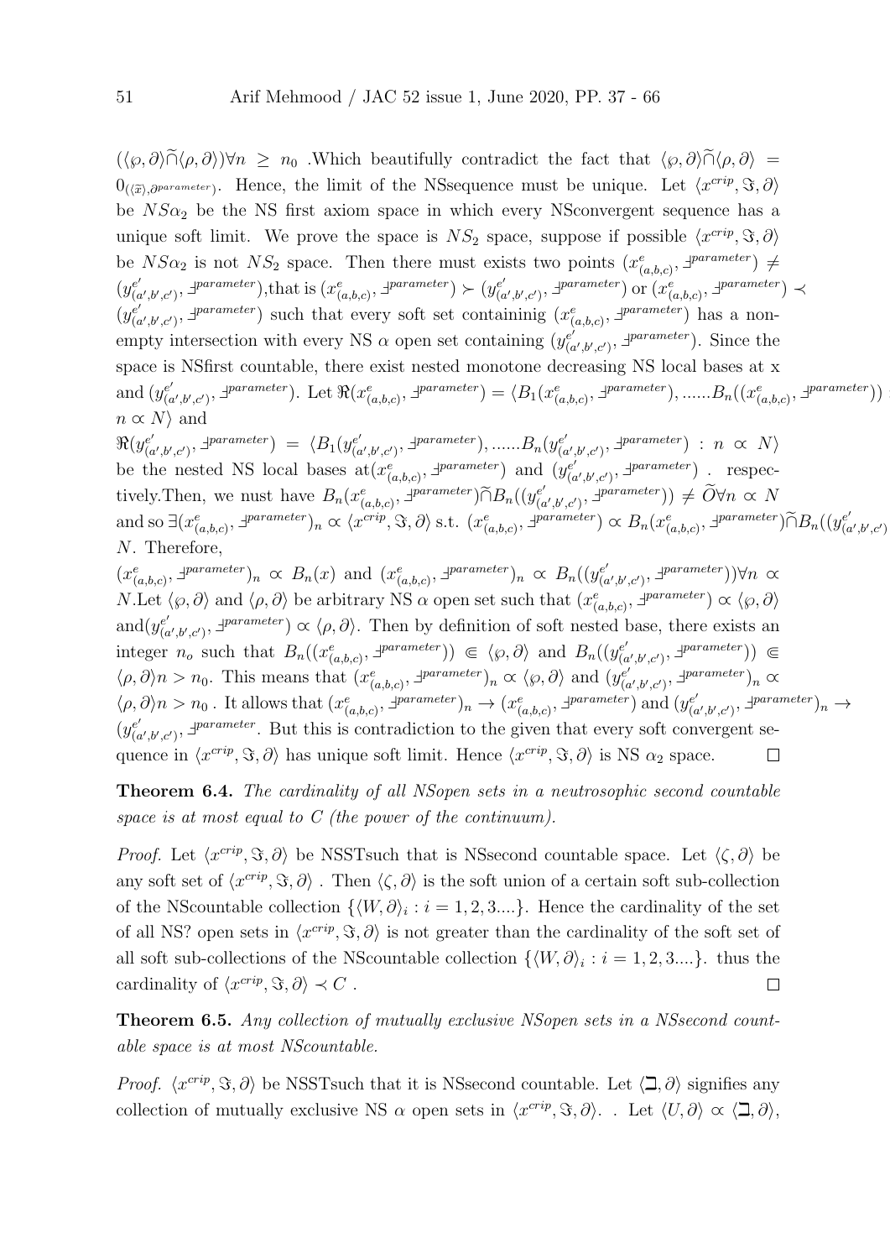$(\langle \varphi, \partial \rangle \tilde{\cap} \langle \rho, \partial \rangle)$  $\forall n \geq n_0$ . Which beautifully contradict the fact that  $\langle \varphi, \partial \rangle \tilde{\cap} \langle \rho, \partial \rangle$  =  $0_{(\langle \tilde{x} \rangle, \partial^{parameter})}$ . Hence, the limit of the NSsequence must be unique. Let  $\langle x^{cript}, \Im, \partial \rangle$ be  $NS\alpha_2$  be the NS first axiom space in which every NSconvergent sequence has a unique soft limit. We prove the space is  $NS_2$  space, suppose if possible  $\langle x^{crip}, \Im, \partial \rangle$ be  $NS\alpha_2$  is not  $NS_2$  space. Then there must exists two points  $(x_{(a,b,c)}^e, \exists^{parameter}) \neq$  $(y_{\alpha}^{e^{\prime}})$  $(e'_{(a',b',c')}, \exists \text{parameter}),$ that is  $(x^e_{(a,b,c)}, \exists \text{parameter}) \succ (y^{e'}_{(a',b',c')})$  $(e'_{(a',b',c')}, \exists^{parameter})$  or  $(x_{(a,b,c)}^e, \exists^{parameter})$   $\prec$  $(y_{\alpha}^{e^{\prime}})$  $(e', b', c')$ ,  $\exists$  parameter) such that every soft set containinig  $(x_{(a,b,c)}^e, \exists^{parameter})$  has a nonempty intersection with every NS  $\alpha$  open set containing  $(y_{\alpha}^{e^{\gamma}})$  $(e^{i}_{(a',b',c')}, \exists^{parameter})$ . Since the space is NSfirst countable, there exist nested monotone decreasing NS local bases at x and  $(y_{\ell q}^{e\prime})$  $(e', b', c')$ ,  $\exists$  parameter). Let  $\Re(x_{(a,b,c)}^e, \exists^{parameter}) = \langle B_1(x_{(a,b,c)}^e, \exists^{parameter}), \dots, B_n((x_{(a,b,c)}^e, \exists^{parameter})) \rangle$  $n \propto N$  and  $\Re(y_{0}^{e'})$  $\chi_{(a',b',c')}^{e'}$ ,  $\exists^{parameter}$  =  $\langle B_1(y_{(a)}^{e'}$  $(e'_{(a',b',c')}, \exists \textit{parameter}), \dots, B_n(y_{(c)}^{e'})$  $(e'_{(a',b',c')}, \exists^{parameter}) : n \propto N$ be the nested NS local bases  $\text{at}(x_{(a,b,c)}^e, \exists^{parameter})$  and  $(y_{(a,b,c)}^{e', \{de\}})$  $\binom{e'}{(a',b',c')}$ ,  $\exists^{parameter}$ ) . respectively. Then, we nust have  $B_n(x_{(a,b,c)}^e, \exists^{parameter}) \widetilde{\cap} B_n((y_{(a,b,c)}^{e^e}, \exists^{parameter})$  $(e'_{(a',b',c')}, \exists^{parameter})$ )  $\neq \widetilde{O} \forall n \propto N$ and so ∃(x e (a,b,c) , ` parameter)<sup>n</sup> ∝ hx crip , =, ∂i s.t. (x e (a,b,c) , ` parameter) ∝ Bn(x e (a,b,c) , ` parameter)∩eBn((<sup>y</sup> e 0  $(a',b',c')$ N. Therefore,

 $(x_{(a,b,c)}^e, \exists^{parameter})_n \propto B_n(x)$  and  $(x_{(a,b,c)}^e, \exists^{parameter})_n \propto B_n((y_{(a,b,c)}^e, \exists^{parameter})_n)$  $\mathcal{L}^{e'}_{(a',b',c')}, \exists^{parameter})$ ) $\forall n \propto$ N.Let  $\langle \varphi, \partial \rangle$  and  $\langle \rho, \partial \rangle$  be arbitrary NS  $\alpha$  open set such that  $(x_{(a,b,c)}^e, \exists^{parameter}) \propto \langle \varphi, \partial \rangle$ and $(y_{\ell}^{e'})$  $(e'_{(a',b',c')}, \exists \text{parameter}) \propto \langle \rho, \partial \rangle$ . Then by definition of soft nested base, there exists an integer  $n_o$  such that  $B_n((x_{(a,b,c)}^e, \exists^{parameter})) \in \langle \wp, \partial \rangle$  and  $B_n((y_{(c}^e, \beta, \neg \psi_{(a,b,c)}), \exists^{parameter}))$  $(e'_{(a',b',c')}, \exists \text{parameter})$ )  $\in$  $\langle \rho, \partial \rangle n > n_0$ . This means that  $(x_{(a,b,c)}^e, \exists^{parameter})_n \propto \langle \rho, \partial \rangle$  and  $(y_{(c,b,c)}^{\epsilon'})$  $(e'_{(a',b',c')}, \exists^{parameter})_n \propto$  $\langle \rho, \partial \rangle n > n_0$ . It allows that  $(x_{(a,b,c)}^e, \exists^{parameter})_n \to (x_{(a,b,c)}^e, \exists^{parameter})$  and  $(y_{(a,b,c)}^e, \exists^{parameter})$  $\psi^{e'}_{(a',b',c')}, \exists^{parameter})_n \rightarrow$  $(y_{\ell}^{e'})$  $e'_{(a',b',c')}$ ,  $\exists$ *parameter*. But this is contradiction to the given that every soft convergent sequence in  $\langle x^{crip}, \Im, \partial \rangle$  has unique soft limit. Hence  $\langle x^{crip}, \Im, \partial \rangle$  is NS  $\alpha_2$  space.  $\Box$ 

Theorem 6.4. The cardinality of all NSopen sets in a neutrosophic second countable space is at most equal to C (the power of the continuum).

*Proof.* Let  $\langle x^{crip}, \Im, \partial \rangle$  be NSSTsuch that is NSsecond countable space. Let  $\langle \zeta, \partial \rangle$  be any soft set of  $\langle x^{crip}, \Im, \partial \rangle$ . Then  $\langle \zeta, \partial \rangle$  is the soft union of a certain soft sub-collection of the NScountable collection  $\{ \langle W, \partial \rangle_i : i = 1, 2, 3...\}$ . Hence the cardinality of the set of all NS? open sets in  $\langle x^{crip}, \Im, \partial \rangle$  is not greater than the cardinality of the soft set of all soft sub-collections of the NScountable collection  $\{ \langle W, \partial \rangle_i : i = 1, 2, 3,... \}$ . thus the cardinality of  $\langle x^{crip}, \Im, \partial \rangle \prec C$ .  $\Box$ 

Theorem 6.5. Any collection of mutually exclusive NSopen sets in a NSsecond countable space is at most NScountable.

*Proof.*  $\langle x^{crip}, \Im, \partial \rangle$  be NSSTsuch that it is NSsecond countable. Let  $\langle \Box, \partial \rangle$  signifies any collection of mutually exclusive NS  $\alpha$  open sets in  $\langle x^{crip}, \Im, \partial \rangle$ . Let  $\langle U, \partial \rangle \propto \langle \Box, \partial \rangle$ ,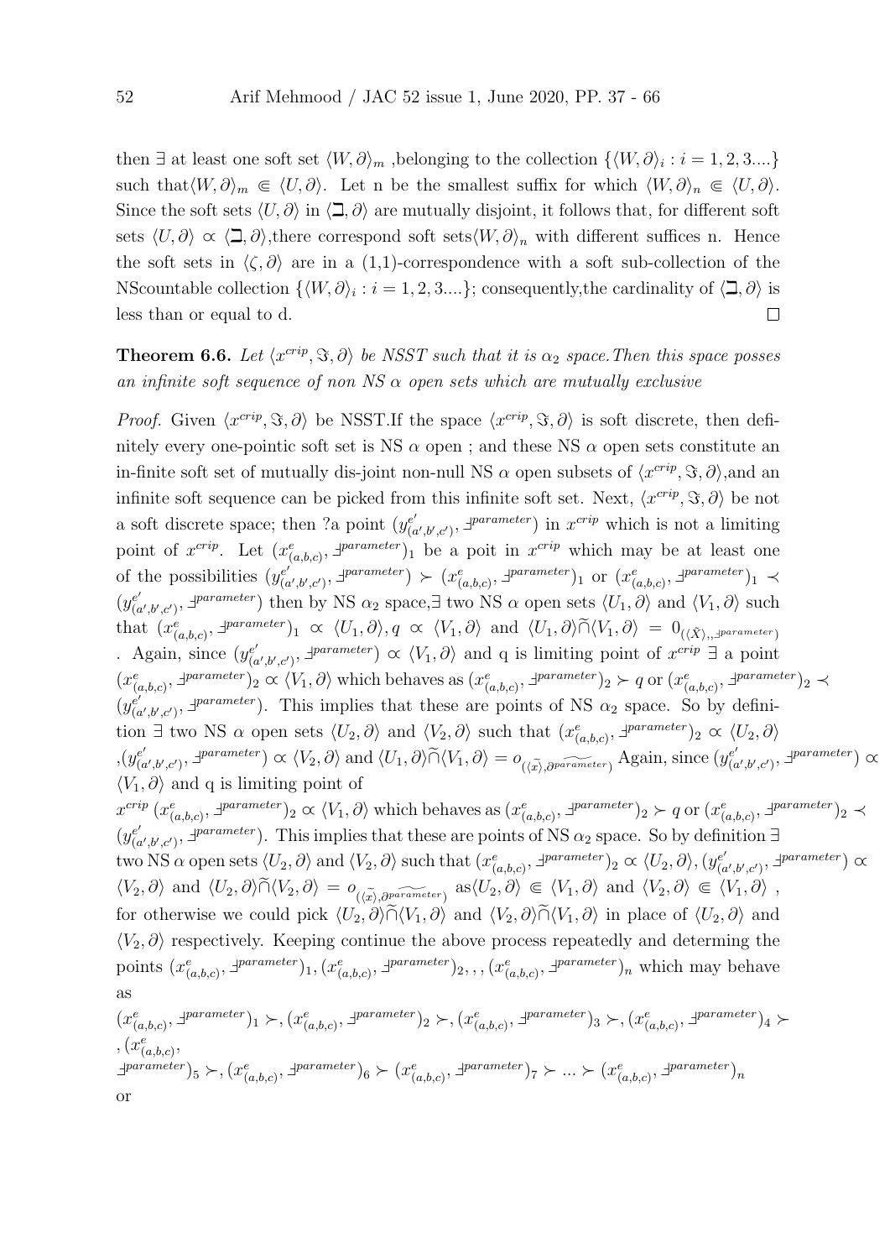then  $\exists$  at least one soft set  $\langle W, \partial \rangle_m$ , belonging to the collection  $\{\langle W, \partial \rangle_i : i = 1, 2, 3,...\}$ such that $\langle W, \partial \rangle_m \in \langle U, \partial \rangle$ . Let n be the smallest suffix for which  $\langle W, \partial \rangle_n \in \langle U, \partial \rangle$ . Since the soft sets  $\langle U, \partial \rangle$  in  $\langle \Box, \partial \rangle$  are mutually disjoint, it follows that, for different soft sets  $\langle U, \partial \rangle \propto \langle \square, \partial \rangle$ , there correspond soft sets $\langle W, \partial \rangle_n$  with different suffices n. Hence the soft sets in  $\langle \zeta, \partial \rangle$  are in a (1,1)-correspondence with a soft sub-collection of the NScountable collection  $\{\langle W, \partial \rangle_i : i = 1, 2, 3...\}$ ; consequently, the cardinality of  $\langle \Box, \partial \rangle$  is less than or equal to d.  $\Box$ 

#### **Theorem 6.6.** Let  $\langle x^{crip}, \Im, \partial \rangle$  be NSST such that it is  $\alpha_2$  space. Then this space posses an infinite soft sequence of non NS  $\alpha$  open sets which are mutually exclusive

*Proof.* Given  $\langle x^{crip}, \Im, \partial \rangle$  be NSST.If the space  $\langle x^{crip}, \Im, \partial \rangle$  is soft discrete, then definitely every one-pointic soft set is NS  $\alpha$  open; and these NS  $\alpha$  open sets constitute an in-finite soft set of mutually dis-joint non-null NS  $\alpha$  open subsets of  $\langle x^{crip}, \Im, \partial \rangle$ , and an infinite soft sequence can be picked from this infinite soft set. Next,  $\langle x^{crip}, \Im, \partial \rangle$  be not a soft discrete space; then ?a point  $(y_{\alpha}^{e'})$  $(e'_{(a',b',c')}, \exists \text{parameter})$  in  $x^{\text{crip}}$  which is not a limiting point of  $x^{crip}$ . Let  $(x_{(a,b,c)}^e, \exists^{parameter})_1$  be a poit in  $x^{crip}$  which may be at least one of the possibilities  $(y_{\alpha}^{e^{\prime}})$  $(a',b',c')$ ,  $\exists$  parameter)  $\succ (x_{(a,b,c)}^e, \exists$  parameter)<sub>1</sub> or  $(x_{(a,b,c)}^e, \exists$  parameter)<sub>1</sub>  $\prec$  $(y_{\ell}^{e'})$  $(e'_{(a',b',c')}, \exists \text{parameter})$  then by NS  $\alpha_2$  space,  $\exists$  two NS  $\alpha$  open sets  $\langle U_1, \partial \rangle$  and  $\langle V_1, \partial \rangle$  such that  $(x_{(a,b,c)}^e, \exists^{parameter})_1 \propto \langle U_1, \partial \rangle, q \propto \langle V_1, \partial \rangle$  and  $\langle U_1, \partial \rangle \widetilde{\cap} \langle V_1, \partial \rangle = 0_{(\langle \tilde{X} \rangle, \exists^{parameter})}$ . Again, since  $(y_{0}^{e'}$  $(e'_{(a',b',c')}, \exists^{parameter}) \propto \langle V_1, \partial \rangle$  and q is limiting point of  $x^{cript} \exists$  a point  $(x_{(a,b,c)}^e, \exists^{parameter})_2 \propto \langle V_1, \partial \rangle$  which behaves as  $(x_{(a,b,c)}^e, \exists^{parameter})_2 \succ q$  or  $(x_{(a,b,c)}^e, \exists^{parameter})_2 \prec$  $(y_{\alpha}^{e^{\prime}})$  $e'_{(a',b',c')}$ ,  $\exists$ *parameter*). This implies that these are points of NS  $\alpha_2$  space. So by definition  $\exists$  two NS  $\alpha$  open sets  $\langle U_2, \partial \rangle$  and  $\langle V_2, \partial \rangle$  such that  $(x_{(a,b,c)}^e, \exists^{parameter})_2 \propto \langle U_2, \partial \rangle$  $, (y_{\alpha}^{e'})$  $(e', e', e'),$   $\exists \text{parameter} \in (V_2, \partial)$  and  $\langle U_1, \partial \rangle \widetilde{\cap} \langle V_1, \partial \rangle = o_{(\langle \widetilde{x} \rangle, \partial \text{parameter})}$  Again, since  $(y_{(c)}^{\epsilon})$  $\chi^{e'}_{(a',b',c')}, \exists^{parameter} \rangle \propto$  $\langle V_1, \partial \rangle$  and q is limiting point of  $x^{cript}$   $(x_{(a,b,c)}^e, \exists^{parameter})_2 \propto \langle V_1, \partial \rangle$  which behaves as  $(x_{(a,b,c)}^e, \exists^{parameter})_2 \succ q$  or  $(x_{(a,b,c)}^e, \exists^{parameter})_2 \prec$  $(y_{\ell}^{e'})$  $(e'_{(a',b',c')}, \exists \text{parameter})$ . This implies that these are points of NS  $\alpha_2$  space. So by definition  $\exists$ two NS  $\alpha$  open sets  $\langle U_2, \partial \rangle$  and  $\langle V_2, \partial \rangle$  such that  $(x_{(a,b,c)}^e, \exists^{parameter})_2 \propto \langle U_2, \partial \rangle$ ,  $(y_{(c)}^{e'}$  $\chi^{e'}_{(a',b',c')}, \exists^{parameter}$ )  $\alpha$  $\langle V_2, \partial \rangle$  and  $\langle U_2, \partial \rangle \tilde{\cap} \langle V_2, \partial \rangle = o_{(\langle \tilde{x} \rangle, \partial \tilde{p} \text{arimeter})}$  as $\langle U_2, \partial \rangle \in \langle V_1, \partial \rangle$  and  $\langle V_2, \partial \rangle \in \langle V_1, \partial \rangle$ , for otherwise we could pick  $\langle U_2, \partial \rangle \tilde{\cap} \langle V_1, \partial \rangle$  and  $\langle V_2, \partial \rangle \tilde{\cap} \langle V_1, \partial \rangle$  in place of  $\langle U_2, \partial \rangle$  and  $\langle V_2, \partial \rangle$  respectively. Keeping continue the above process repeatedly and determing the points  $(x_{(a,b,c)}^e, \exists^{parameter})_1, (x_{(a,b,c)}^e, \exists^{parameter})_2, ..., (x_{(a,b,c)}^e, \exists^{parameter})_n$  which may behave as  $(x_{\ell}^e)$  $, \exists^{parameter})_1 \succ, (x_i^e)$  $, \exists^{parameter}$ )<sub>2</sub>  $\succ, (x_i^e)$  $, \exists^{parameter})_3 \succ, (x$  $\int_{\alpha}^{\beta}e^{-\beta}$  $, \exists^{parameter})_4 \succ$ 

$$
(x_{(a,b,c)}, \mathcal{F}) \longrightarrow (x_{(a,b,c)}, \mathcal{F}) \longrightarrow (x_{(a,b,c)}, \mathcal{F}) \longrightarrow (x_{(a,b,c)}, \mathcal{F}) \longrightarrow (x_{(a,b,c)}, \mathcal{F})
$$
\n
$$
x_{(a,b,c)},
$$
\n
$$
x_{(a,b,c)},
$$
\n
$$
x_{(a,b,c)},
$$
\n
$$
x_{(a,b,c)},
$$
\n
$$
x_{(a,b,c)},
$$
\n
$$
x_{(a,b,c)},
$$
\n
$$
x_{(a,b,c)},
$$
\n
$$
x_{(a,b,c)},
$$
\n
$$
x_{(a,b,c)},
$$
\n
$$
x_{(a,b,c)},
$$
\n
$$
x_{(a,b,c)},
$$
\n
$$
x_{(a,b,c)},
$$
\n
$$
x_{(a,b,c)},
$$
\n
$$
x_{(a,b,c)},
$$
\n
$$
x_{(a,b,c)},
$$
\n
$$
x_{(a,b,c)},
$$
\n
$$
x_{(a,b,c)},
$$
\n
$$
x_{(a,b,c)},
$$
\n
$$
x_{(a,b,c)},
$$
\n
$$
x_{(a,b,c)},
$$
\n
$$
x_{(a,b,c)},
$$
\n
$$
x_{(a,b,c)},
$$
\n
$$
x_{(a,b,c)},
$$
\n
$$
x_{(a,b,c)},
$$
\n
$$
x_{(a,b,c)},
$$
\n
$$
x_{(a,b,c)},
$$
\n
$$
x_{(a,b,c)},
$$
\n
$$
x_{(a,b,c)},
$$
\n
$$
x_{(a,b,c)},
$$
\n
$$
x_{(a,b,c)},
$$
\n
$$
x_{(a,b,c)},
$$
\n
$$
x_{(a,b,c)},
$$
\n
$$
x_{(a,b,c)},
$$
\n
$$
x_{(a,b,c)},
$$
\n
$$
x_{(a,b,c)},
$$
\n
$$
x_{(a,b,c)},
$$
\n
$$
x_{(a,b,c)},
$$
\n
$$
x_{(a,b,c)},
$$
\n
$$
x_{(a,b,c)},
$$
\n
$$
x_{(a,b,c)},
$$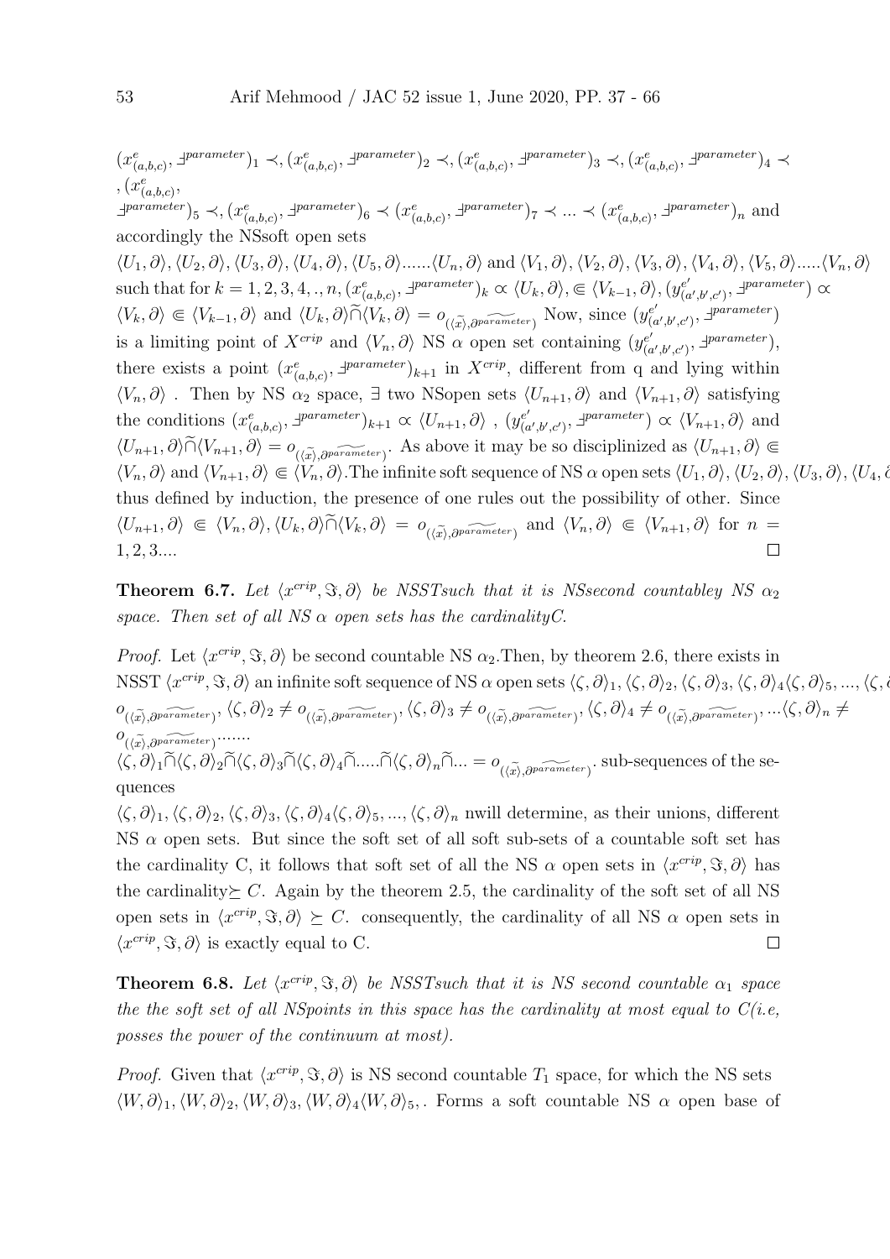$(x_{(a,b,c)}^e, \exists^{parameter})_1 \prec, (x_{(a,b,c)}^e, \exists^{parameter})_2 \prec, (x_{(a,b,c)}^e, \exists^{parameter})_3 \prec, (x_{(a,b,c)}^e, \exists^{parameter})_4 \prec$  $, (x_{(a,b,c)}^e,$  $\exists$ <sup>parameter</sup>)<sub>5</sub>  $\prec$ ,  $(x_{(a,b,c)}^e, \exists^{parameter})_6 \prec (x_{(a,b,c)}^e, \exists^{parameter})_7 \prec ... \prec (x_{(a,b,c)}^e, \exists^{parameter})_n$  and accordingly the NSsoft open sets  $\langle U_1, \partial \rangle$ ,  $\langle U_2, \partial \rangle$ ,  $\langle U_3, \partial \rangle$ ,  $\langle U_4, \partial \rangle$ ,  $\langle U_5, \partial \rangle$ ...... $\langle U_n, \partial \rangle$  and  $\langle V_1, \partial \rangle$ ,  $\langle V_2, \partial \rangle$ ,  $\langle V_3, \partial \rangle$ ,  $\langle V_4, \partial \rangle$ ,  $\langle V_5, \partial \rangle$ ..... $\langle V_n, \partial \rangle$ such that for  $k = 1, 2, 3, 4, ..., n, (x_{(a,b,c)}^e, \exists^{parameter})_k \propto \langle U_k, \partial \rangle, \subseteq \langle V_{k-1}, \partial \rangle, (y_{(c,b,c)}^e, \Box)$  $\begin{pmatrix} e' \\ (a',b',c') \end{pmatrix}$ ,  $\exists^{parameter}$ )  $\alpha$  $\langle V_k, \partial \rangle \in \langle V_{k-1}, \partial \rangle$  and  $\langle U_k, \partial \rangle \widetilde{\cap} \langle V_k, \partial \rangle = o_{(\langle \widetilde{x} \rangle, \partial^{parameter})}$  Now, since  $(y_{(k)}^{\epsilon})$  $(e'_{(a',b',c')}, \exists *parameter*)$ is a limiting point of  $X^{crip}$  and  $\langle V_n, \partial \rangle$  NS  $\alpha$  open set containing  $(y_{\alpha}^{e^{\beta}})$  $\zeta_{(a',b',c')}^{e'}$ ,  $\exists^{parameter}$ , there exists a point  $(x_{(a,b,c)}^e, \exists^{parameter})_{k+1}$  in  $X^{crip}$ , different from q and lying within  $\langle V_n, \partial \rangle$ . Then by NS  $\alpha_2$  space,  $\exists$  two NSopen sets  $\langle U_{n+1}, \partial \rangle$  and  $\langle V_{n+1}, \partial \rangle$  satisfying the conditions  $(x_{(a,b,c)}^e, \exists^{parameter})_{k+1} \propto \langle U_{n+1}, \partial \rangle$ ,  $(y_{(c)}^{e'}$  $\chi_{(a',b',c')}^{e'}$ ,  $\exists^{parameter}$   $\alpha \langle V_{n+1}, \partial \rangle$  and  $\langle U_{n+1}, \partial \rangle \tilde{\cap} \langle V_{n+1}, \partial \rangle = o_{(\langle \tilde{x} \rangle, \partial^{parameter})}.$  As above it may be so disciplinized as  $\langle U_{n+1}, \partial \rangle \in$  $\langle V_n, \partial \rangle$  and  $\langle V_{n+1}, \partial \rangle \in \langle V_n, \partial \rangle$ . The infinite soft sequence of NS  $\alpha$  open sets  $\langle U_1, \partial \rangle$ ,  $\langle U_2, \partial \rangle$ ,  $\langle U_3, \partial \rangle$ ,  $\langle U_4, \partial \rangle$ thus defined by induction, the presence of one rules out the possibility of other. Since  $\langle U_{n+1}, \partial \rangle \in \langle V_n, \partial \rangle, \langle U_k, \partial \rangle \tilde{\cap} \langle V_k, \partial \rangle = o_{(\langle \tilde{x} \rangle, \partial^{parameter})}$  and  $\langle V_n, \partial \rangle \in \langle V_{n+1}, \partial \rangle$  for  $n =$ 1, 2, 3....  $\Box$ 

**Theorem 6.7.** Let  $\langle x^{crip}, \Im, \partial \rangle$  be NSSTsuch that it is NSsecond countabley NS  $\alpha_2$ space. Then set of all NS  $\alpha$  open sets has the cardinality C.

*Proof.* Let  $\langle x^{crip}, \Im, \partial \rangle$  be second countable NS  $\alpha_2$ . Then, by theorem 2.6, there exists in NSST  $\langle x^{crip}, \Im, \partial \rangle$  an infinite soft sequence of NS  $\alpha$  open sets  $\langle \zeta, \partial \rangle_1, \langle \zeta, \partial \rangle_2, \langle \zeta, \partial \rangle_3, \langle \zeta, \partial \rangle_4 \langle \zeta, \partial \rangle_5, ..., \langle \zeta, \partial \zeta, \zeta, \zeta \rangle_6$  $o_{(\langle \widetilde{x} \rangle, \partial^{parameter})}, \langle \zeta, \partial \rangle_2 \neq o_{(\langle \widetilde{x} \rangle, \partial^{parameter})}, \langle \zeta, \partial \rangle_3 \neq o_{(\langle \widetilde{x} \rangle, \partial^{parameter})}, \langle \zeta, \partial \rangle_4 \neq o_{(\langle \widetilde{x} \rangle, \partial^{parameter})}, ... \langle \zeta, \partial \rangle_n \neq o_{\langle \langle \widetilde{x} \rangle, \partial^{parameter})}, ... \langle \zeta, \partial \rangle_n$  $o_{(\langle \tilde{x} \rangle, \partial^{parameter})}$ ......  $x\rangle, \partial$  $\langle \zeta, \partial \rangle_1 \cap \langle \zeta, \partial \rangle_2 \cap \langle \zeta, \partial \rangle_3 \cap \langle \zeta, \partial \rangle_4 \cap \ldots \cap \langle \zeta, \partial \rangle_n \cap \ldots = o_{(\langle \widetilde{x} \rangle, \partial^{parameter})}$ . sub-sequences of the sequences

 $\langle \zeta, \partial \rangle_1, \langle \zeta, \partial \rangle_2, \langle \zeta, \partial \rangle_3, \langle \zeta, \partial \rangle_4 \langle \zeta, \partial \rangle_5, ..., \langle \zeta, \partial \rangle_n$  nwill determine, as their unions, different NS  $\alpha$  open sets. But since the soft set of all soft sub-sets of a countable soft set has the cardinality C, it follows that soft set of all the NS  $\alpha$  open sets in  $\langle x^{crip}, \Im, \partial \rangle$  has the cardinality  $\geq C$ . Again by the theorem 2.5, the cardinality of the soft set of all NS open sets in  $\langle x^{crip}, \Im, \partial \rangle \succeq C$ . consequently, the cardinality of all NS  $\alpha$  open sets in  $\langle x^{crip}, \Im, \partial \rangle$  is exactly equal to C.  $\Box$ 

**Theorem 6.8.** Let  $\langle x^{crip}, \Im, \partial \rangle$  be NSSTsuch that it is NS second countable  $\alpha_1$  space the the soft set of all NSpoints in this space has the cardinality at most equal to  $C(i.e,$ posses the power of the continuum at most).

*Proof.* Given that  $\langle x^{crip}, \Im, \partial \rangle$  is NS second countable  $T_1$  space, for which the NS sets  $\langle W,\partial \rangle_1,\langle W,\partial \rangle_2,\langle W,\partial \rangle_3,\langle W,\partial \rangle_4\langle W,\partial \rangle_5$ . Forms a soft countable NS  $\alpha$  open base of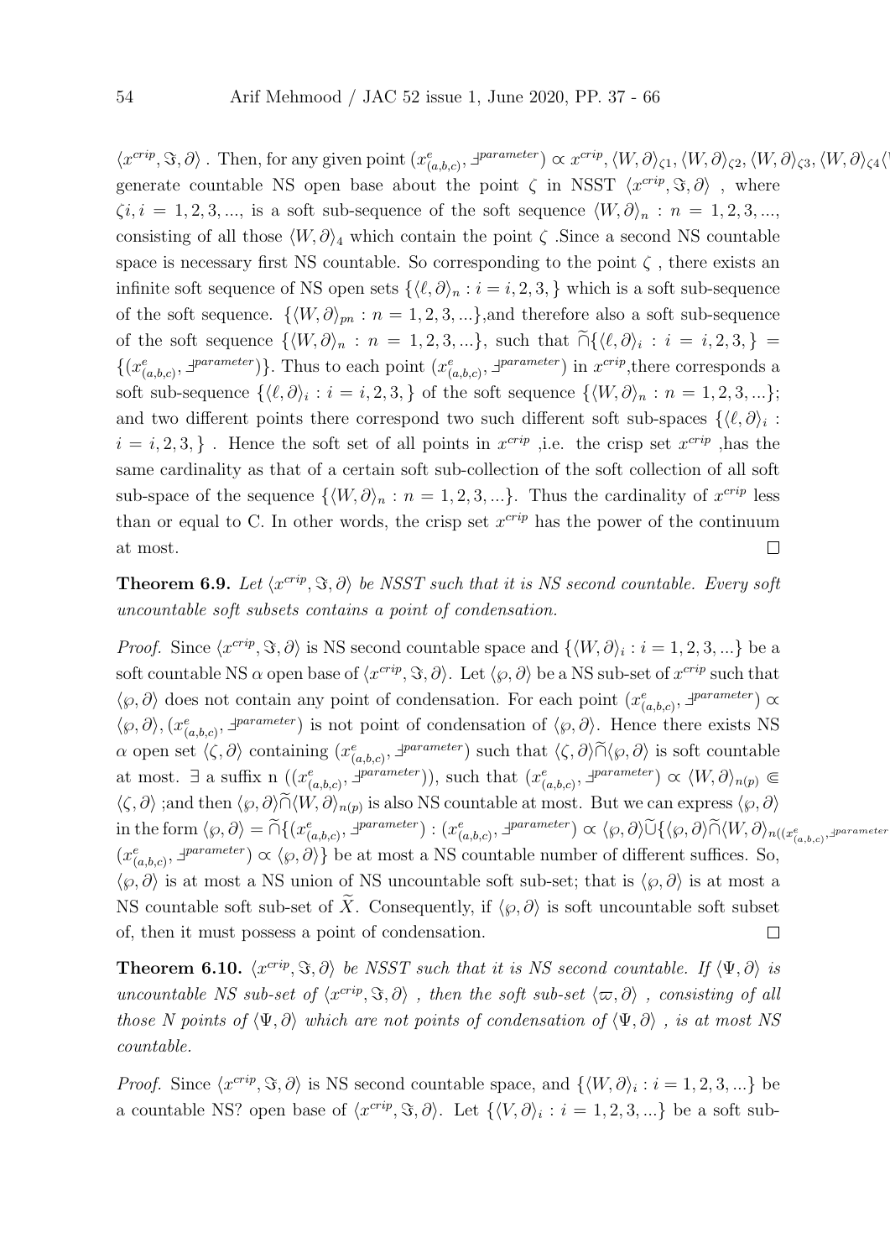$\langle x^{crip}, \Im, \partial \rangle$ . Then, for any given point  $(x_{(a,b,c)}^e, \exists^{parameter}) \propto x^{crip}, \langle W, \partial \rangle_{\zeta^1}, \langle W, \partial \rangle_{\zeta^2}, \langle W, \partial \rangle_{\zeta^3}, \langle W, \partial \rangle_{\zeta^4} \langle W, \partial \rangle_{\zeta^5}$ generate countable NS open base about the point  $\zeta$  in NSST  $\langle x^{crip}, \Im, \partial \rangle$ , where  $\zeta i, i = 1, 2, 3, \dots$ , is a soft sub-sequence of the soft sequence  $\langle W, \partial \rangle_n : n = 1, 2, 3, \dots$ consisting of all those  $\langle W, \partial \rangle_4$  which contain the point  $\zeta$ . Since a second NS countable space is necessary first NS countable. So corresponding to the point  $\zeta$ , there exists an infinite soft sequence of NS open sets  $\{\langle \ell, \partial \rangle_n : i = i, 2, 3, \}$  which is a soft sub-sequence of the soft sequence.  $\{ \langle W, \partial \rangle_{pn} : n = 1, 2, 3, ...\}$ , and therefore also a soft sub-sequence of the soft sequence  $\{ \langle W, \partial \rangle_n : n = 1, 2, 3, ...\}$ , such that  $\bigcap \{ \langle \ell, \partial \rangle_i : i = i, 2, 3, \} =$  $\{(x_{(a,b,c)}^e, \exists^{parameter})\}$ . Thus to each point  $(x_{(a,b,c)}^e, \exists^{parameter})$  in  $x^{cript}$ , there corresponds a soft sub-sequence  $\{\langle \ell, \partial \rangle_i : i = i, 2, 3, \}$  of the soft sequence  $\{\langle W, \partial \rangle_n : n = 1, 2, 3, ...\};$ and two different points there correspond two such different soft sub-spaces  $\{\langle \ell, \partial \rangle_i :$  $i = i, 2, 3, \}$ . Hence the soft set of all points in  $x^{crip}$ , i.e. the crisp set  $x^{crip}$ , has the same cardinality as that of a certain soft sub-collection of the soft collection of all soft sub-space of the sequence  $\{ \langle W, \partial \rangle_n : n = 1, 2, 3, ...\}$ . Thus the cardinality of  $x^{crip}$  less than or equal to C. In other words, the crisp set  $x^{crip}$  has the power of the continuum at most.  $\Box$ 

**Theorem 6.9.** Let  $\langle x^{crip}, \Im, \partial \rangle$  be NSST such that it is NS second countable. Every soft uncountable soft subsets contains a point of condensation.

*Proof.* Since  $\langle x^{crip}, \Im, \partial \rangle$  is NS second countable space and  $\{ \langle W, \partial \rangle_i : i = 1, 2, 3, ...\}$  be a soft countable NS  $\alpha$  open base of  $\langle x^{crip}, \Im, \partial \rangle$ . Let  $\langle \varphi, \partial \rangle$  be a NS sub-set of  $x^{crip}$  such that  $\langle \varphi, \partial \rangle$  does not contain any point of condensation. For each point  $(x_{(a,b,c)}^e, \exists^{parameter}) \propto$  $\langle \varphi, \partial \rangle$ ,  $(x_{(a,b,c)}^e, \exists^{parameter})$  is not point of condensation of  $\langle \varphi, \partial \rangle$ . Hence there exists NS  $\alpha$  open set  $\langle \zeta, \partial \rangle$  containing  $(x_{(a,b,c)}^e, \exists^{parameter})$  such that  $\langle \zeta, \partial \rangle \widetilde{\cap} \langle \varphi, \partial \rangle$  is soft countable at most.  $\exists$  a suffix n  $((x_{(a,b,c)}^e, \exists^{parameter}))$ , such that  $(x_{(a,b,c)}^e, \exists^{parameter}) \propto \langle W, \partial \rangle_{n(p)} \in$  $\langle \zeta, \partial \rangle$ ;and then  $\langle \varphi, \partial \rangle \tilde{\cap} \langle W, \partial \rangle_{n(p)}$  is also NS countable at most. But we can express  $\langle \varphi, \partial \rangle$  $\text{in the form } \langle \wp, \partial \rangle = \widetilde{\cap} \{ (x^e_{(a,b,c)}, \exists^{parameter}) : (x^e_{(a,b,c)}, \exists^{parameter}) \propto \langle \wp, \partial \rangle \widetilde{\cup} \{ \langle \wp, \partial \rangle \widetilde{\cap} \langle W, \partial \rangle_{n((x^e_{(a,b,c)}, \exists^{parameter}) \in \mathcal{A})} \}$  $(x_{(a,b,c)}^e, \exists^{parameter}) \propto \langle \varphi, \partial \rangle$  be at most a NS countable number of different suffices. So,  $\langle \varphi, \partial \rangle$  is at most a NS union of NS uncountable soft sub-set; that is  $\langle \varphi, \partial \rangle$  is at most a NS countable soft sub-set of  $\tilde{X}$ . Consequently, if  $\langle \varphi, \partial \rangle$  is soft uncountable soft subset of, then it must possess a point of condensation.  $\Box$ 

**Theorem 6.10.**  $\langle x^{crip}, \Im, \partial \rangle$  be NSST such that it is NS second countable. If  $\langle \Psi, \partial \rangle$  is uncountable NS sub-set of  $\langle x^{crip}, \Im, \partial \rangle$ , then the soft sub-set  $\langle \varpi, \partial \rangle$ , consisting of all those N points of  $\langle \Psi, \partial \rangle$  which are not points of condensation of  $\langle \Psi, \partial \rangle$ , is at most NS countable.

*Proof.* Since  $\langle x^{crip}, \Im, \partial \rangle$  is NS second countable space, and  $\{ \langle W, \partial \rangle_i : i = 1, 2, 3, ...\}$  be a countable NS? open base of  $\langle x^{crip}, \Im, \partial \rangle$ . Let  $\{ \langle V, \partial \rangle_i : i = 1, 2, 3, ...\}$  be a soft sub-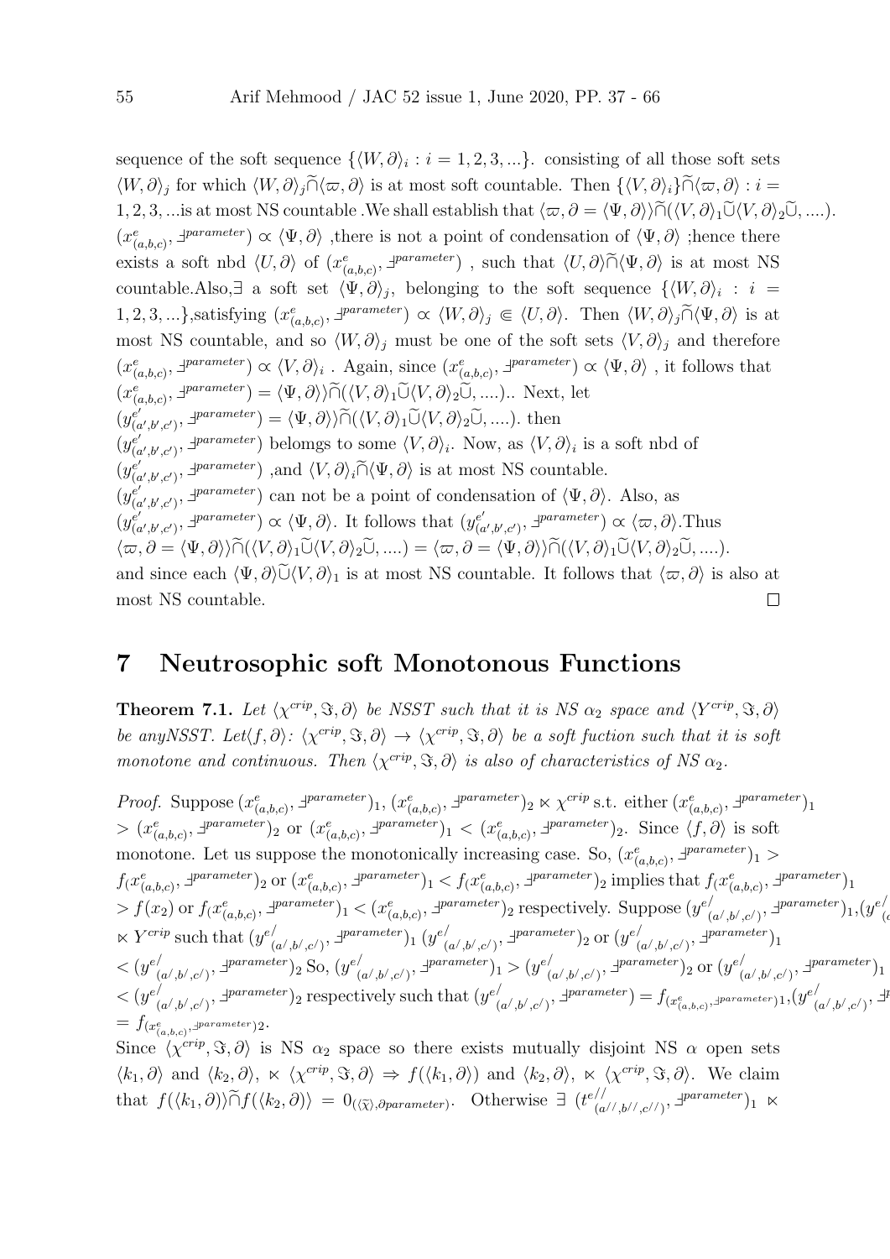sequence of the soft sequence  $\{ \langle W, \partial \rangle_i : i = 1, 2, 3, ...\}$  consisting of all those soft sets  $\langle W, \partial \rangle_j$  for which  $\langle W, \partial \rangle_j \tilde{\cap} \langle \varpi, \partial \rangle$  is at most soft countable. Then  $\{\langle V, \partial \rangle_i\} \tilde{\cap} \langle \varpi, \partial \rangle : i =$ 1, 2, 3, ...is at most NS countable .We shall establish that  $\langle \varpi, \partial = \langle \Psi, \partial \rangle \rangle \widetilde{\cap} (\langle V, \partial \rangle_1 \widetilde{\cup} \langle V, \partial \rangle_2 \widetilde{\cup}, \ldots)$ .  $(x_{(a,b,c)}^e, \exists^{parameter}) \propto \langle \Psi, \partial \rangle$ , there is not a point of condensation of  $\langle \Psi, \partial \rangle$ ; hence there exists a soft nbd  $\langle U, \partial \rangle$  of  $(x_{(a,b,c)}^e, \exists^{parameter})$ , such that  $\langle U, \partial \rangle \widetilde{\cap} \langle \Psi, \partial \rangle$  is at most NS countable.Also,  $\exists$  a soft set  $\langle \Psi, \partial \rangle_j$ , belonging to the soft sequence  $\{\langle W, \partial \rangle_i : i =$ 1, 2, 3, ...},satisfying  $(x_{(a,b,c)}^e, \exists^{parameter}) \propto \langle W, \partial \rangle_j \in \langle U, \partial \rangle$ . Then  $\langle W, \partial \rangle_j \widetilde{\cap} \langle \Psi, \partial \rangle$  is at most NS countable, and so  $\langle W, \partial \rangle_j$  must be one of the soft sets  $\langle V, \partial \rangle_j$  and therefore  $(x_{(a,b,c)}^e, \exists^{parameter}) \propto \langle V, \partial \rangle_i$ . Again, since  $(x_{(a,b,c)}^e, \exists^{parameter}) \propto \langle \Psi, \partial \rangle$ , it follows that  $(x_{(a,b,c)}^e, \exists^{parameter}) = \langle \Psi, \partial \rangle \rangle \widetilde{\cap} (\langle V, \partial \rangle_1 \widetilde{\cup} \langle V, \partial \rangle_2 \widetilde{\cup}, \dots).$  Next, let  $(y_{\alpha}^{e^{\prime}})$  $\begin{aligned} e'_{(a',b',c')}, \exists \text{parameter} \\ e'_{(a',b',c')}, \exists \text{parameter} \\ e'_{(a',b',c')}, \exists \text{parameter} \\ e'_{(a',b',c')}, \exists \text{parameter} \end{aligned}$  $(y_{\ell}^{e'})$  $(e'_{(a',b',c')}, \exists \text{parameter})$  belomgs to some  $\langle V, \partial \rangle_i$ . Now, as  $\langle V, \partial \rangle_i$  is a soft nbd of  $(y_{\alpha}^{e^{\prime}})$  $\begin{pmatrix} e'\\ (a',b',c') \end{pmatrix}$ ,  $\exists \text{parameter} \in \mathbb{R}$ ,  $\langle V, \partial \rangle_i \widetilde{\cap} \langle \Psi, \partial \rangle$  is at most NS countable.  $(y_{\alpha}^{e^{\prime}})$  $(e'_{(a',b',c')}, \exists^{parameter})$  can not be a point of condensation of  $\langle \Psi, \partial \rangle$ . Also, as  $(y_{\alpha}^{e^{\prime}})$  $(e'_{(a',b',c')}, \exists \text{parameter}) \propto \langle \Psi, \partial \rangle$ . It follows that  $(y_{(a',b',c')})$  $\binom{e'}{(a',b',c')}$ ,  $\exists^{parameter}$ )  $\alpha \langle \varpi, \partial \rangle$ . Thus  $\langle \varpi, \partial = \langle \Psi, \partial \rangle \rangle \widetilde{\cap} (\langle V, \partial \rangle_1 \widetilde{\cup} \langle V, \partial \rangle_2 \widetilde{\cup}, \ldots) = \langle \varpi, \partial = \langle \Psi, \partial \rangle \rangle \widetilde{\cap} (\langle V, \partial \rangle_1 \widetilde{\cup} \langle V, \partial \rangle_2 \widetilde{\cup}, \ldots).$ and since each  $\langle \Psi, \partial \rangle \tilde{\cup} \langle V, \partial \rangle_1$  is at most NS countable. It follows that  $\langle \varpi, \partial \rangle$  is also at most NS countable. most NS countable.

#### 7 Neutrosophic soft Monotonous Functions

**Theorem 7.1.** Let  $\langle \chi^{crip}, \Im, \partial \rangle$  be NSST such that it is NS  $\alpha_2$  space and  $\langle Y^{crip}, \Im, \partial \rangle$ be any NSST. Let $\langle f, \partial \rangle : \langle \chi^{crip}, \Im, \partial \rangle \to \langle \chi^{crip}, \Im, \partial \rangle$  be a soft fuction such that it is soft monotone and continuous. Then  $\langle \chi^{crip}, \Im, \partial \rangle$  is also of characteristics of NS  $\alpha_2$ .

*Proof.* Suppose  $(x_{(a,b,c)}^e, \exists^{parameter})_1, (x_{(a,b,c)}^e, \exists^{parameter})_2 \times \chi^{cript}$  s.t. either  $(x_{(a,b,c)}^e, \exists^{parameter})_1$  $> (x_{(a,b,c)}^e, \exists^{parameter})_2$  or  $(x_{(a,b,c)}^e, \exists^{parameter})_1 < (x_{(a,b,c)}^e, \exists^{parameter})_2$ . Since  $\langle f, \partial \rangle$  is soft monotone. Let us suppose the monotonically increasing case. So,  $(x_{(a,b,c)}^e, \exists^{parameter})_1 >$  $f(x_{(a,b,c)}^e, \exists^{parameter})_2$  or  $(x_{(a,b,c)}^e, \exists^{parameter})_1 < f(x_{(a,b,c)}^e, \exists^{parameter})_2$  implies that  $f(x_{(a,b,c)}^e, \exists^{parameter})_1$  $> f(x_2)$  or  $f(x_{(a,b,c)}^e, \exists^{parameter})_1 < (x_{(a,b,c)}^e, \exists^{parameter})_2$  respectively. Suppose  $(y_{(a,b,c)}^e, \exists^{parameter})_1$  $\sum_{(a^{\prime},b^{\prime},c^{\prime})}^{\prime},\exists^{parameter})_{1},(y^{e/2})$  $\overline{(\epsilon)}$  $\ltimes Y^{crip}$  such that  $(y^e)'$  $_{(a^{\prime},b^{\prime},c^{\prime})}^{\prime},$   $\exists^{parameter})_{1}$   $(y^{e^{\prime}})$  $_{(a^{\prime},b^{\prime},c^{\prime})}^{\prime},$   $\exists^{parameter})_{2}$  or  $(y^{e^{\prime}}_{(a^{\prime},b^{\prime},c^{\prime})},$  $_{(a^/ ,b^/ ,c^/ )}^{}/\sqrt{1}^{parameter})_{1}$  $\langle y^{e} \rangle$  $_{(a^{\prime},b^{\prime},c^{\prime})}^{\prime},$   $\exists^{parameter})$ <sub>2</sub> So,  $(y^{e/})$  $\sum_{(a^{\prime},b^{\prime},c^{\prime})}^{\prime},\exists^{parameter})_{1} > (y^{e/2})$  $\sum_{(a^{\prime},b^{\prime},c^{\prime})}^{\prime},\exists^{parameter})_2 \text{ or } (y^{e/2})_1$  $_{(a^/ ,b^/ ,c^/ )}^{}/\sqrt{1}^{parameter})_{1}$  $\langle y^{e} \rangle$  $\sum_{(a',b',c')}^{\ell} 1^{parameter}$ )<sub>2</sub> respectively such that  $(y^{e'}_b)$  $\mathcal{L}^{(a',b',c')}$ ,  $\exists^{parameter}) = f_{(x^e_{(a,b,c)},\exists^{parameter})1},(y^{e'}_{(a',b',c')})$  $_{(a^{\prime},b^{\prime},c^{\prime})}^{/\lambda},$   $^{\pm}$  $= f_{(x_{(a,b,c)}^e, \exists^{parameter})2}.$ Since  $\langle \chi^{crip}, \Im, \partial \rangle$  is NS  $\alpha_2$  space so there exists mutually disjoint NS  $\alpha$  open sets

 $\vert \mathcal{I} \vert$ 

 $\langle k_1, \partial \rangle$  and  $\langle k_2, \partial \rangle$ ,  $\ltimes \langle \chi^{crip}, \Im, \partial \rangle \Rightarrow f(\langle k_1, \partial \rangle)$  and  $\langle k_2, \partial \rangle$ ,  $\ltimes \langle \chi^{crip}, \Im, \partial \rangle$ . We claim that  $f(\langle k_1, \partial \rangle) \tilde{\cap} f(\langle k_2, \partial \rangle) = 0_{(\langle \tilde{\chi} \rangle, \partial parameter)}$ . Otherwise  $\exists$  ( $t^{e//}_{(a)}$  $\frac{1}{(a^{1/2},b^{1/2},c^{1/2})}, \exists^{parameter})_1 \propto$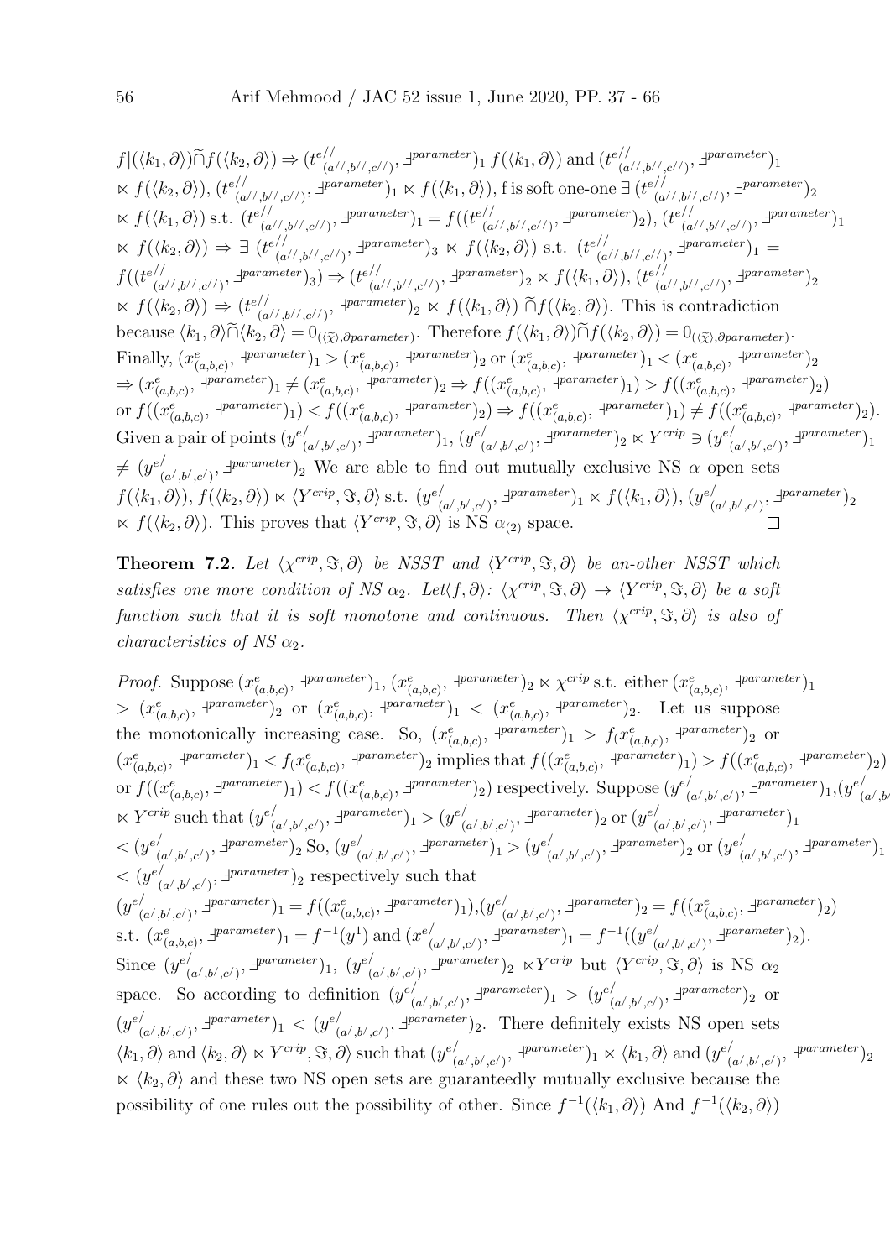$f|(\langle k_1, \partial \rangle) \widetilde{\cap} f(\langle k_2, \partial \rangle) \Rightarrow (t_{\langle a \rangle}^{e^{i/2}})$  $\frac{f}{f(\langle k_1, \partial \rangle)}$  and  $(t^{e/f}_{(a)})$  and  $(t^{e/f}_{(a)})$  $_{(a/\mathit{',b/\mathit{',c/\mathit{'}}})}^{//},$   $\exists^{parameter})_{1}$  $\ltimes f(\langle k_2, \partial \rangle), (t_{\alpha}^{e/2})$  $\binom{n}{(a',b',c')}, \exists^{parameter})_1 \ltimes f(\langle k_1, \partial \rangle),$  f is soft one-one  $\exists (t_{(a, b')}, t_{(a, b')})$  $\frac{1}{(a^{1/2},b^{1/2},c^{1/2})}$ ,  $\exists^{parameter}$ )<sub>2</sub>  $\ltimes f(\langle k_1, \partial \rangle)$  s.t.  $(t^{e/7})$  $_{(a^{\scriptscriptstyle /}/\delta^{/\scriptscriptstyle /},c^{\scriptscriptstyle /}/})}^{/\!/},$   $\exists^{parameter})_{1}$  =  $f((t_{(a}^{e/\!/},t_{(a}^{e/\!/},c^{\scriptscriptstyle /}/))$  $\frac{1}{(a^{1/},b^{1/},c^{1/})}, \frac{1}{2}^{parameter}$  )<sub>2</sub>),  $(t^{e/1/})$  $_{(a^{\frac{1}{2}},b^{\frac{1}{2}},c^{\frac{1}{2}})}^{1}$  ,  $_{a^{\frac{1}{2}}(b^{\frac{1}{2}}),b^{\frac{1}{2}}(c^{\frac{1}{2}}))}$  ,  $\ltimes f(\langle k_2, \partial \rangle) \Rightarrow \exists (t_{\alpha}^{e})$  $\sum_{(a//,b//,c//)}$  ∃<sup>parameter</sup>)<sub>3</sub>  $\ltimes$   $f(\langle k_2, \partial \rangle)$  s.t.  $(t^{e//}_{(a)})$  $_{(a^{\scriptscriptstyle /}/\scriptscriptstyle ,b^{\scriptscriptstyle /}/\scriptscriptstyle ,c^{\scriptscriptstyle /}/\scriptscriptstyle )}^{/\scriptscriptstyle /},$   $\exists^{parameter})_{1}=$  $f((t^{e/}/$  $\binom{n}{(a^{\frac{1}{2}},b^{\frac{1}{2}},c^{\frac{1}{2}})}$  ,  $\exists^{parameter}$  )  $_3$  )  $\Rightarrow$   $(t^{e}/\frac{1}{a})$  $\sum'_{(a'/b'/c'')}, \exists^{parameter}$ <sub>2</sub> ×  $f(\langle k_1, \partial \rangle), (t^{e'}/a)$  $_{(a^{\left/}/,b^{\left/}/,c^{\left/}/\right)},$   $\exists^{parameter})_{2}$  $\ltimes f(\langle k_2, \partial \rangle) \Rightarrow (t_{\alpha}^{e/2})$  $(f(a|l, b|l, c|l))$ ,  $\exists^{parameter}$   $\geq \kappa$   $f(\langle k_1, \partial \rangle)$   $\tilde{\cap} f(\langle k_2, \partial \rangle)$ . This is contradiction because  $\langle k_1, \partial \rangle \cap \langle k_2, \partial \rangle = 0_{(\langle \tilde{\chi} \rangle, \partial parameter)}$ . Therefore  $f(\langle k_1, \partial \rangle) \cap f(\langle k_2, \partial \rangle) = 0_{(\langle \tilde{\chi} \rangle, \partial parameter)}$ . Finally,  $(x_{(a,b,c)}^e, \exists^{parameter})_1 > (x_{(a,b,c)}^e, \exists^{parameter})_2$  or  $(x_{(a,b,c)}^e, \exists^{parameter})_1 < (x_{(a,b,c)}^e, \exists^{parameter})_2$  $\Rightarrow (x_{(a,b,c)}^e, \exists^{parameter})_1 \neq (x_{(a,b,c)}^e, \exists^{parameter})_2 \Rightarrow f((x_{(a,b,c)}^e, \exists^{parameter})_1) > f((x_{(a,b,c)}^e, \exists^{parameter})_2)$ or  $f((x_{(a,b,c)}^e, \exists^{parameter})_1) < f((x_{(a,b,c)}^e, \exists^{parameter})_2) \Rightarrow f((x_{(a,b,c)}^e, \exists^{parameter})_1) \neq f((x_{(a,b,c)}^e, \exists^{parameter})_2).$ Given a pair of points  $(y^{e'}_0)$  $_{(a^{\prime},b^{\prime},c^{\prime})}^{\prime},$   $\exists^{parameter})$ 1,  $(y^{e^{\prime}})$  $\sum_{(a^{\prime},b^{\prime},c^{\prime})}^{\prime},\exists^{parameter})_2 \ltimes Y^{cript} \ni (y^{e^{\prime}})_1$  $_{(a^{\prime},b^{\prime},c^{\prime})}^{/\,,\,\exists \textit{parameter})_{1}}$  $\neq (y^{e/$  $(\alpha, \beta, \beta, c')$ ,  $\exists$  *parameter*)<sub>2</sub> We are able to find out mutually exclusive NS  $\alpha$  open sets  $f(\langle k_1, \partial \rangle), f(\langle k_2, \partial \rangle) \propto \langle Y^{crip}, \Im, \partial \rangle \text{ s.t. } (y^e)$  $\binom{(\alpha',b',c')}{(a',b',c')}$ ,  $\exists^{parameter}$ )<sub>1</sub>  $\ltimes f(\langle k_1, \partial \rangle), (y_{\ell}^{e'})$  $_{(a^{\prime},b^{\prime},c^{\prime})}^{/},$   $\exists^{parameter})_{2}$  $\ltimes f(\langle k_2, \partial \rangle)$ . This proves that  $\langle Y^{crip}, \Im, \partial \rangle$  is NS  $\alpha_{(2)}$  space.

**Theorem 7.2.** Let  $\langle \chi^{crip}, \Im, \partial \rangle$  be NSST and  $\langle Y^{crip}, \Im, \partial \rangle$  be an-other NSST which satisfies one more condition of NS  $\alpha_2$ . Let $\langle f, \partial \rangle : \langle \chi^{crip}, \Im, \partial \rangle \to \langle Y^{crip}, \Im, \partial \rangle$  be a soft function such that it is soft monotone and continuous. Then  $\langle \chi^{crip}, S, \partial \rangle$  is also of characteristics of NS  $\alpha_2$ .

*Proof.* Suppose  $(x_{(a,b,c)}^e, \exists^{parameter})_1, (x_{(a,b,c)}^e, \exists^{parameter})_2 \times \chi^{cript}$  s.t. either  $(x_{(a,b,c)}^e, \exists^{parameter})_1$  $> (x_{(a,b,c)}^e, \exists^{parameter})_2$  or  $(x_{(a,b,c)}^e, \exists^{parameter})_1 < (x_{(a,b,c)}^e, \exists^{parameter})_2$ . Let us suppose the monotonically increasing case. So,  $(x_{(a,b,c)}^e, \exists^{parameter})_1 > f(x_{(a,b,c)}^e, \exists^{parameter})_2$  or  $(x_{(a,b,c)}^e, \exists^{parameter})_1 < f(x_{(a,b,c)}^e, \exists^{parameter})_2$  implies that  $f((x_{(a,b,c)}^e, \exists^{parameter})_1) > f((x_{(a,b,c)}^e, \exists^{parameter})_2)$ or  $f((x_{(a,b,c)}^e, \exists^{parameter})_1) < f((x_{(a,b,c)}^e, \exists^{parameter})_2)$  respectively. Suppose  $(y_{(a,b,c)}^e, \exists^{parameter})_1$  $_{(a^{\prime},b^{\prime},c^{\prime})}^{\prime},\exists^{parameter})_{1},(y^{e/})$  $(a/$ , $b/$  $\ltimes Y^{crip}$  such that  $(y^e)'$  $\sum_{(a^{\prime},b^{\prime},c^{\prime})}^{\prime},\exists^{parameter})_{1} > (y^{e/2})$  $_{(a^{\prime},b^{\prime},c^{\prime})}^{\prime},$   $\exists^{parameter})_{2}$  or  $(y^{e^{\prime}}_{(a^{\prime},b^{\prime},c^{\prime})},$  $_{(a^{\prime},b^{\prime},c^{\prime})}^{/},$   $\exists^{parameter})_{1}$  $\langle y^{e} \rangle$  $_{(a^{\prime},b^{\prime},c^{\prime})}^{\prime},$   $\exists^{parameter})$ <sub>2</sub> So,  $(y^{e/})$  $\sum_{(a^{\prime},b^{\prime},c^{\prime})}^{\prime},\exists^{parameter})_{1} > (y^{e/2})$  $_{(a^{\prime},b^{\prime},c^{\prime})}^{\prime},$   $\exists^{parameter})$ <sub>2</sub> or  $(y^{e^{\prime}}_{(a^{\prime},b^{\prime},c^{\prime})})$  $_{(a^/ ,b^/ ,c^/ )}^{}/\sqrt{1}^{parameter})_{1}$  $\langle y^{e} \rangle$  $_{(a',b',c')}^{'}$ ,  $\exists^{parameter}$ )<sub>2</sub> respectively such that  $(y^e)'$  $\sum_{(a^{\prime},b^{\prime},c^{\prime})}^{\prime},\exists^{parameter})_{1}=f((x_{(a,b,c)}^{e},\exists^{parameter})_{1}),(y_{(a,b,c)}^{e})$  $\sum_{(a',b',c')}^{/\}, \exists \textit{parameter} \choose 2} = f((x_{(a,b,c)}^e, \exists \textit{parameter})_2)$ s.t.  $(x_{(a,b,c)}^e, \exists^{parameter})_1 = f^{-1}(y^1)$  and  $(x_{(a,b,c)}^e, \exists^{parent})$  $\sum_{(a^{\prime},b^{\prime},c^{\prime})}^{\prime},\exists^{parameter})_{1}$  =  $f^{-1}((y^{e^{\prime}}_{c^{\prime}})$  $\frac{1}{(a',b',c')}, \exists^{parameter}\big)_2.$ Since  $(y^{e'}_1)$  $_{(a^{\prime},b^{\prime},c^{\prime})}^{\prime},\exists^{parameter})_{1},\;(y^{e^{\prime}}_{(a^{\prime})})_{1},\;(y^{e^{\prime}}_{(a^{\prime})})_{1},\;(y^{e^{\prime}}_{(a^{\prime})})_{1},\;(y^{e^{\prime}}_{(a^{\prime})})_{1},\;(y^{e^{\prime}}_{(a^{\prime})})_{1},\;(y^{e^{\prime}}_{(a^{\prime})})_{1},\;(y^{e^{\prime}}_{(a^{\prime})})_{1},\;(y^{e^{\prime}}_{(a^{\prime})})_{1},\;(y^{e^{\prime}}_{(a^{\prime})})_{1},\;(y^{e^{\prime}}_{$  $\sum_{(a',b',c')}$   $\exists$ parameter)<sub>2</sub>  $\ltimes$ Y<sup>crip</sup> but  $\langle Y^{crip}, \Im, \partial \rangle$  is NS  $\alpha_2$ space. So according to definition  $(y^{e'}_0)$  $\frac{1}{(a',b',c')}, \exists^{parameter}$  )  $1 > (y^{e/2})$  $\binom{d}{(a',b',c')}, \exists^{parameter}$ )<sub>2</sub> or  $(y^e)'$  $_{(a^{\prime},b^{\prime},c^{\prime})}^{\prime},$   $\exists^{parameter})_{1}$   $<$   $(y^{e^{\prime}})_{(a^{\prime})}^{\prime}$  $\binom{(\alpha',b',c')}{(a',b',c')}$  *Parameter*)<sub>2</sub>. There definitely exists NS open sets  $\langle k_1, \partial \rangle$  and  $\langle k_2, \partial \rangle \ltimes Y^{crip}, \Im, \partial \rangle$  such that  $(y^{e'}_0)$  $\binom{d}{(a',b',c')}$ ,  $\exists^{parameter}$   $_1 \ltimes \langle k_1, \partial \rangle$  and  $(y^{e'}_0)$  $_{(a^/ ,b^/ ,c^/ )}^{}/\sqrt{1}^{parameter})_{2}$  $\ltimes \langle k_2, \partial \rangle$  and these two NS open sets are guaranteedly mutually exclusive because the possibility of one rules out the possibility of other. Since  $f^{-1}(\langle k_1, \partial \rangle)$  And  $f^{-1}(\langle k_2, \partial \rangle)$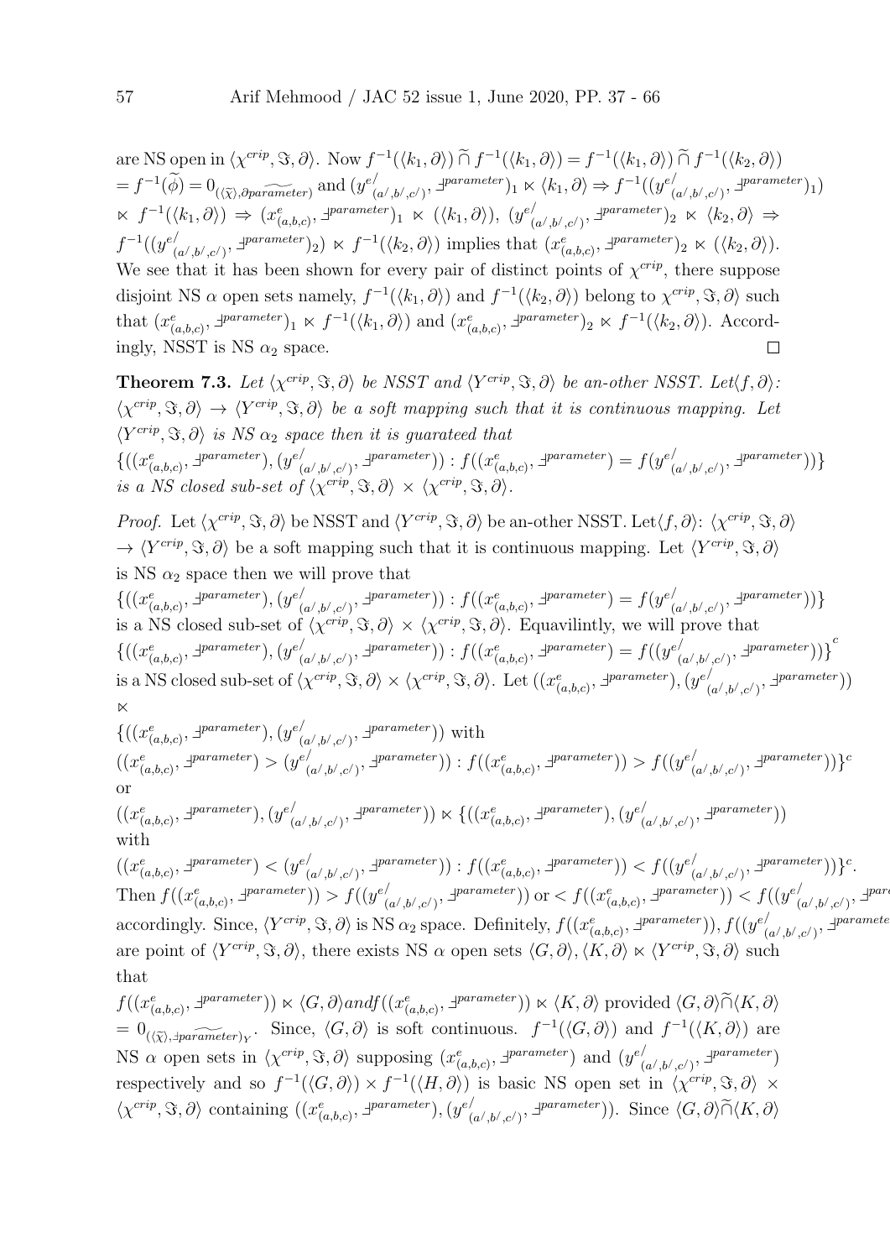are NS open in  $\langle \chi^{crip}, \Im, \partial \rangle$ . Now  $f^{-1}(\langle k_1, \partial \rangle) \cap f^{-1}(\langle k_1, \partial \rangle) = f^{-1}(\langle k_1, \partial \rangle) \cap f^{-1}(\langle k_2, \partial \rangle)$  $=f^{-1}(\widetilde{\phi})=0_{(\langle \widetilde{\chi} \rangle, \partial parameter)}$  and  $(y^{e/\psi})$  $\chi'_{(a',b',c')}, \exists^{parameter})_1 \ltimes \langle k_1, \partial \rangle \Rightarrow f^{-1}((y^e)^t)$  $_{(a^/ ,b^/ ,c^/ )}^{}/\sqrt{1}^{parameter})_{1})$  $\kappa f^{-1}(\langle k_1, \partial \rangle) \Rightarrow (x_{(a,b,c)}^e, \exists^{parameter})_1 \ltimes (\langle k_1, \partial \rangle), (y_{(a,b,c)}^e)$  $\begin{array}{ccc} \lambda & \mu & \lambda \ (a',b',c') & , \end{array}$   $\exists^{parameter}$   $)_2 \ltimes \langle k_2, \partial \rangle \Rightarrow$  $f^{-1}((y^e)'$  $\begin{pmatrix} \n\mu_{(a',b',c')}, \exists \text{parameter} \n\end{pmatrix} \times f^{-1}(\langle k_2, \partial \rangle) \text{ implies that } (x^e_{(a,b,c)}, \exists \text{parameter} \n\end{pmatrix} \times (\langle k_2, \partial \rangle).$ We see that it has been shown for every pair of distinct points of  $\chi^{crip}$ , there suppose disjoint NS  $\alpha$  open sets namely,  $f^{-1}(\langle k_1, \partial \rangle)$  and  $f^{-1}(\langle k_2, \partial \rangle)$  belong to  $\chi^{crip}, \Im, \partial \rangle$  such that  $(x_{(a,b,c)}^e, \exists^{parameter})_1 \ltimes f^{-1}(\langle k_1, \partial \rangle)$  and  $(x_{(a,b,c)}^e, \exists^{parameter})_2 \ltimes f^{-1}(\langle k_2, \partial \rangle)$ . Accordingly, NSST is NS  $\alpha_2$  space.  $\Box$ 

**Theorem 7.3.** Let  $\langle \chi^{crip}, \Im, \partial \rangle$  be NSST and  $\langle Y^{crip}, \Im, \partial \rangle$  be an-other NSST. Let $\langle f, \partial \rangle$ :  $\langle \chi^{crip}, \Im, \partial \rangle \to \langle Y^{crip}, \Im, \partial \rangle$  be a soft mapping such that it is continuous mapping. Let  $\langle Y^{crip}, \Im, \partial \rangle$  is NS  $\alpha_2$  space then it is guarateed that  $\{((x_{(a,b,c)}^e, \exists^{parameter}), (y_{(a,b,c)}^e, \exists^{parameter}))\}$  $\mathcal{L}^{(a',b',c')}, \exists^{parameter}) : f((x^e_{(a,b,c)}, \exists^{parameter}) = f(y^e_{(a',b',c')}, \exists^{parameter}))$  $\binom{d}{(a',b',c')}, \exists^{parameter})\}$ is a NS closed sub-set of  $\langle \chi^{crip}, \Im, \partial \rangle \times \langle \chi^{crip}, \Im, \partial \rangle$ .

Proof. Let  $\langle \chi^{crip}, \Im, \partial \rangle$  be NSST and  $\langle Y^{crip}, \Im, \partial \rangle$  be an-other NSST. Let $\langle f, \partial \rangle$ :  $\langle \chi^{crip}, \Im, \partial \rangle$  $\rightarrow \langle Y^{crip}, \Im, \partial \rangle$  be a soft mapping such that it is continuous mapping. Let  $\langle Y^{crip}, \Im, \partial \rangle$ is NS  $\alpha_2$  space then we will prove that

 $\{((x_{(a,b,c)}^e, \exists^{parameter}), (y_{(a,b,c)}^e,$  $\mathcal{L}^{(a',b',c')}, \exists^{parameter}) : f((x^e_{(a,b,c)}, \exists^{parameter}) = f(y^e_{(a',b',c')}, \exists^{parameter}))$  $\binom{d}{(a',b',c')}, \exists^{parameter})\}$ is a NS closed sub-set of  $\langle \chi^{crip}, \Im, \partial \rangle \times \langle \chi^{crip}, \Im, \partial \rangle$ . Equavilintly, we will prove that  $\{((x_{(a,b,c)}^e, \exists^{parameter}), (y_{(a,b,c)}^e))\}$  $\mathcal{L}^{(a',b',c')}, \exists^{parameter})$ ) :  $f((x_{(a,b,c)}^e, \exists^{parameter}) = f((y_{(a',b',c')^e, \mathcal{L}^{target}}))$  $\left. \begin{array}{l} \bar{\left( a',b',c'\right)},\ \bar{\varphi}^{parameter})\ \end{array} \right) \Big\}^c$ is a NS closed sub-set of  $\langle \chi^{crip}, \Im, \partial \rangle \times \langle \chi^{crip}, \Im, \partial \rangle$ . Let  $((x^e_{(a,b,c)}, \exists^{parameter}), (y^e)^e \rangle$  $\binom{d}{(a',b',c')}, \exists \textit{parameter})$  $\bowtie$ 

$$
\{((x_{(a,b,c)}^e, \exists^{parameter}), (y_{(a',b',c')}^e, \exists^{parameter})) \text{ with } ((x_{(a,b,c)}^e, \exists^{parameter}) > (y_{(a',b',c')}^e, \exists^{parameter})) : f((x_{(a,b,c)}^e, \exists^{parameter})) > f((y_{(a',b',c')}^e, \exists^{parameter}))\}^c
$$
 or

$$
((x_{(a,b,c)}^e, \exists^{parameter}), (y_{(a',b',c')}^e, \exists^{parameter})) \times \{((x_{(a,b,c)}^e, \exists^{parameter}), (y_{(a',b',c')}^e, \exists^{parameter}))
$$
 with

 $((x_{(a,b,c)}^e, \exists^{parameter}) < (y_{(a,b,c)}^e))$  $\mathcal{L}^{(a',b',c')},\exists^{parameter})$ ) :  $f((x_{(a,b,c)}^e, \exists^{parameter})) < f((y_{(a',b',c')^*}^e, \exists^{parameter}))$  $\binom{d}{(a',b',c')}, \exists \textit{parameter})\}^c.$ Then  $f((x_{(a,b,c)}^e, \exists^{parameter})) > f((y_{(a,b,c)}^e, \exists^{target})$  $\mathcal{L}(\mathbf{a}',\mathbf{b}',\mathbf{c}')$ ,  $\exists^{parameter}$ )) or  $\lt f((x_{(a,b,c)}^e, \exists^{parameter}))$   $\lt f((y_{(a',b',c')^e, \mathbf{c}')$  $_{(a^/,b^/,c^/)}^{/}, \exists^{pare}$ accordingly. Since,  $\langle Y^{crip}, \Im, \partial \rangle$  is NS  $\alpha_2$  space. Definitely,  $f((x_{(a,b,c)}^e, \exists^{parameter})), f((y_{(a,b,c)}^e, \Box))$  $\sum_{(a^{\prime},b^{\prime},c^{\prime})}^{\prime},\exists^{parameter}$ are point of  $\langle Y^{crip}, \Im, \partial \rangle$ , there exists NS  $\alpha$  open sets  $\langle G, \partial \rangle, \langle K, \partial \rangle \ltimes \langle Y^{crip}, \Im, \partial \rangle$  such that

 $f((x_{(a,b,c)}^e, \exists^{parameter})) \ltimes \langle G, \partial \rangle$ andf $((x_{(a,b,c)}^e, \exists^{parameter})) \ltimes \langle K, \partial \rangle$  provided  $\langle G, \partial \rangle \widetilde{\cap} \langle K, \partial \rangle$  $= 0_{(\langle \tilde{\chi} \rangle, \exists parameter)_Y}$ . Since,  $\langle G, \partial \rangle$  is soft continuous.  $f^{-1}(\langle G, \partial \rangle)$  and  $f^{-1}(\langle K, \partial \rangle)$  are NS  $\alpha$  open sets in  $\langle \chi^{crip}, \Im, \partial \rangle$  supposing  $(x^e_{(a,b,c)}, \exists^{parameter})$  and  $(y^{e'}_{(b,c)}, \Im, \Box)$  $_{(a^/ ,b^/ ,c^/ )}^{}/\Delta^{parameter})$ respectively and so  $f^{-1}(\langle G,\partial \rangle) \times f^{-1}(\langle H,\partial \rangle)$  is basic NS open set in  $\langle \chi^{crip}, \Im, \partial \rangle \times$  $\langle \chi^{crip}, \Im, \partial \rangle$  containing  $((x^e_{(a,b,c)}, \exists^{parameter}), (y^e))$  $\binom{(\alpha',b',c')}{(a',b',c')}$ . Since  $\langle G,\partial \rangle \widetilde{\cap} \langle K,\partial \rangle$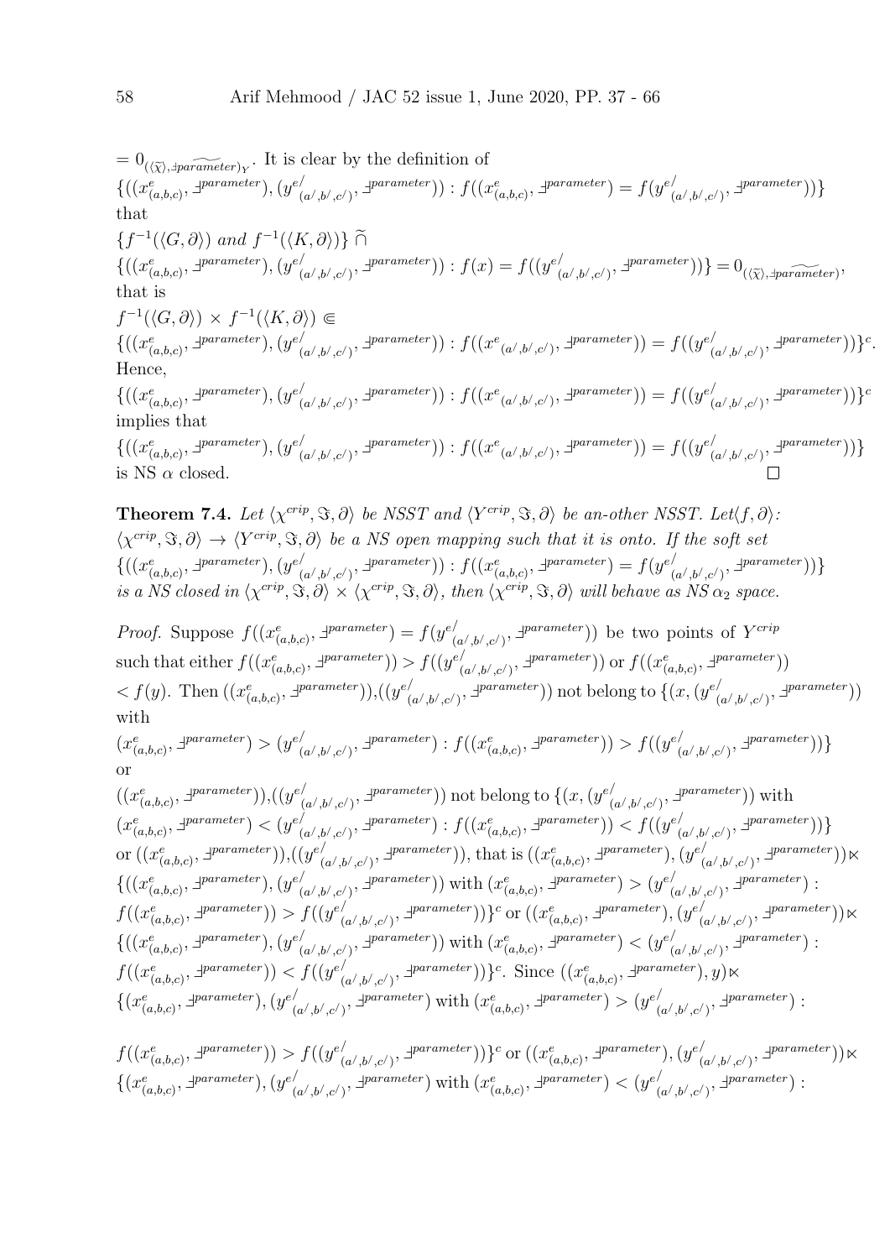$= 0_{(\langle \tilde{\chi} \rangle, \exists parameter)_Y}$ . It is clear by the definition of  $\{((x_{(a,b,c)}^e, \exists^{parameter}), (y_{(a,b,c)}^e))\}$  $\mathcal{L}^{(a',b',c')}, \exists^{parameter}) : f((x^e_{(a,b,c)}, \exists^{parameter}) = f(y^e_{(a',b',c')}, \exists^{parameter}))$  $\binom{d}{(a',b',c')}, \exists \textit{parameter})\}$ that  $\{f^{-1}(\langle G,\partial\rangle) \text{ and } f^{-1}(\langle K,\partial\rangle)\}\ \widetilde{\cap}$  $\{((x_{(a,b,c)}^e, \exists^{parameter}), (y_{(a,b,c)}^e))\}$  $\phi^{\prime}_{(a',b',c')}, \exists^{parameter}$  ) :  $f(x) = f((y^{e'}_{(a',b',c')}, x^{e'})$  $\binom{d}{(a',b',c')}, \exists \text{parameter} )\} = 0_{(\langle \widetilde{\chi} \rangle, \exists \text{parameter})},$ that is  $f^{-1}(\langle G,\partial \rangle) \times f^{-1}(\langle K,\partial \rangle) \Subset$  $\{((x_{(a,b,c)}^e, \exists^{parameter}), (y_{(a,b,c)}^e))\}$  $\mathcal{L}^{(a',b',c')},\exists^{parameter})) : f((x^{e}(a',b',c') ,\exists^{parameter})) = f((y^{e'}(a',b',c'))^{e'})$  $_{(a^{\prime},b^{\prime},c^{\prime})}^{\prime},\exists^{parameter})\$ . Hence,  $\{((x_{(a,b,c)}^e, \exists^{parameter}), (y_{(a,b,c)}^e))\}$  $\mathcal{L}^{(a',b',c')},\exists^{parameter})) : f((x^{e}(a',b',c') ,\exists^{parameter})) = f((y^{e'}(a',b',c'))^{e'})$  $_{(a^{\prime},b^{\prime},c^{\prime})}^{/\mathrm{parameter}})\}^{c}$ implies that  $\{((x_{(a,b,c)}^e, \exists^{parameter}), (y_{(a,b,c)}^e))\}$  $\mathcal{L}^{(a',b',c')},\exists^{parameter})) : f((x^{e}(a',b',c') ,\exists^{parameter})) = f((y^{e'}(a',b',c'))^{e'})$  $_{(a^{\prime},b^{\prime},c^{\prime})}^{/\mathrm{parameter}})\}$ is NS  $\alpha$  closed. **Theorem 7.4.** Let  $\langle \chi^{crip}, \Im, \partial \rangle$  be NSST and  $\langle Y^{crip}, \Im, \partial \rangle$  be an-other NSST. Let $\langle f, \partial \rangle$ :  $\langle \chi^{crip}, \Im, \partial \rangle \to \langle Y^{crip}, \Im, \partial \rangle$  be a NS open mapping such that it is onto. If the soft set  $\{((x_{(a,b,c)}^e, \exists^{parameter}), (y_{(a,b,c)}^e))\}$  $\mathcal{L}^{(a',b',c')}, \exists^{parameter}) : f((x^e_{(a,b,c)}, \exists^{parameter}) = f(y^e_{(a',b',c')}, \exists^{parameter}))$  $\binom{d}{(a',b',c')}, \exists \textit{parameter})\}$ is a NS closed in  $\langle \chi^{crip}, \Im, \partial \rangle \times \langle \chi^{crip}, \Im, \partial \rangle$ , then  $\langle \chi^{crip}, \Im, \partial \rangle$  will behave as NS  $\alpha_2$  space. *Proof.* Suppose  $f((x_{(a,b,c)}^e, \exists^{parameter}) = f(y_{(a,b,c)}^e))$  $\binom{(\alpha',b',c')}{(a',b',c')}$  be two points of  $Y^{crip}$ such that either  $f((x_{(a,b,c)}^e, \exists^{parameter})) > f((y_{(a,b,c)}^e)$  $\binom{(\alpha',b',c')}{(\alpha',b',c')}$   $\exists^{parameter})$ ) or  $f((x^e_{(a,b,c)}, \exists^{parameter}))$  $\langle f(y) \rangle$ . Then  $((x_{(a,b,c)}^e, \exists^{parameter})), ((y_{(a,b,c)}^e, \exists^{parameter})),$  $\sum_{(a',b',c')}, \exists^{parameter})$ ) not belong to  $\{(x,(y^{e'}))$  $\begin{pmatrix} a/|b/|,c/2 \end{pmatrix}, \exists \textit{parameter} \text{)}$ with  $(x_{(a,b,c)}^e, \exists^{parameter}) > (y_{(a,b,c)}^e)$  $\mathcal{L}^{(a',b',c')}, \exists^{parameter}): f((x^e_{(a,b,c)}, \exists^{parameter})) > f((y^e_{(a',b',c')}, \exists^{parameter}))$  $\begin{pmatrix} \frac{1}{2} \left( \frac{a}{b}, \frac{b}{c'} \right), \frac{1}{2} \end{pmatrix}$ or  $((x_{(a,b,c)}^e, \exists^{parameter})), ((y_{(a,b,c)}^e, \exists^{parameter})),$  $\mathcal{L}^{(a',b',c')},$   $\exists^{parameter}$ )) not belong to  $\{(x,(y^{e'}),$  $\binom{d}{(a',b',c')}, \exists^{parameter})$ ) with  $(x_{(a,b,c)}^e, \exists^{parameter}) < (y_{(a,b,c)}^e)$  $\mathcal{L}^{(a',b',c')}$ ,  $\exists^{parameter}$ ) :  $f((x_{(a,b,c)}^e, \exists^{parameter})) < f((y_{(a',b',c')^e}^e, \exists^{parameter}))$  $\binom{d}{(a',b',c')}, \exists \textit{parameter})\}$ 

$$
\text{or } ((x_{(a,b,c)}^e, \exists \textit{parameter})), ((y_{(a',b',c')}, \exists \textit{parameter})), \text{ that is } ((x_{(a,b,c)}^e, \exists \textit{parameter})), (y_{(a',b',c')}, \exists \textit{parameter}))) \times \{((x_{(a,b,c)}^e, \exists \textit{parameter})), (y_{(a',b',c')}, \exists \textit{parameter}))) \} \times \} \{((x_{(a,b,c)}^e, \exists \textit{parameter})), (y_{(a',b',c')}, \exists \textit{parameter}))) \} \} \text{ with } (x_{(a,b,c)}^e, \exists \textit{parameter}))) \} \times \} \{((x_{(a,b,c)}^e, \exists \textit{parameter}))) \} \times \} \{((x_{(a,b,c)}^e, \exists \textit{parameter}))) \} \times \} \{((x_{(a,b,c)}^e, \exists \textit{parameter}))) \} \times \} \{((x_{(a,b,c)}^e, \exists \textit{parameter}))) \} \times \} \{((x_{(a,b,c)}^e, \exists \textit{parameter}))) \} \times \} \{((x_{(a,b,c)}^e, \exists \textit{parameter}))) \} \times \} \{((x_{(a,b,c)}^e, \exists \textit{parameter}))) \} \times \} \{((x_{(a,b,c)}^e, \exists \textit{parameter}))) \} \times \} \{((x_{(a,b,c)}^e, \exists \textit{parameter}))) \} \} \times \} \{((x_{(a,b,c)}^e, \exists \textit{parameter}))) \} \times \} \{((x_{(a,b,c)}^e, \exists \textit{parameter}))) \} \} \times \} \text{ Since } ((x_{(a,b,c)}^e, \exists \textit{parameter}))) \} \times \} \{((x_{(a',b',c')}^e, \exists \textit{parameter}))) \} \times \{((x_{(a',b',c')}^e, \exists \textit{parameter}))) \} \} \times \{((x_{(a',b',c')}^e, \exists \textit{parameter}))) \} \times \} \{((x_{(a',b',c')}^e, \exists \textit{parameter}))) \} \times \} \{((x_{(a',b',c')}^e, \exists \textit{parameter}))) \} \times \} \{((x_{(a',b',c')}^e, \exists \textit{parameter}))) \} \times \} \times \{((x_{(a',b',c')}^e, \exists \text
$$

$$
f((x_{(a,b,c)}^e, \exists^{\text{parameter}})) > f((y_{(a',b',c')}^e, \exists^{\text{parameter}}))\}^c
$$
 or 
$$
((x_{(a,b,c)}^e, \exists^{\text{parameter}}), (y_{(a',b',c')}^e, \exists^{\text{parameter}})) \ltimes
$$

$$
\{(x_{(a,b,c)}^e, \exists^{\text{parameter}}), (y_{(a',b',c')}^e, \exists^{\text{parameter}})\text{ with } (x_{(a,b,c)}^e, \exists^{\text{parameter}}) < (y_{(a',b',c')}^e, \exists^{\text{parameter}}):
$$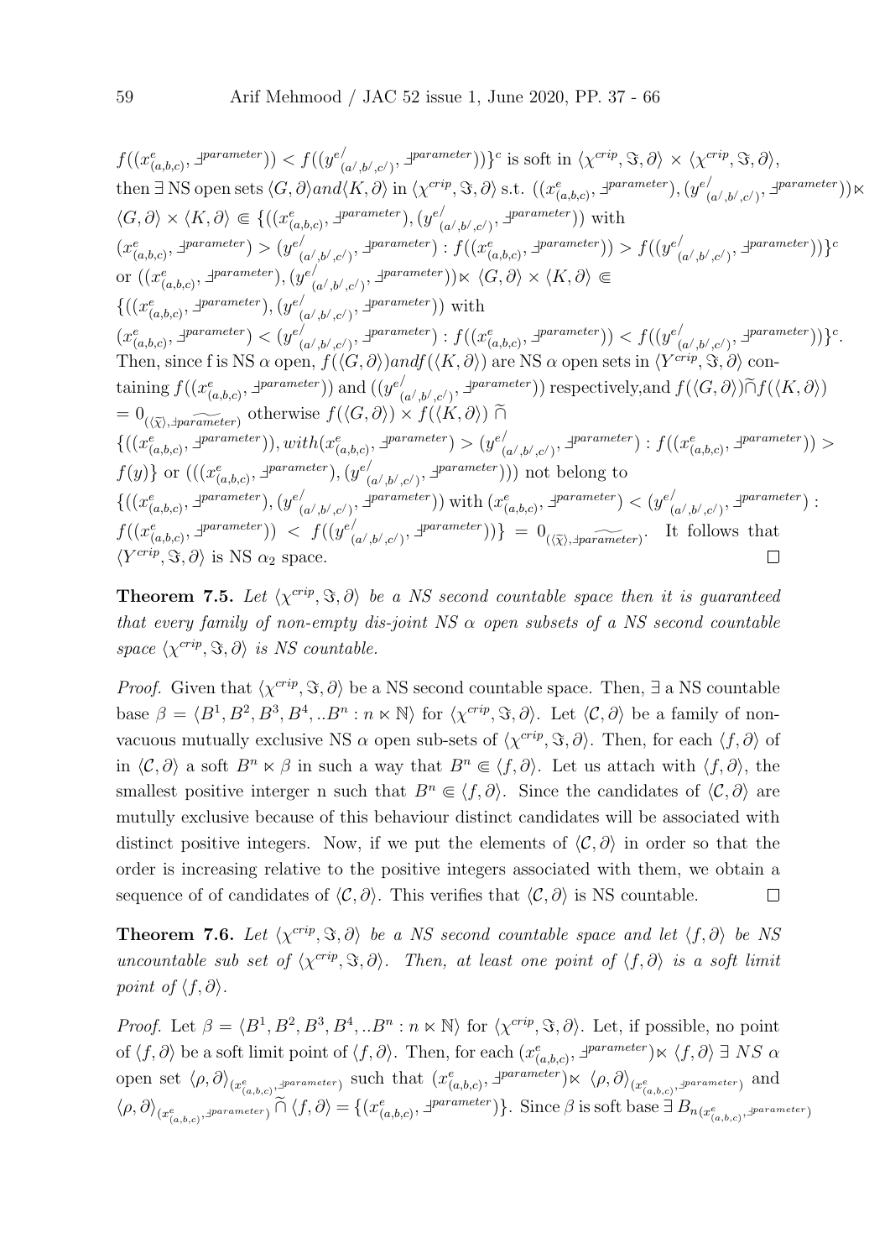$f((x_{(a,b,c)}^e, \exists^{parameter})) < f((y_{(a,b,c)}^e, \exists^{parameter}))$  $\{a(1,b),c(1),\}^{\text{parameter}}\}$  is soft in  $\langle \chi^{crip}, \Im, \partial \rangle \times \langle \chi^{crip}, \Im, \partial \rangle$ , then  $\exists$  NS open sets  $\langle G, \partial \rangle$  and $\langle K, \partial \rangle$  in  $\langle \chi^{cript}, \Im, \partial \rangle$  s.t.  $((x_{(a,b,c)}^e, \exists^{parameter}), (y_{(a,b,c)}^e, \Box))$  $\binom{a}{b}, \binom{b}{c}, \exists^{parameter})$  $\langle G, \partial \rangle \times \langle K, \partial \rangle \in \{((x_{(a,b,c)}^e, \exists^{parameter}), (y_{(a,b,c)}^e, \exists^{target})\}$  $\binom{d}{(a',b',c')}, \exists^{parameter})$ ) with  $(x^e_{(a,b,c)}, \exists^{parameter}) > (y^e)$  $\mathcal{L}^{(a',b',c')}$ ,  $\exists^{parameter}$ ) :  $f((x_{(a,b,c)}^e, \exists^{parameter})) > f((y_{(a',b',c')^e, \mathcal{L}^{target}}))$  $\binom{d}{(a',b',c')}, \exists^{parameter})\}^{c}$ or  $((x_{(a,b,c)}^e, \exists^{parameter}), (y_{(a,b,c)}^e))$  $\binom{(\alpha',b',c')}{(a',b',c')}$   $\exists^{parameter}$ )  $\ltimes \langle G, \partial \rangle \times \langle K, \partial \rangle \subseteq$  $\{((x_{(a,b,c)}^e, \exists^{parameter}), (y_{(a,b,c)}^e))\}$  $\binom{d}{(a',b',c')}, \exists^{parameter})$ ) with  $(x_{(a,b,c)}^e, \exists^{parameter}) < (y_{(a,b,c)}^e)$  $\mathcal{L}^{(a',b',c')}$ ,  $\exists^{parameter}$ ) :  $f((x_{(a,b,c)}^e, \exists^{parameter})) < f((y_{(a',b',c')^e}^e, \exists^{parameter}))$  $\binom{d}{(a',b',c')}, \exists \textit{parameter})\}^c.$ Then, since f is NS  $\alpha$  open,  $f(\langle G, \partial \rangle)$ andf $(\langle K, \partial \rangle)$  are NS  $\alpha$  open sets in  $\langle Y^{crip}, \Im, \partial \rangle$  containing  $f((x_{(a,b,c)}^e, \exists^{parameter}))$  and  $((y_{(c)}^e)$  $\binom{d}{(a',b',c')}$ ,  $\exists^{parameter}$ ) respectively, and  $f(\langle G, \partial \rangle) \widetilde{\cap} f(\langle K, \partial \rangle)$  $= 0_{(\langle \tilde{\chi} \rangle, \exists parameter)}$  otherwise  $f(\langle G, \partial \rangle) \times f(\langle K, \partial \rangle)$  ∩  $\{((x_{(a,b,c)}^e, \exists^{parameter})), with (x_{(a,b,c)}^e, \exists^{parameter}) > (y_{(a,b,c)}^e,$  $\mathcal{L}^{(a',b',c')}, \exists^{parameter} : f((x_{(a,b,c)}^e, \exists^{parameter})) >$  $f(y)$ } or  $(((x_{(a,b,c)}^e, \exists^{parameter}), (y_{(a,b,c)}^e))$  $\binom{(\alpha',b',c')}{\alpha'}$ ,  $\exists^{parameter}$ ))) not belong to  $\{((x_{(a,b,c)}^e, \exists^{parameter}), (y_{(a,b,c)}^e,$  $\binom{d}{(a',b',c')}$ ,  $\exists^{parameter}$ )) with  $(x_{(a,b,c)}^e, \exists^{parameter}) < (y_{(a',b',c')^*}^e)$  $_{(a^{\prime},b^{\prime},c^{\prime})}^{/\mathrm{parameter}}$  ;  $f((x_{(a,b,c)}^e, \exists^{parameter})) \leq f((y_{(a,b,c)}^e, \exists^{target}))$  $\begin{aligned} (a',b',c')\text{, } \exists \text{parameter} \text{)}\text{, } \end{aligned}$  =  $0_{(\langle \widetilde{\chi} \rangle, \exists \text{parameter})}$ . It follows that  $\langle Y^{crip}, \Im, \partial \rangle$  is NS  $\alpha_2$  space.  $\Box$ 

**Theorem 7.5.** Let  $\langle \chi^{crip}, \Im, \partial \rangle$  be a NS second countable space then it is guaranteed that every family of non-empty dis-joint NS  $\alpha$  open subsets of a NS second countable space  $\langle \chi^{crip}, \Im, \partial \rangle$  is NS countable.

*Proof.* Given that  $\langle \chi^{crip}, \Im, \partial \rangle$  be a NS second countable space. Then,  $\exists$  a NS countable base  $\beta = \langle B^1, B^2, B^3, B^4, ... B^n : n \times \mathbb{N} \rangle$  for  $\langle \chi^{crip}, \Im, \partial \rangle$ . Let  $\langle C, \partial \rangle$  be a family of nonvacuous mutually exclusive NS  $\alpha$  open sub-sets of  $\langle \chi^{crip}, \Im, \partial \rangle$ . Then, for each  $\langle f, \partial \rangle$  of in  $\langle \mathcal{C}, \partial \rangle$  a soft  $B^n \times \beta$  in such a way that  $B^n \in \langle f, \partial \rangle$ . Let us attach with  $\langle f, \partial \rangle$ , the smallest positive interger n such that  $B^n \in \langle f, \partial \rangle$ . Since the candidates of  $\langle \mathcal{C}, \partial \rangle$  are mutully exclusive because of this behaviour distinct candidates will be associated with distinct positive integers. Now, if we put the elements of  $\langle C, \partial \rangle$  in order so that the order is increasing relative to the positive integers associated with them, we obtain a sequence of of candidates of  $\langle \mathcal{C}, \partial \rangle$ . This verifies that  $\langle \mathcal{C}, \partial \rangle$  is NS countable.  $\Box$ 

**Theorem 7.6.** Let  $\langle \chi^{crip}, \Im, \partial \rangle$  be a NS second countable space and let  $\langle f, \partial \rangle$  be NS uncountable sub set of  $\langle \chi^{crip}, \Im, \partial \rangle$ . Then, at least one point of  $\langle f, \partial \rangle$  is a soft limit point of  $\langle f, \partial \rangle$ .

*Proof.* Let  $\beta = \langle B^1, B^2, B^3, B^4, ...B^n : n \times \mathbb{N} \rangle$  for  $\langle \chi^{crip}, \Im, \partial \rangle$ . Let, if possible, no point of  $\langle f, \partial \rangle$  be a soft limit point of  $\langle f, \partial \rangle$ . Then, for each  $(x_{(a,b,c)}^e, \exists^{parameter}) \times \langle f, \partial \rangle \exists NS \alpha$ open set  $\langle \rho, \partial \rangle_{(x_{(a,b,c)}^e, z^{parameter})}$  such that  $(x_{(a,b,c)}^e, z^{parameter}) \times \langle \rho, \partial \rangle_{(x_{(a,b,c)}^e, z^{parameter})}$  and  $\langle \rho, \partial \rangle_{(x_{(a,b,c)}^e, \exists \text{parameter})} \cap \langle f, \partial \rangle = \{(x_{(a,b,c)}^e, \exists \text{parameter})\}.$  Since  $\beta$  is soft base  $\exists B_{n(x_{(a,b,c)}^e, \exists \text{parameter})}$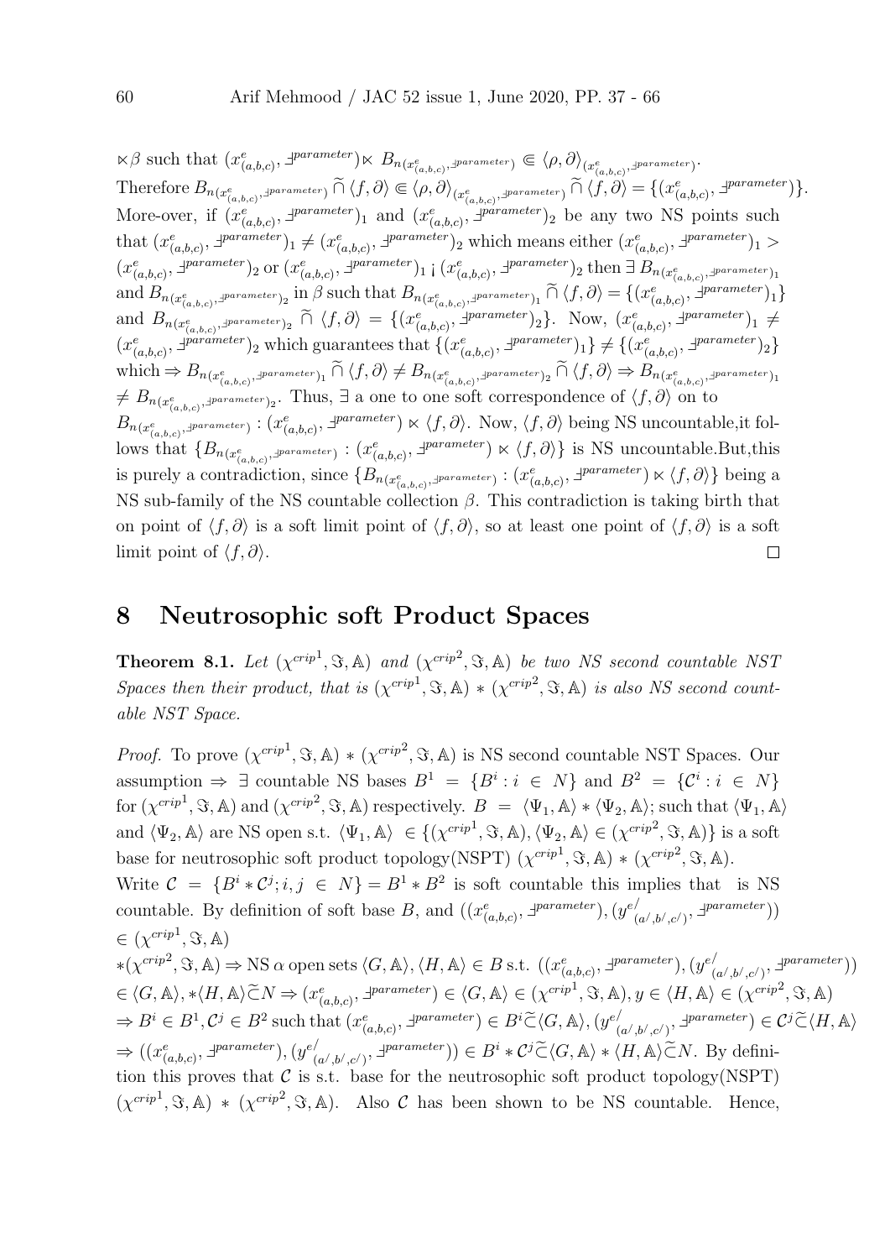$\forall \beta \text{ such that } (x^e_{(a,b,c)}, \exists^{parameter}) \forall B_n(x^e_{(a,b,c)}, \exists^{parameter}) \in \langle \rho, \partial \rangle_{(x^e_{(a,b,c)}, \exists^{parameter})}.$ Therefore  $B_{n(x_{(a,b,c)}^e, \exists \textit{parameter})} \cap \langle f, \partial \rangle \in \langle \rho, \partial \rangle_{(x_{(a,b,c)}^e, \exists \textit{parameter})} \cap \langle f, \partial \rangle = \{(x_{(a,b,c)}^e, \exists \textit{parameter})\}.$ More-over, if  $(x_{(a,b,c)}^e, \exists^{parameter})_1$  and  $(x_{(a,b,c)}^e, \exists^{parameter})_2$  be any two NS points such that  $(x_{(a,b,c)}^e, \exists^{parameter})_1 \neq (x_{(a,b,c)}^e, \exists^{parameter})_2$  which means either  $(x_{(a,b,c)}^e, \exists^{parameter})_1 >$  $(x^e_{(a,b,c)}, \exists^{parameter})_2$  or  $(x^e_{(a,b,c)}, \exists^{parameter})_1$  ;  $(x^e_{(a,b,c)}, \exists^{parameter})_2$  then  $\exists B_{n(x^e_{(a,b,c)}, \exists^{parameter})_1}$ and  $B_{n(x_{(a,b,c)}^e, \exists \text{parameter})_2}$  in  $\beta$  such that  $B_{n(x_{(a,b,c)}^e, \exists \text{parameter})_1} \widetilde{\cap} \langle f, \partial \rangle = \{(x_{(a,b,c)}^e, \exists \text{parameter})_1\}$ and  $B_{n(x_{(a,b,c)},a^{parameter})_2} \cap \langle f, \partial \rangle = \{(x_{(a,b,c)}^e, a^{parameter})_2\}$ . Now,  $(x_{(a,b,c)}^e, a^{parameter})_1 \neq a^{target}$  $(x_{(a,b,c)}^e, \exists^{parameter})_2$  which guarantees that  $\{(x_{(a,b,c)}^e, \exists^{parameter})_1\} \neq \{(x_{(a,b,c)}^e, \exists^{parameter})_2\}$  $\text{which} \Rightarrow B_{n(x_{(a,b,c)}^e, \exists \text{parameter})_1} \cap \langle f, \partial \rangle \neq B_{n(x_{(a,b,c)}^e, \exists \text{parameter})_2} \cap \langle f, \partial \rangle \Rightarrow B_{n(x_{(a,b,c)}^e, \exists \text{parameter})_1}$  $f \neq B_{n(x_{(a,b,c)}^e, x_{\text{parameter}}^e)}$ . Thus, ∃ a one to one soft correspondence of  $\langle f, \partial \rangle$  on to  $B_{n(x_{(a,b,c)}^e, \pm^{parameter})}: (x_{(a,b,c)}^e, \pm^{parameter}) \times \langle f, \partial \rangle$ . Now,  $\langle f, \partial \rangle$  being NS uncountable, it fol- $\lim_{(a,b,c)} \sum_{(a,b,c)}$  (a,b,c)  $\lim_{(a,b,c)}$  is NS uncountable. But, this is purely a contradiction, since  $\{B_{n(x_{(a,b,c)}^e, \pm^{parameter})}: (x_{(a,b,c)}^e, \pm^{parameter}) \times \langle f, \partial \rangle\}$  being a NS sub-family of the NS countable collection  $\beta$ . This contradiction is taking birth that on point of  $\langle f, \partial \rangle$  is a soft limit point of  $\langle f, \partial \rangle$ , so at least one point of  $\langle f, \partial \rangle$  is a soft limit point of  $\langle f, \partial \rangle$ .  $\Box$ 

#### 8 Neutrosophic soft Product Spaces

**Theorem 8.1.** Let  $(\chi^{crip1}, \Im, A)$  and  $(\chi^{crip2}, \Im, A)$  be two NS second countable NST Spaces then their product, that is  $(\chi^{crip1}, \Im, A) * (\chi^{crip2}, \Im, A)$  is also NS second countable NST Space.

*Proof.* To prove  $(\chi^{crip1}, \Im, A) * (\chi^{crip2}, \Im, A)$  is NS second countable NST Spaces. Our assumption  $\Rightarrow \exists$  countable NS bases  $B^1 = \{B^i : i \in N\}$  and  $B^2 = \{C^i : i \in N\}$ for  $(\chi^{crip1}, \Im, \mathbb{A})$  and  $(\chi^{crip2}, \Im, \mathbb{A})$  respectively.  $B = \langle \Psi_1, \mathbb{A} \rangle * \langle \Psi_2, \mathbb{A} \rangle$ ; such that  $\langle \Psi_1, \mathbb{A} \rangle$ and  $\langle \Psi_2, \mathbb{A} \rangle$  are NS open s.t.  $\langle \Psi_1, \mathbb{A} \rangle \in \{ (\chi^{crip1}, \Im, \mathbb{A}), \langle \Psi_2, \mathbb{A} \rangle \in (\chi^{crip2}, \Im, \mathbb{A}) \}$  is a soft base for neutrosophic soft product topology(NSPT)  $(\chi^{crip1}, \Im, A) * (\chi^{crip2}, \Im, A)$ . Write  $\mathcal{C} = \{B^i * \mathcal{C}^j; i, j \in N\} = B^1 * B^2$  is soft countable this implies that is NS countable. By definition of soft base B, and  $((x_{(a,b,c)}^e, \exists^{parameter}), (y_{(a,b,c)}^e, \exists^{parameter}))$  $\begin{pmatrix} a',b',c' \end{pmatrix}, \exists \textit{parameter} \texttt{)}$  $\in (\chi^{crip1}, \Im, \mathbb{A})$  $*(\chi^{crip^2}, \Im, \mathbb{A}) \Rightarrow \text{NS }\alpha \text{ open sets }\langle G, \mathbb{A} \rangle, \langle H, \mathbb{A} \rangle \in B \text{ s.t. } ((x^e_{(a,b,c)}, \exists^{parameter}), (y^e))$  $\begin{pmatrix} a/|b/|,c/2 \end{pmatrix}, \exists \textit{parameter} \text{)}$  $\in \langle G, \mathbb{A} \rangle, * \langle H, \mathbb{A} \rangle \widetilde{\subset} N \Rightarrow (x_{(a,b,c)}^e, \exists^{parameter}) \in \langle G, \mathbb{A} \rangle \in (\chi^{cript}, \Im, \mathbb{A}), y \in \langle H, \mathbb{A} \rangle \in (\chi^{cript2}, \Im, \mathbb{A})$  $\Rightarrow B^i \in B^1, C^j \in B^2$  such that  $(x_{(a,b,c)}^e, \exists^{parameter}) \in B^i \widetilde{\subset} \langle G, \mathbb{A} \rangle, (y_{(a,b,c)}^e, \exists^{parameter})$  $\binom{d}{(a',b',c')}, \exists^{parameter} \in C^j \widetilde{\subset} \langle H, \mathbb{A} \rangle$  $\Rightarrow ((x_{(a,b,c)}^e, \exists^{parameter}), (y_{(a,b,c)})$  $(\alpha', b', c')$ ,  $\exists$  parameter))  $\in B^i * C^j \widetilde{\subset} \langle G, \mathbb{A} \rangle * \langle H, \mathbb{A} \rangle \widetilde{\subset} N$ . By definition this proves that  $\mathcal C$  is s.t. base for the neutrosophic soft product topology(NSPT)  $(\chi^{crip1}, \Im, \mathbb{A}) * (\chi^{crip2}, \Im, \mathbb{A}).$  Also C has been shown to be NS countable. Hence,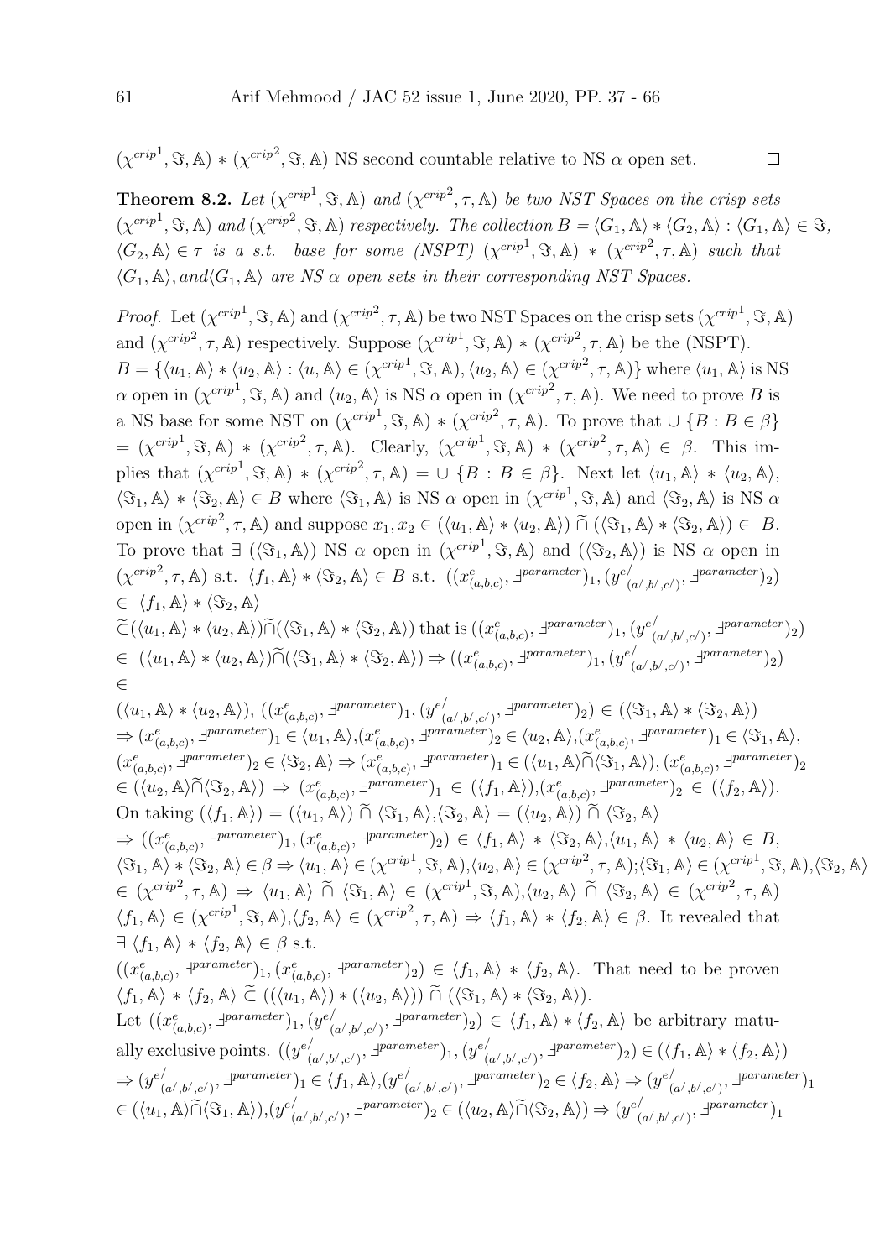$(\chi^{crip1}, \Im, A) * (\chi^{crip2}, \Im, A)$  NS second countable relative to NS  $\alpha$  open set.

**Theorem 8.2.** Let  $(\chi^{crip1}, \Im, \mathbb{A})$  and  $(\chi^{crip2}, \tau, \mathbb{A})$  be two NST Spaces on the crisp sets  $(\chi^{crip1}, \Im, \mathbb{A})$  and  $(\chi^{crip2}, \Im, \mathbb{A})$  respectively. The collection  $B = \langle G_1, \mathbb{A} \rangle * \langle G_2, \mathbb{A} \rangle : \langle G_1, \mathbb{A} \rangle \in \Im,$  $\langle G_2, \mathbb{A} \rangle \in \tau$  is a s.t. base for some (NSPT)  $(\chi^{crip}^1, \Im, \mathbb{A}) * (\chi^{crip}^2, \tau, \mathbb{A})$  such that  $\langle G_1, A \rangle$ , and  $\langle G_1, A \rangle$  are NS  $\alpha$  open sets in their corresponding NST Spaces.

 $\Box$ 

*Proof.* Let  $(\chi^{crip1}, \Im, \mathbb{A})$  and  $(\chi^{crip2}, \tau, \mathbb{A})$  be two NST Spaces on the crisp sets  $(\chi^{crip1}, \Im, \mathbb{A})$ and  $(\chi^{crip^2}, \tau, \mathbb{A})$  respectively. Suppose  $(\chi^{crip^1}, \Im, \mathbb{A}) * (\chi^{crip^2}, \tau, \mathbb{A})$  be the (NSPT).  $B = \{ \langle u_1, \mathbb{A} \rangle * \langle u_2, \mathbb{A} \rangle : \langle u, \mathbb{A} \rangle \in (\chi^{crip1}, \Im, \mathbb{A}), \langle u_2, \mathbb{A} \rangle \in (\chi^{crip2}, \tau, \mathbb{A}) \}$  where  $\langle u_1, \mathbb{A} \rangle$  is NS  $\alpha$  open in  $(\chi^{crip1}, \Im, \mathbb{A})$  and  $\langle u_2, \mathbb{A} \rangle$  is NS  $\alpha$  open in  $(\chi^{crip2}, \tau, \mathbb{A})$ . We need to prove B is a NS base for some NST on  $(\chi^{crip}$ ,  $\Im, \mathbb{A}) * (\chi^{crip}$ ,  $\tau, \mathbb{A})$ . To prove that  $\cup \{B : B \in \beta\}$  $= (\chi^{crip1}, \Im, \mathbb{A}) * (\chi^{crip2}, \tau, \mathbb{A}).$  Clearly,  $(\chi^{crip1}, \Im, \mathbb{A}) * (\chi^{crip2}, \tau, \mathbb{A}) \in \beta$ . This implies that  $(\chi^{crip1}, \Im, \mathbb{A}) * (\chi^{crip2}, \tau, \mathbb{A}) = \cup \{B : B \in \beta\}.$  Next let  $\langle u_1, \mathbb{A} \rangle * \langle u_2, \mathbb{A} \rangle$ ,  $\langle \Im_1, \mathbb{A} \rangle * \langle \Im_2, \mathbb{A} \rangle \in B$  where  $\langle \Im_1, \mathbb{A} \rangle$  is NS  $\alpha$  open in  $(\chi^{crip1}, \Im, \mathbb{A})$  and  $\langle \Im_2, \mathbb{A} \rangle$  is NS  $\alpha$ open in  $(\chi^{crip^2}, \tau, \mathbb{A})$  and suppose  $x_1, x_2 \in (\langle u_1, \mathbb{A} \rangle * \langle u_2, \mathbb{A} \rangle) \widetilde{\cap} (\langle \Im_1, \mathbb{A} \rangle * \langle \Im_2, \mathbb{A} \rangle) \in B$ . To prove that  $\exists (\langle \Im_1, \mathbb{A} \rangle)$  NS  $\alpha$  open in  $(\chi^{crip1}, \Im, \mathbb{A})$  and  $(\langle \Im_2, \mathbb{A} \rangle)$  is NS  $\alpha$  open in  $(\chi^{crip^2}, \tau, \mathbb{A})$  s.t.  $\langle f_1, \mathbb{A} \rangle * \langle \Im_2, \mathbb{A} \rangle \in B$  s.t.  $((x_{(a,b,c)}^e, \exists^{parameter})_1, (y_{(a,b,c)}^e, \exists^{parameter})_2)$  $\frac{1}{(a^{\prime},b^{\prime},c^{\prime})},$   $\exists^{parameter})_2$ )  $\in \langle f_1, \mathbb{A} \rangle * \langle \Im_2, \mathbb{A} \rangle$  $\widetilde{\subset}(\langle u_1, \mathbb{A}\rangle * \langle u_2, \mathbb{A}\rangle) \widetilde{\cap}(\langle \Im_1, \mathbb{A}\rangle * \langle \Im_2, \mathbb{A}\rangle)$  that is  $((x_{(a,b,c)}^e, \exists^{parameter})_1, (y_{(a,b,c)}^e, \exists^{parameter})_2)$  $\frac{1}{(a^{\prime},b^{\prime},c^{\prime})},$   $\exists^{parameter}\big)_{2})$  $\in ((u_1, \mathbb{A}) * \langle u_2, \mathbb{A} \rangle) \widetilde{\cap} (\langle \Im_1, \mathbb{A} \rangle * \langle \Im_2, \mathbb{A} \rangle) \Rightarrow ((x_{(a,b,c)}^e, \exists^{parameter})_1, (y_{(a,b,c)}^e, \Box))_1$  $\binom{a',b',c'}{2}$   $\exists^{parameter}$  )<sub>2</sub>) ∈  $(\langle u_1, \mathbb{A} \rangle * \langle u_2, \mathbb{A} \rangle), ((x_{(a,b,c)}^e, \exists^{parameter})_1, (y_{(a,b,c)}^e)$  $_{(a',b',c')}, \exists \textit{parameter})_2) \in (\langle \Im_1, \mathbb{A} \rangle * \langle \Im_2, \mathbb{A} \rangle)$  $\Rightarrow (x_{(a,b,c)}^e, \exists^{parameter})_1 \in \langle u_1, \mathbb{A} \rangle, (x_{(a,b,c)}^e, \exists^{parameter})_2 \in \langle u_2, \mathbb{A} \rangle, (x_{(a,b,c)}^e, \exists^{parameter})_1 \in \langle \Im_1, \mathbb{A} \rangle,$  $(x^e_{(a,b,c)}, \exists^{parameter})_2 \in \langle \Im_2, \mathbb{A} \rangle \Rightarrow (x^e_{(a,b,c)}, \exists^{parameter})_1 \in (\langle u_1, \mathbb{A} \rangle \widetilde{\cap} \langle \Im_1, \mathbb{A} \rangle), (x^e_{(a,b,c)}, \exists^{parameter})_2$  $\in (\langle u_2, \mathbb{A} \rangle \widetilde{\cap} \langle \Im_2, \mathbb{A} \rangle) \Rightarrow (x^e_{(a,b,c)}, \exists^{parameter})_1 \in (\langle f_1, \mathbb{A} \rangle), (x^e_{(a,b,c)}, \exists^{parameter})_2 \in (\langle f_2, \mathbb{A} \rangle).$ On taking  $(\langle f_1, \mathbb{A} \rangle) = (\langle u_1, \mathbb{A} \rangle) \tilde{\cap} \langle \Im_1, \mathbb{A} \rangle, \langle \Im_2, \mathbb{A} \rangle = (\langle u_2, \mathbb{A} \rangle) \tilde{\cap} \langle \Im_2, \mathbb{A} \rangle$  $\Rightarrow ((x_{(a,b,c)}^e, \exists^{parameter})_1, (x_{(a,b,c)}^e, \exists^{parameter})_2) \in \langle f_1, \mathbb{A} \rangle * \langle \Im_2, \mathbb{A} \rangle, \langle u_1, \mathbb{A} \rangle * \langle u_2, \mathbb{A} \rangle \in B,$ 

 $\langle \Im_1, \mathbb{A} \rangle * \langle \Im_2, \mathbb{A} \rangle \in \beta \Rightarrow \langle u_1, \mathbb{A} \rangle \in (\chi^{crip^1}, \Im, \mathbb{A}), \langle u_2, \mathbb{A} \rangle \in (\chi^{crip^2}, \tau, \mathbb{A}); \langle \Im_1, \mathbb{A} \rangle \in (\chi^{crip^1}, \Im, \mathbb{A}), \langle \Im_2, \mathbb{A} \rangle$  $\in (\chi^{crip^2}, \tau, \mathbb{A}) \Rightarrow \langle u_1, \mathbb{A} \rangle \widetilde{\cap} \langle \Im_1, \mathbb{A} \rangle \in (\chi^{crip^1}, \Im, \mathbb{A}), \langle u_2, \mathbb{A} \rangle \widetilde{\cap} \langle \Im_2, \mathbb{A} \rangle \in (\chi^{crip^2}, \tau, \mathbb{A})$  $\langle f_1, \mathbb{A} \rangle \in (\chi^{crip^1}, \Im, \mathbb{A}), \langle f_2, \mathbb{A} \rangle \in (\chi^{crip^2}, \tau, \mathbb{A}) \Rightarrow \langle f_1, \mathbb{A} \rangle * \langle f_2, \mathbb{A} \rangle \in \beta$ . It revealed that  $\exists \langle f_1, \mathbb{A} \rangle * \langle f_2, \mathbb{A} \rangle \in \beta \text{ s.t.}$ 

 $((x_{(a,b,c)}^e, \exists^{parameter})_1, (x_{(a,b,c)}^e, \exists^{parameter})_2) \in \langle f_1, \mathbb{A} \rangle * \langle f_2, \mathbb{A} \rangle$ . That need to be proven  $\langle f_1, \mathbb{A} \rangle * \langle f_2, \mathbb{A} \rangle \widetilde{\subset} ((\langle u_1, \mathbb{A} \rangle) * (\langle u_2, \mathbb{A} \rangle)) \widetilde{\cap} (\langle \Im_1, \mathbb{A} \rangle * \langle \Im_2, \mathbb{A} \rangle).$ Let  $((x_{(a,b,c)}^e, \exists^{parameter})_1, (y_{(a,b,c)}^e))$  $\binom{(\alpha',b',c')}{(a',b',c')}$   $\exists^{parameter}$ )<sub>2</sub>)  $\in \langle f_1, \mathbb{A} \rangle * \langle f_2, \mathbb{A} \rangle$  be arbitrary matually exclusive points.  $((y^e)'$  $\sum_{(a^{\prime},b^{\prime},c^{\prime})}^{\prime},\exists^{parameter})_{1},(y^{e/2})$  $\binom{(\alpha',b',c')}{(a',b',c')}$   $\exists^{parameter}$ )<sub>2</sub>)  $\in (\langle f_1, \mathbb{A} \rangle * \langle f_2, \mathbb{A} \rangle)$  $\Rightarrow (y^e)'$  $\chi'_{(a',b',c')}, \exists^{parameter})_1 \in \langle f_1, \mathbb{A} \rangle, (y_{(a')})$  $\binom{d}{(a',b',c')}$ ,  $\exists^{parameter}$ )<sub>2</sub>  $\in \langle f_2, \mathbb{A} \rangle \Rightarrow (y^e)^{d}$  $_{(a^{\prime},b^{\prime},c^{\prime})}^{/\,,\,\exists \textit{parameter})_{1}}$  $\in (\langle u_1, \mathbb{A} \rangle \widetilde{\cap} \langle \Im_1, \mathbb{A} \rangle), (y_{(i)}^{e})$  $_{(a',b',c')}, \exists^{parameter} \rangle_2 \in (\langle u_2, \mathbb{A} \rangle \widetilde{\cap} \langle \Im_2, \mathbb{A} \rangle) \Rightarrow (y^{e'}_{(a')})$  $_{(a^/ ,b^/ ,c^/ )}^{}/\sqrt{1}^{parameter})_{1}$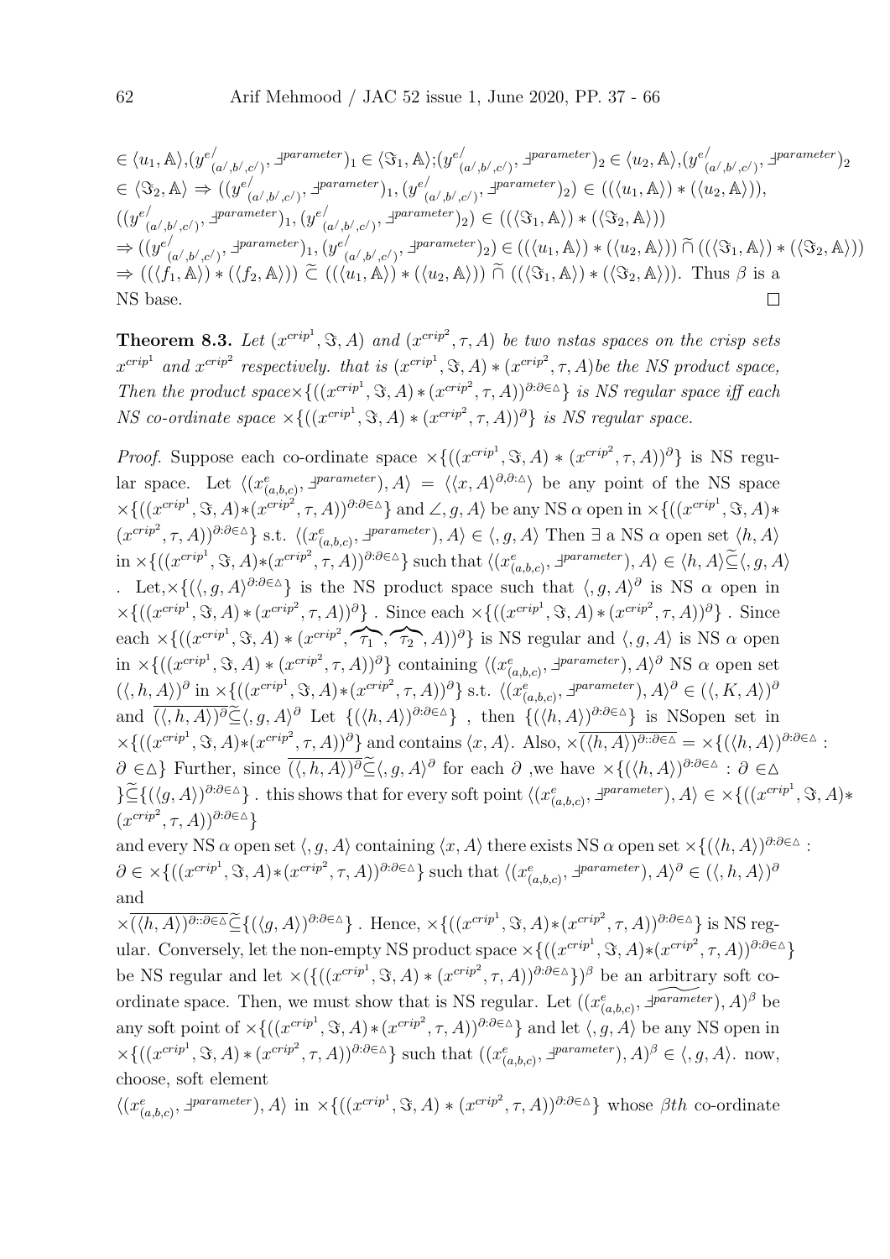$$
\in \langle u_1, \mathbb{A} \rangle, (y_{(a',b',c')}^{e'}), \exists^{parameter})_1 \in \langle \mathfrak{F}_1, \mathbb{A} \rangle; (y_{(a',b',c')}^{e'}), \exists^{parameter})_2 \in \langle u_2, \mathbb{A} \rangle, (y_{(a',b',c')}^{e'}), \exists^{parameter})_2
$$
\n
$$
\in \langle \mathfrak{F}_2, \mathbb{A} \rangle \Rightarrow ((y_{(a',b',c')}^{e'}), \exists^{parameter})_1, (y_{(a',b',c')}^{e'}), \exists^{parameter})_2) \in ((\langle u_1, \mathbb{A} \rangle) * (\langle u_2, \mathbb{A} \rangle)),
$$
\n
$$
((y_{(a',b',c')}^{e'}), \exists^{parameter})_1, (y_{(a',b',c')}^{e'}), \exists^{parameter})_2) \in ((\langle \mathfrak{F}_1, \mathbb{A} \rangle) * (\langle \mathfrak{F}_2, \mathbb{A} \rangle))
$$
\n
$$
\Rightarrow ((y_{(a',b',c')}^{e'}), \exists^{parameter})_1, (y_{(a',b',c')}^{e'}), \exists^{parameter})_2) \in ((\langle u_1, \mathbb{A} \rangle) * (\langle u_2, \mathbb{A} \rangle)) \tilde{\cap} ((\langle \mathfrak{F}_1, \mathbb{A} \rangle) * (\langle \mathfrak{F}_2, \mathbb{A} \rangle))
$$
\n
$$
\Rightarrow ((\langle f_1, \mathbb{A} \rangle) * (\langle f_2, \mathbb{A} \rangle)) \tilde{\subset} ((\langle u_1, \mathbb{A} \rangle) * (\langle u_2, \mathbb{A} \rangle)) \tilde{\cap} ((\langle \mathfrak{F}_1, \mathbb{A} \rangle) * (\langle \mathfrak{F}_2, \mathbb{A} \rangle)). \text{ Thus } \beta \text{ is a NS base.}
$$

**Theorem 8.3.** Let  $(x^{crip1}, \Im, A)$  and  $(x^{crip2}, \tau, A)$  be two nstas spaces on the crisp sets  $x^{crip<sup>1</sup>}$  and  $x^{crip<sup>2</sup>}$  respectively. that is  $(x^{crip<sup>1</sup>}, \Im, A) * (x^{crip<sup>2</sup>}, \tau, A)$  be the NS product space, Then the product space  $\{((x^{crip^1}, \Im, A) * (x^{crip^2}, \tau, A))^{\partial : \partial \in \Delta}\}\)$  is NS regular space iff each *NS* co-ordinate space  $\times\{((x^{crip^1}, \Im, A) * (x^{crip^2}, \tau, A))^{\partial}\}\$ is *NS* regular space.

*Proof.* Suppose each co-ordinate space  $\times\{((x^{crip1}, \Im, A) * (x^{crip2}, \tau, A))^{\partial}\}\)$  is NS regular space. Let  $\langle (x_{(a,b,c)}^e, \exists^{parameter}), A \rangle = \langle \langle x, A \rangle^{\partial, \partial : \Delta} \rangle$  be any point of the NS space  $\times\{((x^{crip<sup>1</sup>}, \Im, A)*(x^{crip<sup>2</sup>}, \tau, A))^{\partial:\partial\in\Delta}\}\$ and  $\angle, g, A\rangle$  be any NS  $\alpha$  open in  $\times\{((x^{crip<sup>1</sup>}, \Im, A)*$  $(x^{crip^2}, \tau, A))^{\partial:\partial\in\Delta}$ } s.t.  $\langle (x_{(a,b,c)}^e, \exists^{parameter}), A \rangle \in \langle g, A \rangle$  Then  $\exists$  a NS  $\alpha$  open set  $\langle h, A \rangle$  $\text{in } \times \{((x^{cript}, \mathcal{S}, A)*(x^{cript}, \tau, A))^{\partial:\partial \in \Delta}\}\text{ such that }\langle (x_{(a,b,c)}^e, \exists^{parameter}), A \rangle \in \langle h, A \rangle \widetilde{\subseteq} \langle g, A \rangle$ Let,  $\times\{(\langle, g, A\rangle^{\partial:\partial\in\Delta}\}\)$  is the NS product space such that  $\langle, g, A\rangle^{\partial}$  is NS α open in  $\times\{((x^{crip<sup>1</sup>}, \Im, A)*(x^{crip<sup>2</sup>}, \tau, A))^{\partial}\}\.$  Since each  $\times\{((x^{crip<sup>1</sup>}, \Im, A)*(x^{crip<sup>2</sup>}, \tau, A))^{\partial}\}\.$  Since each  $\times\{((x^{crip<sup>1</sup>}, \Im, A) * (x^{crip<sup>2</sup>}, \widehat{\tau_1}, \widehat{\tau_2}, A))^{\partial}\}\$ is NS regular and  $\langle, g, A \rangle$  is NS  $\alpha$  open  $\text{in } \times \{((x^{cript}, \Im, A) * (x^{cript}, \tau, A))^{\partial}\}\$ containing  $\langle (x_{(a,b,c)}^e, \exists^{parameter}), A \rangle^{\partial}$  NS  $\alpha$  open set  $(\langle, h, A \rangle)^\partial$  in  $\times \{((x^{cript}, \mathcal{S}, A) * (x^{cript}, \tau, A))^\partial\}$  s.t.  $\langle (x_{(a,b,c)}^e, \exists^{parameter}), A \rangle^\partial \in (\langle, K, A \rangle)^\partial$ and  $\overline{(\langle, h, A \rangle)^{\partial}} \widetilde{\subseteq} \langle, g, A \rangle^{\partial}$  Let  $\{(\langle h, A \rangle)^{\partial \cdot \partial \in \Delta}\}\$ , then  $\{(\langle h, A \rangle)^{\partial \cdot \partial \in \Delta}\}\$  is NSopen set in  $\times\{((x^{crip<sup>1</sup>}, \Im, A)*(x^{crip<sup>2</sup>}, \tau, A))^{\partial}\}\$ and contains  $\langle x, A \rangle$ . Also,  $\times\overline{(\langle h, A \rangle)^{\partial : \partial \in \Delta}} = \times\{(\langle h, A \rangle)^{\partial : \partial \in \Delta}\}\$  $\partial \in \Delta$ } Further, since  $\overline{(\langle h, A \rangle)^{\partial}} \widetilde{\subseteq} \langle g, A \rangle^{\partial}$  for each  $\partial$  ,we have  $\times \{(\langle h, A \rangle)^{\partial} \partial \in \Delta : \partial \in \Delta \}$  $\{\leq\}$ {( $\langle g, A \rangle$ )<sup>3:3∈</sup>∆}. this shows that for every soft point  $\langle (x_{(a,b,c)}^e, \exists^{parameter}), A \rangle \in \times \{((x^{cript}, \Im, A) *$  $(x^{crip^2}, \tau, A))^{\partial : \partial \in \Delta}$ 

and every NS  $\alpha$  open set  $\langle g, A \rangle$  containing  $\langle x, A \rangle$  there exists NS  $\alpha$  open set  $\times \{(\langle h, A \rangle)^{\partial : \partial \in \Delta}$ :  $\partial \in \times \{((x^{cript}, \mathcal{S}, A)*(x^{cript}, \tau, A))^{\partial:\partial \in \Delta}\}\$  such that  $\langle (x_{(a,b,c)}^e, \exists^{parameter}), A \rangle^{\partial} \in (\langle A, A \rangle)^{\partial}$ and

 $\times\langle\overline{\langle\langle h,A\rangle\rangle^{\partial::\partial\in\Delta}}\tilde{\subseteq}\{(\langle g,A\rangle)^{\partial:\partial\in\Delta}\}\right.$  Hence,  $\times\{((x^{crip^1},\Im,A)*(x^{crip^2},\tau,A))^{\partial:\partial\in\Delta}\}\)$  is NS regular. Conversely, let the non-empty NS product space  $\times\{((x^{crip^1}, \Im, A)*(x^{crip^2}, \tau, A))^{\partial:\partial\in\Delta}\}\$ be NS regular and let  $\times (\{((x^{crip1}, S, A) * (x^{crip2}, \tau, A))^{\partial:\partial \in \Delta}\})^{\beta}$  be an arbitrary soft coordinate space. Then, we must show that is NS regular. Let  $((x_{(a,b,c)}^e, \frac{\widetilde{\rho}^{\alpha}}{\widetilde{\rho}^{\alpha}}), A)^\beta$  be any soft point of  $\times\{((x^{crip<sup>1</sup>}, \Im, A)*(x^{crip<sup>2</sup>}, \tau, A))^{\partial:\partial\in\Delta}\}\$ and let  $\langle, g, A\rangle$  be any NS open in  $\times\{((x^{cript},\mathcal{S},A)*(x^{cript},\tau,A))^{\partial:\partial\in\Delta}\}\text{ such that }((x_{(a,b,c)}^e, \exists^{parameter}),A)^\beta\in\langle g,A\rangle\text{. now},$ choose, soft element

 $\langle (x_{(a,b,c)}^e, \exists^{parameter}), A \rangle \text{ in } \times \{ ((x^{cript}, \Im, A) * (x^{cript}, \tau, A))^{\partial : \partial \in \Delta} \}$  whose  $\beta th$  co-ordinate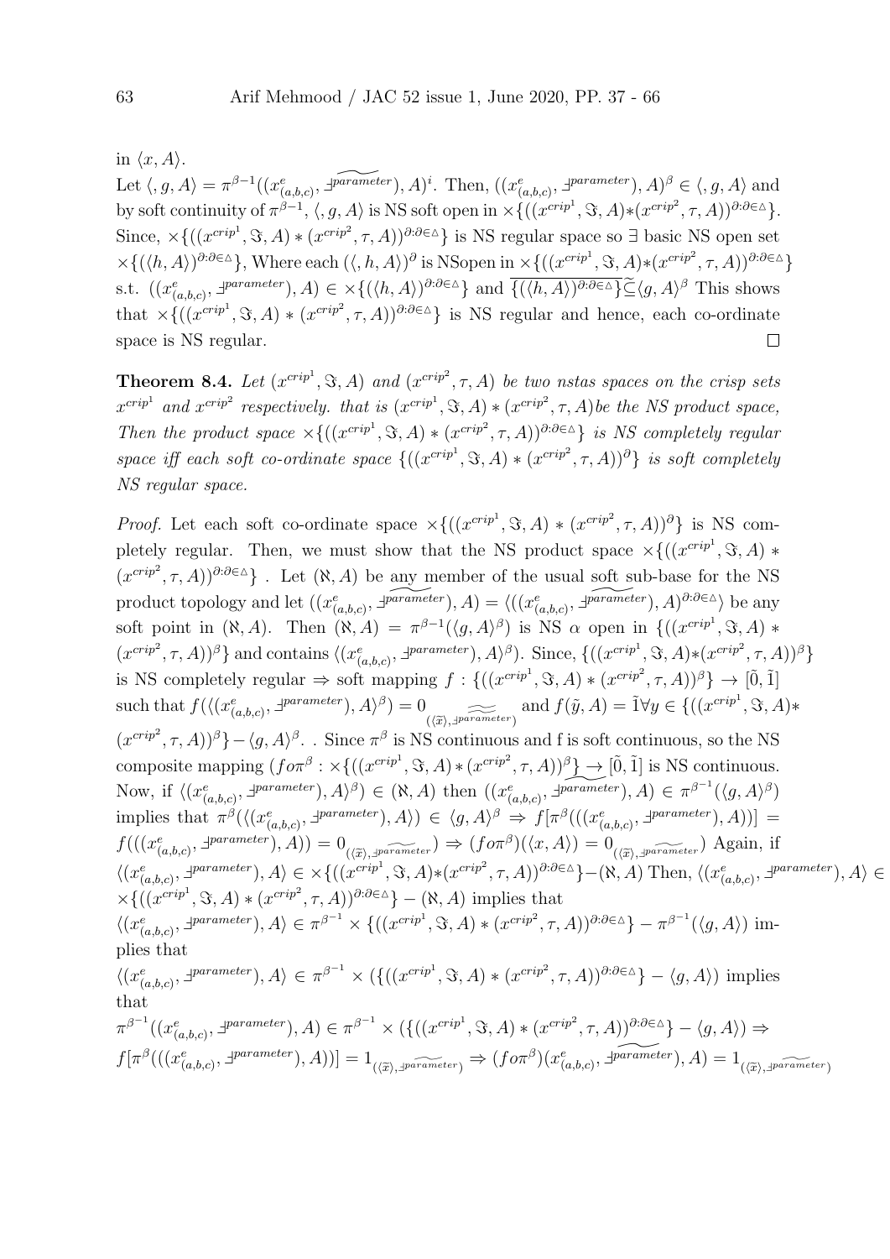in  $\langle x, A \rangle$ .

Let  $\langle g, A \rangle = \pi^{\beta-1}((x_{(a,b,c)}^e, \overline{\mathcal{A}^{\text{parameter}}}), A)^i$ . Then,  $((x_{(a,b,c)}^e, \overline{\mathcal{A}^{\text{parameter}}}), A)^{\beta} \in \langle g, A \rangle$  and by soft continuity of  $\pi^{\beta-1}$ ,  $\langle, g, A \rangle$  is NS soft open in  $\times \{((x^{cript}, \mathcal{S}, A) * (x^{cript}, \tau, A))^{\partial : \partial \in \Delta}\}.$ Since,  $\times\{((x^{crip<sup>1</sup>}, \Im, A) * (x^{crip<sup>2</sup>}, \tau, A)\}$ <sup>∂:∂∈∆</sup>} is NS regular space so  $\exists$  basic NS open set  $\times\{(\langle h, A \rangle)^{\partial:\partial\in\Delta}\}\,$ , Where each  $(\langle, h, A \rangle)^{\partial}$  is NSopen in  $\times\{((x^{crip^1}, \Im, A)*(x^{crip^2}, \tau, A)\}^{\partial:\partial\in\Delta}\}\$ s.t.  $((x_{(a,b,c)}^e, \exists^{parameter}), A) \in \times \{(\langle h, A \rangle)^{\partial \cdot \partial \in \Delta} \}$  and  $\overline{\{(\langle h, A \rangle)^{\partial \cdot \partial \in \Delta} \}} \widetilde{\subseteq} \langle g, A \rangle^{\beta}$  This shows that  $\times\{((x^{crip<sup>1</sup>},\Im,A)*(x^{crip<sup>2</sup>},\tau,A))^{\partial:\partial\in\Delta}\}\)$  is NS regular and hence, each co-ordinate space is NS regular.  $\Box$ 

**Theorem 8.4.** Let  $(x^{crip1}, \Im, A)$  and  $(x^{crip2}, \tau, A)$  be two nstas spaces on the crisp sets  $x^{crip<sup>1</sup>}$  and  $x^{crip<sup>2</sup>}$  respectively. that is  $(x^{crip<sup>1</sup>}, \Im, A) * (x^{crip<sup>2</sup>}, \tau, A)$  be the NS product space, Then the product space  $\times\{((x^{crip^1},\Im,A)*(x^{crip^2},\tau,A))^{\partial:\partial\in\Delta}\}\$ is NS completely regular space iff each soft co-ordinate space  ${((x^{crip<sup>1</sup>}, S, A) * (x^{crip<sup>2</sup>}, \tau, A))$ <sup>3</sup>} is soft completely NS regular space.

*Proof.* Let each soft co-ordinate space  $\times\{((x^{crip^1}, \Im, A) * (x^{crip^2}, \tau, A))^{\partial}\}\)$  is NS completely regular. Then, we must show that the NS product space  $\times\{((x^{crip<sup>1</sup>}, \Im, A) *$  $(x^{crip^2}, \tau, A)$ <sup>∂:∂∈∆</sup>}. Let  $(\aleph, A)$  be any member of the usual soft sub-base for the NS product topology and let  $((x_{(a,b,c)}^e, \overline{\mathcal{F}^{\text{parameter}}}), A) = \langle ((x_{(a,b,c)}^e, \overline{\mathcal{F}^{\text{parameter}}}), A)^{\partial : \partial \in \Delta} \rangle$  be any soft point in  $(\aleph, A)$ . Then  $(\aleph, A) = \pi^{\beta-1}(\langle g, A \rangle^{\beta})$  is NS  $\alpha$  open in  $\{((x^{crip}, \Im, A) *$  $(x^{cript2}, \tau, A))^{\beta}$  and contains  $\langle (x_{(a,b,c)}^e, \exists^{parameter}), A \rangle^{\beta}$ . Since,  $\{((x^{cript1}, \Im, A) * (x^{cript2}, \tau, A))^{\beta}\}\rangle$ is NS completely regular  $\Rightarrow$  soft mapping  $f: \{((x^{crip1}, S, A) * (x^{crip2}, \tau, A))^{\beta}\}\rightarrow [0, 1]$ such that  $f(\langle (x_{(a,b,c)}^e, \exists^{parameter}), A \rangle^{\beta}) = 0$  $(\widetilde{\alpha}), \widetilde{\beta}_{\text{parameter}}$  and  $f(\widetilde{y}, A) = \widetilde{1} \forall y \in \{((x^{\text{cript}}, \mathfrak{S}, A) *$  $(x^{crip^2}, \tau, A))^{\beta}$  –  $\langle g, A \rangle^{\beta}$ . Since  $\pi^{\beta}$  is NS continuous and f is soft continuous, so the NS composite mapping  $(f \circ \pi^\beta : \times \{((x^{crip^1}, \Im, A) * (x^{crip^2}, \tau, A))^{\beta}\}\rightarrow [\tilde{0}, \tilde{1}]$  is NS continuous. Now, if  $\langle (x_{(a,b,c)}^e, \exists^{parameter}), A \rangle^{\beta}) \in (\aleph, A)$  then  $((x_{(a,b,c)}^e, \exists^{parameter}), A) \in \pi^{\beta^{-1}}(\langle g, A \rangle^{\beta})$ implies that  $\pi^{\beta}(\langle (x_{(a,b,c)}^e, \exists^{parameter}), A \rangle) \in \langle g, A \rangle^{\beta} \Rightarrow f[\pi^{\beta}((x_{(a,b,c)}^e, \exists^{parameter}), A))] =$  $f(((x_{(a,b,c)}^e, \exists^{parameter}), A)) = 0_{(\overline{x}), \exists^{parameter}}) \Rightarrow (f \circ \pi^{\beta})(\langle x, A \rangle) = 0_{(\overline{x}), \exists^{parameter}})$  Again, if  $\langle (x_{(a,b,c)}^e, \exists^{parameter}), A \rangle \in \times \{ ((x^{cript1}, \Im, A) * (x^{cript2}, \tau, A))^{\partial : \partial \in \Delta} \} - (\aleph, A)$  Then,  $\langle (x_{(a,b,c)}^e, \exists^{parameter}), A \rangle \in \mathbb{R} \}$  $\times\{((x^{cript},\mathcal{S},A)*(x^{cript},\tau,A))^{\partial:\partial\in\Delta}\} - (\aleph,A)$  implies that  $\langle (x_{(a,b,c)}^e, \exists^{parameter}), A \rangle \in \pi^{\beta^{-1}} \times \{ ((x^{cript}, \mathcal{S}, A) * (x^{cript}, \tau, A))^{\partial : \partial \in \Delta} \} - \pi^{\beta^{-1}}(\langle g, A \rangle) \text{ im-}$ plies that  $\langle (x_{(a,b,c)}^e, z^{parameter}), A \rangle \in \pi^{\beta^{-1}} \times (\{((x^{cript}, \mathcal{S}, A) * (x^{cript}, \tau, A))^{\partial : \partial \in \Delta}\} - \langle g, A \rangle)$  implies that  $\pi^{\beta^{-1}}((x_{(a,b,c)}^e, \exists^{parameter}), A) \in \pi^{\beta^{-1}} \times (\{((x^{cript}, \Im, A) * (x^{cript}, \tau, A))^{\partial : \partial \in \Delta}\} - \langle g, A \rangle) \Rightarrow$  $f[\pi^\beta(((x_{(a,b,c)}^e, \exists^{parameter}), A))] = 1_{(\langle \widetilde{x} \rangle, \exists^{parameter})} \Rightarrow (f \circ \pi^\beta)(x_{(a,b,c)}^e, \exists^{parameter}), A) = 1_{(\langle \widetilde{x} \rangle, \exists^{parameter})}$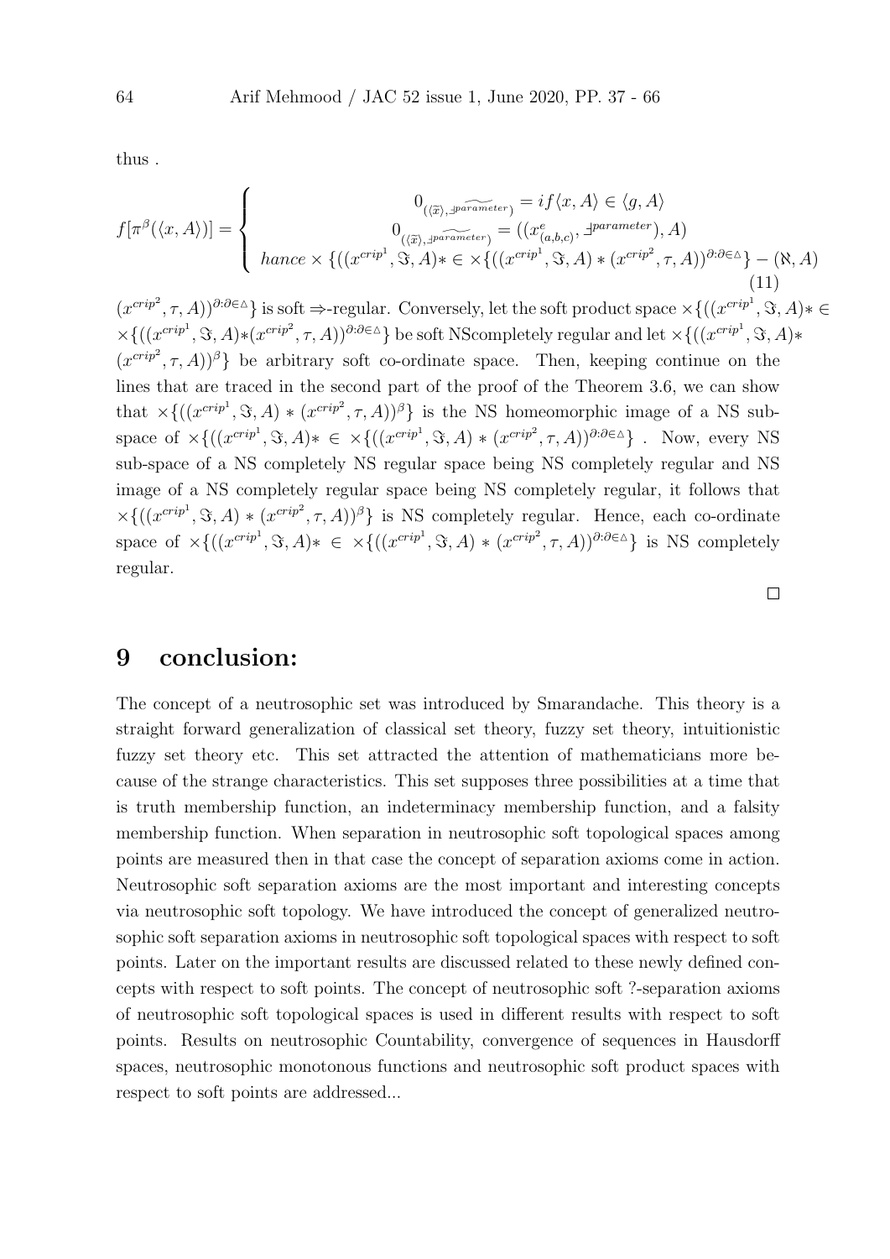thus .

$$
f[\pi^{\beta}(\langle x, A \rangle)] = \begin{cases} 0_{(\langle \widetilde{x} \rangle, \exists^{parameter})} = if \langle x, A \rangle \in \langle g, A \rangle \\ 0_{(\langle \widetilde{x} \rangle, \exists^{parameter})} = ((x_{(a,b,c)}^e, \exists^{parameter}), A) \\ \nhance \times \{((x^{cript}, \Im, A) * \in \times \{((x^{cript}, \Im, A) * (x^{cript}, \tau, A))^{\partial : \partial \in \Delta}\} - (\aleph, A) \end{cases} (11)
$$

 $(x^{crip^2}, \tau, A)$ <sup>∂:∂∈∆</sup>} is soft  $\Rightarrow$ -regular. Conversely, let the soft product space  $\times\{((x^{crip^1}, \Im, A) * \in$  $\times\{((x^{crip<sup>1</sup>}, \Im, A)*(x^{crip<sup>2</sup>}, \tau, A))^{a:\partial\in\Delta}\}\)$  be soft NScompletely regular and let  $\times\{((x^{crip<sup>1</sup>}, \Im, A)*(x^{crip<sup>2</sup>}, \xi, A)\}$  $(x^{crip<sup>2</sup>}, \tau, A)$ <sup> $\beta$ </sup>} be arbitrary soft co-ordinate space. Then, keeping continue on the lines that are traced in the second part of the proof of the Theorem 3.6, we can show that  $\times\{((x^{crip<sup>1</sup>}, \Im, A) * (x^{crip<sup>2</sup>}, \tau, A))^{\beta}\}\$ is the NS homeomorphic image of a NS subspace of  $\times\{((x^{crip},\mathfrak{S},A)*\in\times\{((x^{crip},\mathfrak{S},A)*(x^{crip^2},\tau,A))^{\partial:\partial\in\Delta}\}\.$  Now, every NS sub-space of a NS completely NS regular space being NS completely regular and NS image of a NS completely regular space being NS completely regular, it follows that  $\times\{((x^{crip<sup>1</sup>},\Im,A)*(x^{crip<sup>2</sup>},\tau,A))^{\beta}\}\$ is NS completely regular. Hence, each co-ordinate space of  $\times\{((x^{crip<sup>1</sup>}, \Im, A)* \in \times\{((x^{crip<sup>1</sup>}, \Im, A)* (x^{crip<sup>2</sup>}, \tau, A))^{\partial:\partial\in\Delta}\}\)$  is NS completely regular.

 $\Box$ 

#### 9 conclusion:

The concept of a neutrosophic set was introduced by Smarandache. This theory is a straight forward generalization of classical set theory, fuzzy set theory, intuitionistic fuzzy set theory etc. This set attracted the attention of mathematicians more because of the strange characteristics. This set supposes three possibilities at a time that is truth membership function, an indeterminacy membership function, and a falsity membership function. When separation in neutrosophic soft topological spaces among points are measured then in that case the concept of separation axioms come in action. Neutrosophic soft separation axioms are the most important and interesting concepts via neutrosophic soft topology. We have introduced the concept of generalized neutrosophic soft separation axioms in neutrosophic soft topological spaces with respect to soft points. Later on the important results are discussed related to these newly defined concepts with respect to soft points. The concept of neutrosophic soft ?-separation axioms of neutrosophic soft topological spaces is used in different results with respect to soft points. Results on neutrosophic Countability, convergence of sequences in Hausdorff spaces, neutrosophic monotonous functions and neutrosophic soft product spaces with respect to soft points are addressed...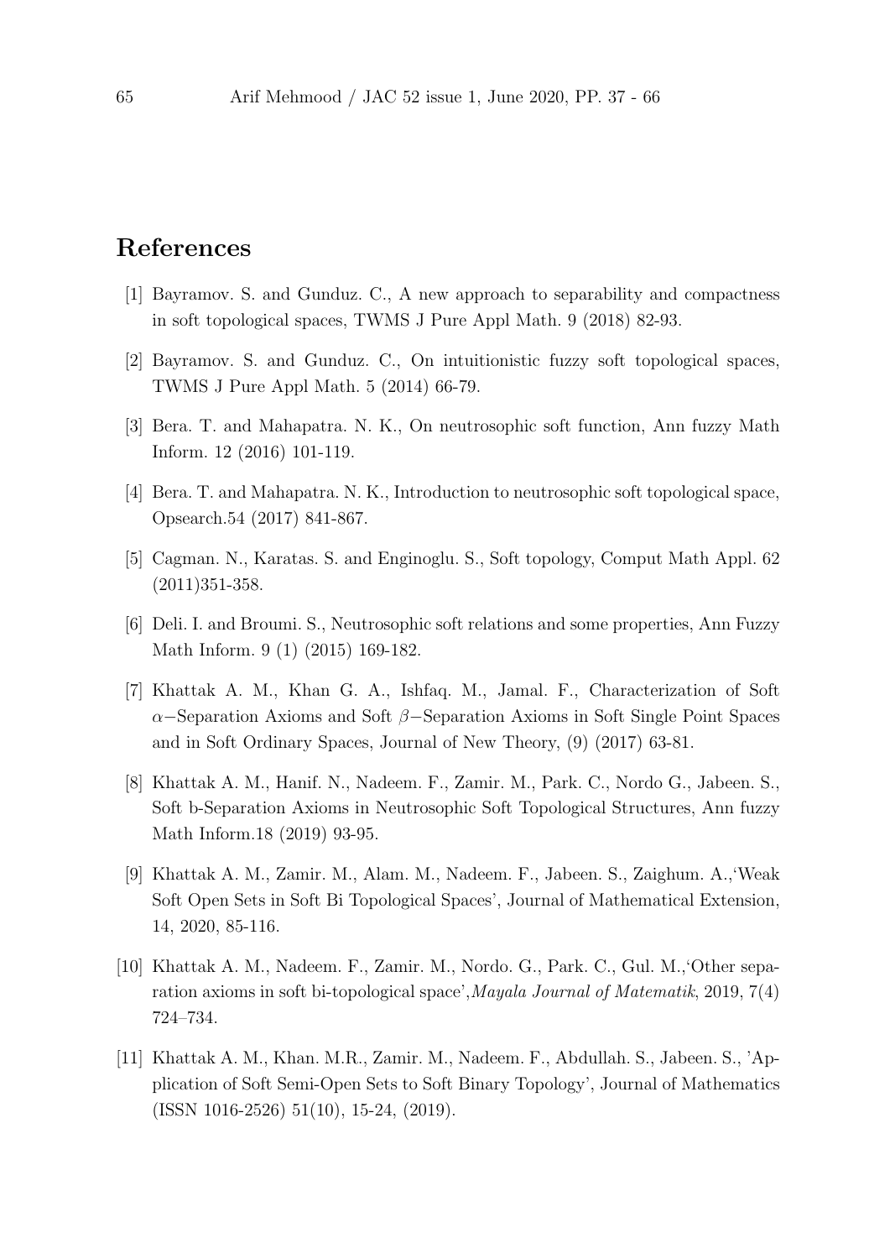### References

- [1] Bayramov. S. and Gunduz. C., A new approach to separability and compactness in soft topological spaces, TWMS J Pure Appl Math. 9 (2018) 82-93.
- [2] Bayramov. S. and Gunduz. C., On intuitionistic fuzzy soft topological spaces, TWMS J Pure Appl Math. 5 (2014) 66-79.
- [3] Bera. T. and Mahapatra. N. K., On neutrosophic soft function, Ann fuzzy Math Inform. 12 (2016) 101-119.
- [4] Bera. T. and Mahapatra. N. K., Introduction to neutrosophic soft topological space, Opsearch.54 (2017) 841-867.
- [5] Cagman. N., Karatas. S. and Enginoglu. S., Soft topology, Comput Math Appl. 62 (2011)351-358.
- [6] Deli. I. and Broumi. S., Neutrosophic soft relations and some properties, Ann Fuzzy Math Inform. 9 (1) (2015) 169-182.
- [7] Khattak A. M., Khan G. A., Ishfaq. M., Jamal. F., Characterization of Soft α−Separation Axioms and Soft β−Separation Axioms in Soft Single Point Spaces and in Soft Ordinary Spaces, Journal of New Theory, (9) (2017) 63-81.
- [8] Khattak A. M., Hanif. N., Nadeem. F., Zamir. M., Park. C., Nordo G., Jabeen. S., Soft b-Separation Axioms in Neutrosophic Soft Topological Structures, Ann fuzzy Math Inform.18 (2019) 93-95.
- [9] Khattak A. M., Zamir. M., Alam. M., Nadeem. F., Jabeen. S., Zaighum. A.,'Weak Soft Open Sets in Soft Bi Topological Spaces', Journal of Mathematical Extension, 14, 2020, 85-116.
- [10] Khattak A. M., Nadeem. F., Zamir. M., Nordo. G., Park. C., Gul. M.,'Other separation axioms in soft bi-topological space',Mayala Journal of Matematik, 2019, 7(4) 724–734.
- [11] Khattak A. M., Khan. M.R., Zamir. M., Nadeem. F., Abdullah. S., Jabeen. S., 'Application of Soft Semi-Open Sets to Soft Binary Topology', Journal of Mathematics (ISSN 1016-2526) 51(10), 15-24, (2019).